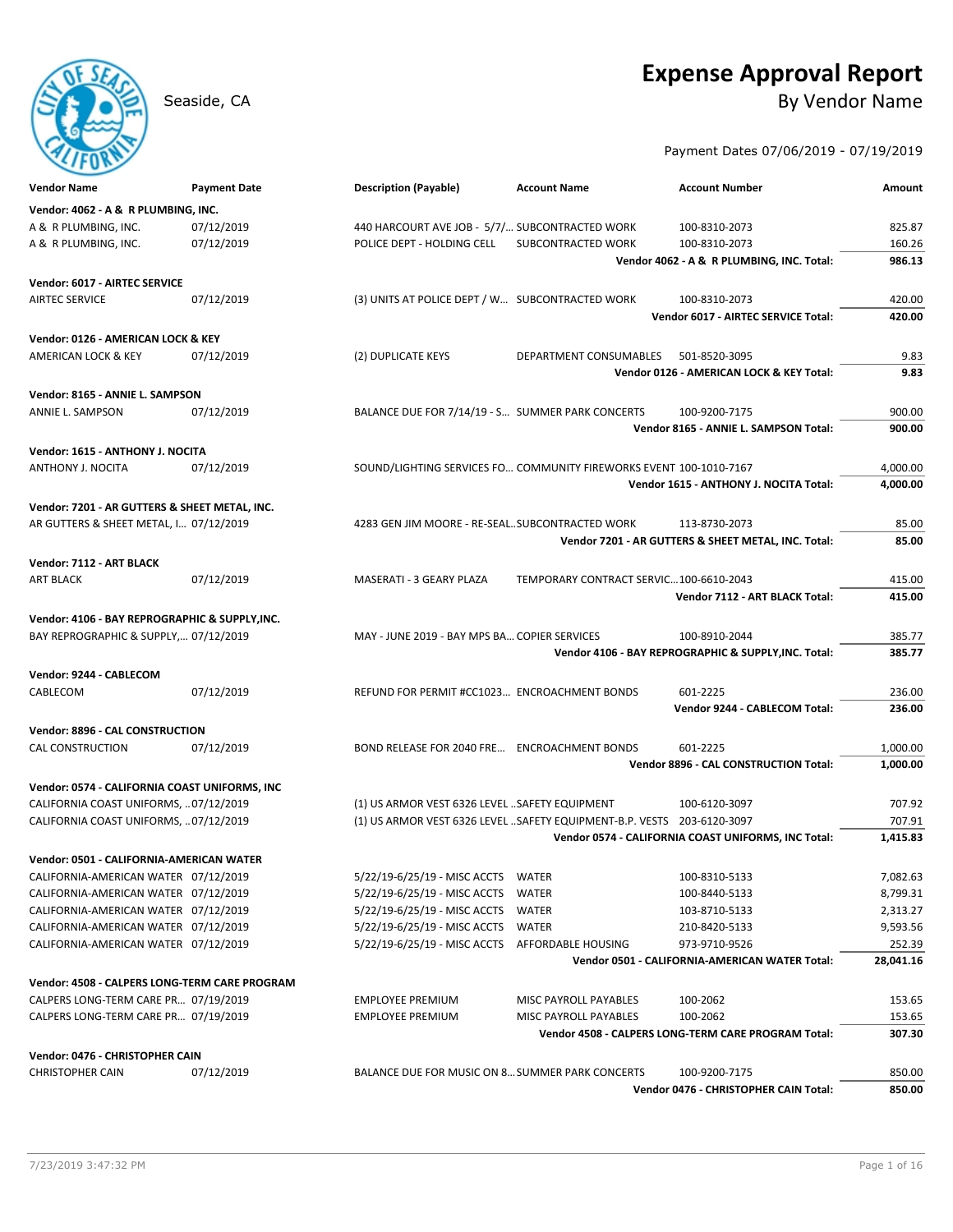# **Expense Approval Report** Seaside, CA By Vendor Name

Payment Dates 07/06/2019 - 07/19/2019

| Vendor Name                                    | <b>Payment Date</b> | <b>Description (Payable)</b>                                            | <b>Account Name</b>                    | <b>Account Number</b>                                | Amount           |
|------------------------------------------------|---------------------|-------------------------------------------------------------------------|----------------------------------------|------------------------------------------------------|------------------|
| Vendor: 4062 - A & R PLUMBING, INC.            |                     |                                                                         |                                        |                                                      |                  |
| A & R PLUMBING, INC.                           | 07/12/2019          | 440 HARCOURT AVE JOB - 5/7/ SUBCONTRACTED WORK                          |                                        | 100-8310-2073                                        | 825.87           |
| A & R PLUMBING, INC.                           | 07/12/2019          | POLICE DEPT - HOLDING CELL                                              | SUBCONTRACTED WORK                     | 100-8310-2073                                        | 160.26           |
|                                                |                     |                                                                         |                                        | Vendor 4062 - A & R PLUMBING, INC. Total:            | 986.13           |
| Vendor: 6017 - AIRTEC SERVICE                  |                     |                                                                         |                                        |                                                      |                  |
| <b>AIRTEC SERVICE</b>                          | 07/12/2019          | (3) UNITS AT POLICE DEPT / W SUBCONTRACTED WORK                         |                                        | 100-8310-2073                                        | 420.00           |
|                                                |                     |                                                                         |                                        | Vendor 6017 - AIRTEC SERVICE Total:                  | 420.00           |
| Vendor: 0126 - AMERICAN LOCK & KEY             |                     |                                                                         |                                        |                                                      |                  |
| AMERICAN LOCK & KEY                            | 07/12/2019          | (2) DUPLICATE KEYS                                                      | DEPARTMENT CONSUMABLES                 | 501-8520-3095                                        | 9.83             |
|                                                |                     |                                                                         |                                        | Vendor 0126 - AMERICAN LOCK & KEY Total:             | 9.83             |
| Vendor: 8165 - ANNIE L. SAMPSON                |                     |                                                                         |                                        |                                                      |                  |
| ANNIE L. SAMPSON                               | 07/12/2019          | BALANCE DUE FOR 7/14/19 - S SUMMER PARK CONCERTS                        |                                        | 100-9200-7175                                        | 900.00           |
|                                                |                     |                                                                         |                                        | Vendor 8165 - ANNIE L. SAMPSON Total:                | 900.00           |
| Vendor: 1615 - ANTHONY J. NOCITA               |                     |                                                                         |                                        |                                                      |                  |
| ANTHONY J. NOCITA                              | 07/12/2019          | SOUND/LIGHTING SERVICES FO COMMUNITY FIREWORKS EVENT 100-1010-7167      |                                        |                                                      | 4,000.00         |
|                                                |                     |                                                                         |                                        | Vendor 1615 - ANTHONY J. NOCITA Total:               | 4,000.00         |
| Vendor: 7201 - AR GUTTERS & SHEET METAL, INC.  |                     |                                                                         |                                        |                                                      |                  |
| AR GUTTERS & SHEET METAL, I 07/12/2019         |                     | 4283 GEN JIM MOORE - RE-SEALSUBCONTRACTED WORK                          |                                        | 113-8730-2073                                        | 85.00            |
|                                                |                     |                                                                         |                                        | Vendor 7201 - AR GUTTERS & SHEET METAL, INC. Total:  | 85.00            |
| Vendor: 7112 - ART BLACK<br><b>ART BLACK</b>   |                     | MASERATI - 3 GEARY PLAZA                                                | TEMPORARY CONTRACT SERVIC100-6610-2043 |                                                      |                  |
|                                                | 07/12/2019          |                                                                         |                                        | Vendor 7112 - ART BLACK Total:                       | 415.00<br>415.00 |
|                                                |                     |                                                                         |                                        |                                                      |                  |
| Vendor: 4106 - BAY REPROGRAPHIC & SUPPLY, INC. |                     |                                                                         |                                        |                                                      |                  |
| BAY REPROGRAPHIC & SUPPLY, 07/12/2019          |                     | MAY - JUNE 2019 - BAY MPS BA COPIER SERVICES                            |                                        | 100-8910-2044                                        | 385.77           |
|                                                |                     |                                                                         |                                        | Vendor 4106 - BAY REPROGRAPHIC & SUPPLY, INC. Total: | 385.77           |
| Vendor: 9244 - CABLECOM                        |                     |                                                                         |                                        |                                                      |                  |
| CABLECOM                                       | 07/12/2019          | REFUND FOR PERMIT #CC1023 ENCROACHMENT BONDS                            |                                        | 601-2225                                             | 236.00           |
|                                                |                     |                                                                         |                                        | Vendor 9244 - CABLECOM Total:                        | 236.00           |
| Vendor: 8896 - CAL CONSTRUCTION                |                     |                                                                         |                                        |                                                      |                  |
| <b>CAL CONSTRUCTION</b>                        | 07/12/2019          | BOND RELEASE FOR 2040 FRE ENCROACHMENT BONDS                            |                                        | 601-2225                                             | 1,000.00         |
|                                                |                     |                                                                         |                                        | Vendor 8896 - CAL CONSTRUCTION Total:                | 1,000.00         |
| Vendor: 0574 - CALIFORNIA COAST UNIFORMS, INC  |                     |                                                                         |                                        |                                                      |                  |
| CALIFORNIA COAST UNIFORMS,  07/12/2019         |                     | (1) US ARMOR VEST 6326 LEVEL  SAFETY EQUIPMENT                          |                                        | 100-6120-3097                                        | 707.92           |
| CALIFORNIA COAST UNIFORMS,  07/12/2019         |                     | (1) US ARMOR VEST 6326 LEVEL  SAFETY EQUIPMENT-B.P. VESTS 203-6120-3097 |                                        |                                                      | 707.91           |
|                                                |                     |                                                                         |                                        | Vendor 0574 - CALIFORNIA COAST UNIFORMS, INC Total:  | 1,415.83         |
| Vendor: 0501 - CALIFORNIA-AMERICAN WATER       |                     |                                                                         |                                        |                                                      |                  |
| CALIFORNIA-AMERICAN WATER 07/12/2019           |                     | 5/22/19-6/25/19 - MISC ACCTS WATER                                      |                                        | 100-8310-5133                                        | 7,082.63         |
| CALIFORNIA-AMERICAN WATER 07/12/2019           |                     | 5/22/19-6/25/19 - MISC ACCTS WATER                                      |                                        | 100-8440-5133                                        | 8,799.31         |
| CALIFORNIA-AMERICAN WATER 07/12/2019           |                     | 5/22/19-6/25/19 - MISC ACCTS                                            | WATER                                  | 103-8710-5133                                        | 2,313.27         |
| CALIFORNIA-AMERICAN WATER 07/12/2019           |                     | 5/22/19-6/25/19 - MISC ACCTS                                            | WATER                                  | 210-8420-5133                                        | 9,593.56         |
| CALIFORNIA-AMERICAN WATER 07/12/2019           |                     | 5/22/19-6/25/19 - MISC ACCTS AFFORDABLE HOUSING                         |                                        | 973-9710-9526                                        | 252.39           |
|                                                |                     |                                                                         |                                        | Vendor 0501 - CALIFORNIA-AMERICAN WATER Total:       | 28,041.16        |
| Vendor: 4508 - CALPERS LONG-TERM CARE PROGRAM  |                     |                                                                         |                                        |                                                      |                  |
| CALPERS LONG-TERM CARE PR 07/19/2019           |                     | <b>EMPLOYEE PREMIUM</b>                                                 | MISC PAYROLL PAYABLES                  | 100-2062                                             | 153.65           |
| CALPERS LONG-TERM CARE PR 07/19/2019           |                     | <b>EMPLOYEE PREMIUM</b>                                                 | MISC PAYROLL PAYABLES                  | 100-2062                                             | 153.65           |
|                                                |                     |                                                                         |                                        | Vendor 4508 - CALPERS LONG-TERM CARE PROGRAM Total:  | 307.30           |
| Vendor: 0476 - CHRISTOPHER CAIN                |                     |                                                                         |                                        |                                                      |                  |
| <b>CHRISTOPHER CAIN</b>                        | 07/12/2019          | BALANCE DUE FOR MUSIC ON 8 SUMMER PARK CONCERTS                         |                                        | 100-9200-7175                                        | 850.00           |
|                                                |                     |                                                                         |                                        | Vendor 0476 - CHRISTOPHER CAIN Total:                | 850.00           |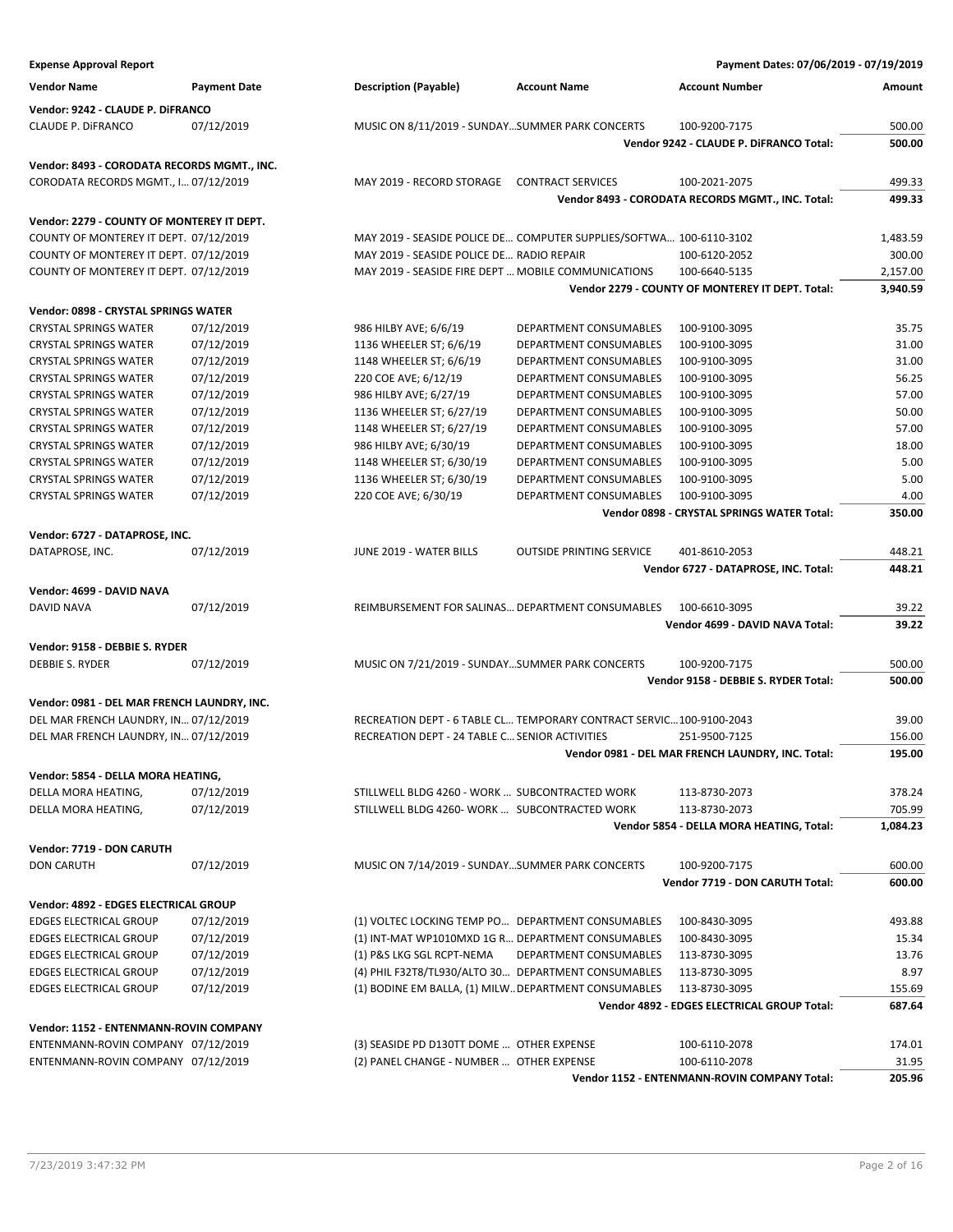| <b>Expense Approval Report</b>              |                     |                                                                      |                                 | Payment Dates: 07/06/2019 - 07/19/2019                      |                  |
|---------------------------------------------|---------------------|----------------------------------------------------------------------|---------------------------------|-------------------------------------------------------------|------------------|
| <b>Vendor Name</b>                          | <b>Payment Date</b> | <b>Description (Payable)</b>                                         | <b>Account Name</b>             | <b>Account Number</b>                                       | Amount           |
| Vendor: 9242 - CLAUDE P. DiFRANCO           |                     |                                                                      |                                 |                                                             |                  |
| CLAUDE P. DIFRANCO                          | 07/12/2019          | MUSIC ON 8/11/2019 - SUNDAYSUMMER PARK CONCERTS                      |                                 | 100-9200-7175                                               | 500.00           |
|                                             |                     |                                                                      |                                 | Vendor 9242 - CLAUDE P. DiFRANCO Total:                     | 500.00           |
| Vendor: 8493 - CORODATA RECORDS MGMT., INC. |                     |                                                                      |                                 |                                                             |                  |
| CORODATA RECORDS MGMT., I 07/12/2019        |                     | MAY 2019 - RECORD STORAGE                                            | <b>CONTRACT SERVICES</b>        | 100-2021-2075                                               | 499.33           |
|                                             |                     |                                                                      |                                 | Vendor 8493 - CORODATA RECORDS MGMT., INC. Total:           | 499.33           |
| Vendor: 2279 - COUNTY OF MONTEREY IT DEPT.  |                     |                                                                      |                                 |                                                             |                  |
| COUNTY OF MONTEREY IT DEPT. 07/12/2019      |                     | MAY 2019 - SEASIDE POLICE DE COMPUTER SUPPLIES/SOFTWA 100-6110-3102  |                                 |                                                             | 1,483.59         |
| COUNTY OF MONTEREY IT DEPT. 07/12/2019      |                     | MAY 2019 - SEASIDE POLICE DE RADIO REPAIR                            |                                 | 100-6120-2052                                               | 300.00           |
| COUNTY OF MONTEREY IT DEPT. 07/12/2019      |                     | MAY 2019 - SEASIDE FIRE DEPT  MOBILE COMMUNICATIONS                  |                                 | 100-6640-5135                                               | 2,157.00         |
|                                             |                     |                                                                      |                                 | Vendor 2279 - COUNTY OF MONTEREY IT DEPT. Total:            | 3,940.59         |
| Vendor: 0898 - CRYSTAL SPRINGS WATER        |                     |                                                                      |                                 |                                                             |                  |
| <b>CRYSTAL SPRINGS WATER</b>                | 07/12/2019          | 986 HILBY AVE; 6/6/19                                                | DEPARTMENT CONSUMABLES          | 100-9100-3095                                               | 35.75            |
| <b>CRYSTAL SPRINGS WATER</b>                | 07/12/2019          | 1136 WHEELER ST; 6/6/19                                              | DEPARTMENT CONSUMABLES          | 100-9100-3095                                               | 31.00            |
| <b>CRYSTAL SPRINGS WATER</b>                | 07/12/2019          | 1148 WHEELER ST; 6/6/19                                              | DEPARTMENT CONSUMABLES          | 100-9100-3095                                               | 31.00            |
| <b>CRYSTAL SPRINGS WATER</b>                | 07/12/2019          | 220 COE AVE; 6/12/19                                                 | DEPARTMENT CONSUMABLES          | 100-9100-3095                                               | 56.25            |
| <b>CRYSTAL SPRINGS WATER</b>                | 07/12/2019          | 986 HILBY AVE; 6/27/19                                               | DEPARTMENT CONSUMABLES          | 100-9100-3095                                               | 57.00            |
| <b>CRYSTAL SPRINGS WATER</b>                | 07/12/2019          | 1136 WHEELER ST; 6/27/19                                             | DEPARTMENT CONSUMABLES          | 100-9100-3095                                               | 50.00            |
| <b>CRYSTAL SPRINGS WATER</b>                | 07/12/2019          | 1148 WHEELER ST; 6/27/19                                             | DEPARTMENT CONSUMABLES          | 100-9100-3095                                               | 57.00            |
| <b>CRYSTAL SPRINGS WATER</b>                | 07/12/2019          | 986 HILBY AVE; 6/30/19                                               | DEPARTMENT CONSUMABLES          | 100-9100-3095                                               | 18.00            |
| <b>CRYSTAL SPRINGS WATER</b>                | 07/12/2019          | 1148 WHEELER ST; 6/30/19                                             | DEPARTMENT CONSUMABLES          | 100-9100-3095                                               | 5.00             |
| <b>CRYSTAL SPRINGS WATER</b>                | 07/12/2019          | 1136 WHEELER ST; 6/30/19                                             | <b>DEPARTMENT CONSUMABLES</b>   |                                                             | 5.00             |
|                                             |                     |                                                                      |                                 | 100-9100-3095                                               |                  |
| <b>CRYSTAL SPRINGS WATER</b>                | 07/12/2019          | 220 COE AVE; 6/30/19                                                 | DEPARTMENT CONSUMABLES          | 100-9100-3095<br>Vendor 0898 - CRYSTAL SPRINGS WATER Total: | 4.00<br>350.00   |
|                                             |                     |                                                                      |                                 |                                                             |                  |
| Vendor: 6727 - DATAPROSE, INC.              |                     |                                                                      |                                 |                                                             |                  |
| DATAPROSE, INC.                             | 07/12/2019          | JUNE 2019 - WATER BILLS                                              | <b>OUTSIDE PRINTING SERVICE</b> | 401-8610-2053                                               | 448.21           |
|                                             |                     |                                                                      |                                 | Vendor 6727 - DATAPROSE, INC. Total:                        | 448.21           |
| Vendor: 4699 - DAVID NAVA                   |                     |                                                                      |                                 |                                                             |                  |
| DAVID NAVA                                  | 07/12/2019          | REIMBURSEMENT FOR SALINAS DEPARTMENT CONSUMABLES                     |                                 | 100-6610-3095                                               | 39.22            |
|                                             |                     |                                                                      |                                 | Vendor 4699 - DAVID NAVA Total:                             | 39.22            |
| Vendor: 9158 - DEBBIE S. RYDER              |                     |                                                                      |                                 |                                                             |                  |
| <b>DEBBIE S. RYDER</b>                      | 07/12/2019          | MUSIC ON 7/21/2019 - SUNDAYSUMMER PARK CONCERTS                      |                                 | 100-9200-7175                                               | 500.00           |
|                                             |                     |                                                                      |                                 | Vendor 9158 - DEBBIE S. RYDER Total:                        | 500.00           |
| Vendor: 0981 - DEL MAR FRENCH LAUNDRY, INC. |                     |                                                                      |                                 |                                                             |                  |
| DEL MAR FRENCH LAUNDRY, IN 07/12/2019       |                     | RECREATION DEPT - 6 TABLE CL TEMPORARY CONTRACT SERVIC 100-9100-2043 |                                 |                                                             | 39.00            |
| DEL MAR FRENCH LAUNDRY, IN 07/12/2019       |                     | RECREATION DEPT - 24 TABLE C SENIOR ACTIVITIES                       |                                 | 251-9500-7125                                               | 156.00           |
|                                             |                     |                                                                      |                                 | Vendor 0981 - DEL MAR FRENCH LAUNDRY, INC. Total:           | 195.00           |
| Vendor: 5854 - DELLA MORA HEATING,          |                     |                                                                      |                                 |                                                             |                  |
| DELLA MORA HEATING,                         | 07/12/2019          | STILLWELL BLDG 4260 - WORK  SUBCONTRACTED WORK                       |                                 | 113-8730-2073                                               | 378.24           |
| DELLA MORA HEATING,                         | 07/12/2019          | STILLWELL BLDG 4260- WORK  SUBCONTRACTED WORK                        |                                 | 113-8730-2073                                               | 705.99           |
|                                             |                     |                                                                      |                                 | Vendor 5854 - DELLA MORA HEATING, Total:                    | 1,084.23         |
|                                             |                     |                                                                      |                                 |                                                             |                  |
| Vendor: 7719 - DON CARUTH                   |                     |                                                                      |                                 |                                                             |                  |
| <b>DON CARUTH</b>                           | 07/12/2019          | MUSIC ON 7/14/2019 - SUNDAYSUMMER PARK CONCERTS                      |                                 | 100-9200-7175<br>Vendor 7719 - DON CARUTH Total:            | 600.00<br>600.00 |
|                                             |                     |                                                                      |                                 |                                                             |                  |
| Vendor: 4892 - EDGES ELECTRICAL GROUP       |                     |                                                                      |                                 |                                                             |                  |
| <b>EDGES ELECTRICAL GROUP</b>               | 07/12/2019          | (1) VOLTEC LOCKING TEMP PO DEPARTMENT CONSUMABLES                    |                                 | 100-8430-3095                                               | 493.88           |
| <b>EDGES ELECTRICAL GROUP</b>               | 07/12/2019          | (1) INT-MAT WP1010MXD 1G R DEPARTMENT CONSUMABLES                    |                                 | 100-8430-3095                                               | 15.34            |
| <b>EDGES ELECTRICAL GROUP</b>               | 07/12/2019          | (1) P&S LKG SGL RCPT-NEMA                                            | DEPARTMENT CONSUMABLES          | 113-8730-3095                                               | 13.76            |
| <b>EDGES ELECTRICAL GROUP</b>               | 07/12/2019          | (4) PHIL F32T8/TL930/ALTO 30 DEPARTMENT CONSUMABLES                  |                                 | 113-8730-3095                                               | 8.97             |
| <b>EDGES ELECTRICAL GROUP</b>               | 07/12/2019          | (1) BODINE EM BALLA, (1) MILW. DEPARTMENT CONSUMABLES                |                                 | 113-8730-3095                                               | 155.69           |
|                                             |                     |                                                                      |                                 | Vendor 4892 - EDGES ELECTRICAL GROUP Total:                 | 687.64           |
| Vendor: 1152 - ENTENMANN-ROVIN COMPANY      |                     |                                                                      |                                 |                                                             |                  |
| ENTENMANN-ROVIN COMPANY 07/12/2019          |                     | (3) SEASIDE PD D130TT DOME  OTHER EXPENSE                            |                                 | 100-6110-2078                                               | 174.01           |
| ENTENMANN-ROVIN COMPANY 07/12/2019          |                     | (2) PANEL CHANGE - NUMBER  OTHER EXPENSE                             |                                 | 100-6110-2078                                               | 31.95            |
|                                             |                     |                                                                      |                                 | Vendor 1152 - ENTENMANN-ROVIN COMPANY Total:                | 205.96           |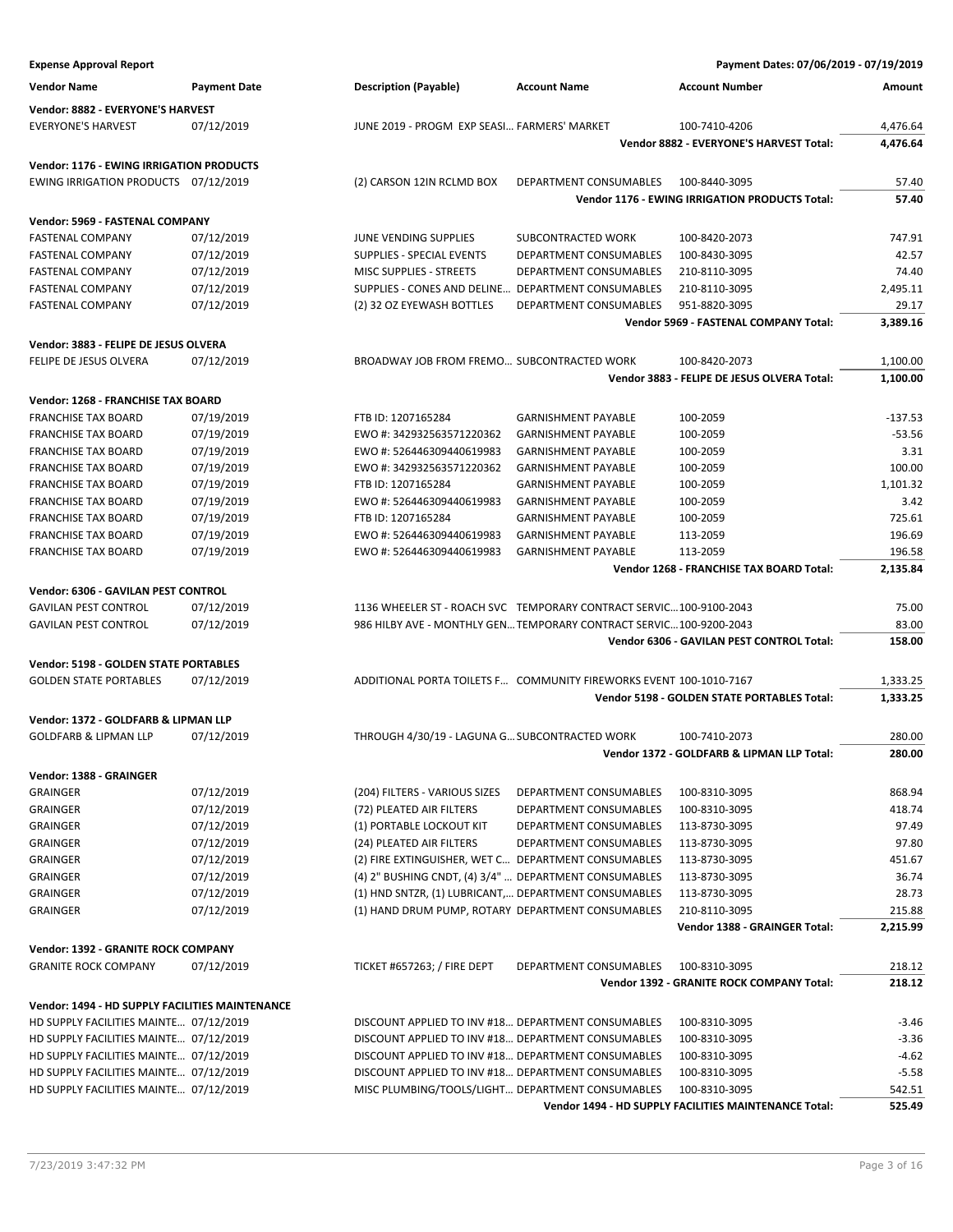| <b>Expense Approval Report</b>                                   |                          |                                                       |                                                                     | Payment Dates: 07/06/2019 - 07/19/2019                |                 |
|------------------------------------------------------------------|--------------------------|-------------------------------------------------------|---------------------------------------------------------------------|-------------------------------------------------------|-----------------|
| <b>Vendor Name</b>                                               | <b>Payment Date</b>      | <b>Description (Payable)</b>                          | <b>Account Name</b>                                                 | <b>Account Number</b>                                 | Amount          |
| Vendor: 8882 - EVERYONE'S HARVEST                                |                          |                                                       |                                                                     |                                                       |                 |
| <b>EVERYONE'S HARVEST</b>                                        | 07/12/2019               | JUNE 2019 - PROGM EXP SEASI FARMERS' MARKET           |                                                                     | 100-7410-4206                                         | 4,476.64        |
|                                                                  |                          |                                                       |                                                                     | Vendor 8882 - EVERYONE'S HARVEST Total:               | 4,476.64        |
| <b>Vendor: 1176 - EWING IRRIGATION PRODUCTS</b>                  |                          |                                                       |                                                                     |                                                       |                 |
| EWING IRRIGATION PRODUCTS 07/12/2019                             |                          | (2) CARSON 12IN RCLMD BOX                             | DEPARTMENT CONSUMABLES                                              | 100-8440-3095                                         | 57.40           |
|                                                                  |                          |                                                       |                                                                     | Vendor 1176 - EWING IRRIGATION PRODUCTS Total:        | 57.40           |
|                                                                  |                          |                                                       |                                                                     |                                                       |                 |
| Vendor: 5969 - FASTENAL COMPANY<br>FASTENAL COMPANY              | 07/12/2019               | JUNE VENDING SUPPLIES                                 | SUBCONTRACTED WORK                                                  | 100-8420-2073                                         | 747.91          |
| FASTENAL COMPANY                                                 | 07/12/2019               | SUPPLIES - SPECIAL EVENTS                             | DEPARTMENT CONSUMABLES                                              | 100-8430-3095                                         | 42.57           |
| FASTENAL COMPANY                                                 | 07/12/2019               | MISC SUPPLIES - STREETS                               | DEPARTMENT CONSUMABLES                                              | 210-8110-3095                                         | 74.40           |
| <b>FASTENAL COMPANY</b>                                          | 07/12/2019               | SUPPLIES - CONES AND DELINE DEPARTMENT CONSUMABLES    |                                                                     | 210-8110-3095                                         | 2,495.11        |
| <b>FASTENAL COMPANY</b>                                          | 07/12/2019               | (2) 32 OZ EYEWASH BOTTLES                             | DEPARTMENT CONSUMABLES                                              | 951-8820-3095                                         | 29.17           |
|                                                                  |                          |                                                       |                                                                     | Vendor 5969 - FASTENAL COMPANY Total:                 | 3,389.16        |
| Vendor: 3883 - FELIPE DE JESUS OLVERA                            |                          |                                                       |                                                                     |                                                       |                 |
| FELIPE DE JESUS OLVERA                                           | 07/12/2019               | BROADWAY JOB FROM FREMO SUBCONTRACTED WORK            |                                                                     | 100-8420-2073                                         | 1,100.00        |
|                                                                  |                          |                                                       |                                                                     | Vendor 3883 - FELIPE DE JESUS OLVERA Total:           | 1,100.00        |
|                                                                  |                          |                                                       |                                                                     |                                                       |                 |
| Vendor: 1268 - FRANCHISE TAX BOARD<br><b>FRANCHISE TAX BOARD</b> | 07/19/2019               | FTB ID: 1207165284                                    | <b>GARNISHMENT PAYABLE</b>                                          | 100-2059                                              | $-137.53$       |
| <b>FRANCHISE TAX BOARD</b>                                       | 07/19/2019               | EWO #: 342932563571220362                             | <b>GARNISHMENT PAYABLE</b>                                          | 100-2059                                              | $-53.56$        |
| <b>FRANCHISE TAX BOARD</b>                                       | 07/19/2019               | EWO #: 526446309440619983                             | <b>GARNISHMENT PAYABLE</b>                                          | 100-2059                                              | 3.31            |
| <b>FRANCHISE TAX BOARD</b>                                       | 07/19/2019               | EWO #: 342932563571220362                             | <b>GARNISHMENT PAYABLE</b>                                          | 100-2059                                              | 100.00          |
| <b>FRANCHISE TAX BOARD</b>                                       | 07/19/2019               | FTB ID: 1207165284                                    | <b>GARNISHMENT PAYABLE</b>                                          | 100-2059                                              | 1,101.32        |
| <b>FRANCHISE TAX BOARD</b>                                       | 07/19/2019               | EWO #: 526446309440619983                             | <b>GARNISHMENT PAYABLE</b>                                          | 100-2059                                              | 3.42            |
| <b>FRANCHISE TAX BOARD</b>                                       | 07/19/2019               | FTB ID: 1207165284                                    | <b>GARNISHMENT PAYABLE</b>                                          | 100-2059                                              | 725.61          |
| <b>FRANCHISE TAX BOARD</b>                                       | 07/19/2019               | EWO #: 526446309440619983                             | <b>GARNISHMENT PAYABLE</b>                                          | 113-2059                                              | 196.69          |
| <b>FRANCHISE TAX BOARD</b>                                       | 07/19/2019               | EWO #: 526446309440619983                             | <b>GARNISHMENT PAYABLE</b>                                          | 113-2059                                              | 196.58          |
|                                                                  |                          |                                                       |                                                                     | Vendor 1268 - FRANCHISE TAX BOARD Total:              | 2,135.84        |
| Vendor: 6306 - GAVILAN PEST CONTROL                              |                          |                                                       |                                                                     |                                                       |                 |
| <b>GAVILAN PEST CONTROL</b>                                      | 07/12/2019               |                                                       | 1136 WHEELER ST - ROACH SVC TEMPORARY CONTRACT SERVIC 100-9100-2043 |                                                       | 75.00           |
| <b>GAVILAN PEST CONTROL</b>                                      | 07/12/2019               |                                                       | 986 HILBY AVE - MONTHLY GEN TEMPORARY CONTRACT SERVIC 100-9200-2043 |                                                       | 83.00           |
|                                                                  |                          |                                                       |                                                                     | Vendor 6306 - GAVILAN PEST CONTROL Total:             | 158.00          |
| Vendor: 5198 - GOLDEN STATE PORTABLES                            |                          |                                                       |                                                                     |                                                       |                 |
| <b>GOLDEN STATE PORTABLES</b>                                    | 07/12/2019               |                                                       | ADDITIONAL PORTA TOILETS F COMMUNITY FIREWORKS EVENT 100-1010-7167  |                                                       | 1,333.25        |
|                                                                  |                          |                                                       |                                                                     | Vendor 5198 - GOLDEN STATE PORTABLES Total:           | 1,333.25        |
| Vendor: 1372 - GOLDFARB & LIPMAN LLP                             |                          |                                                       |                                                                     |                                                       |                 |
| <b>GOLDFARB &amp; LIPMAN LLP</b>                                 | 07/12/2019               | THROUGH 4/30/19 - LAGUNA G SUBCONTRACTED WORK         |                                                                     | 100-7410-2073                                         | 280.00          |
|                                                                  |                          |                                                       |                                                                     | Vendor 1372 - GOLDFARB & LIPMAN LLP Total:            | 280.00          |
|                                                                  |                          |                                                       |                                                                     |                                                       |                 |
| Vendor: 1388 - GRAINGER                                          |                          |                                                       |                                                                     |                                                       |                 |
| <b>GRAINGER</b>                                                  | 07/12/2019               | (204) FILTERS - VARIOUS SIZES                         | DEPARTMENT CONSUMABLES                                              | 100-8310-3095                                         | 868.94          |
| GRAINGER<br>GRAINGER                                             | 07/12/2019<br>07/12/2019 | (72) PLEATED AIR FILTERS<br>(1) PORTABLE LOCKOUT KIT  | DEPARTMENT CONSUMABLES<br>DEPARTMENT CONSUMABLES                    | 100-8310-3095<br>113-8730-3095                        | 418.74<br>97.49 |
| GRAINGER                                                         | 07/12/2019               | (24) PLEATED AIR FILTERS                              | DEPARTMENT CONSUMABLES                                              | 113-8730-3095                                         | 97.80           |
| <b>GRAINGER</b>                                                  | 07/12/2019               | (2) FIRE EXTINGUISHER, WET C DEPARTMENT CONSUMABLES   |                                                                     | 113-8730-3095                                         | 451.67          |
| <b>GRAINGER</b>                                                  | 07/12/2019               | (4) 2" BUSHING CNDT, (4) 3/4"  DEPARTMENT CONSUMABLES |                                                                     | 113-8730-3095                                         | 36.74           |
| <b>GRAINGER</b>                                                  | 07/12/2019               | (1) HND SNTZR, (1) LUBRICANT, DEPARTMENT CONSUMABLES  |                                                                     | 113-8730-3095                                         | 28.73           |
| GRAINGER                                                         | 07/12/2019               | (1) HAND DRUM PUMP, ROTARY DEPARTMENT CONSUMABLES     |                                                                     | 210-8110-3095                                         | 215.88          |
|                                                                  |                          |                                                       |                                                                     | Vendor 1388 - GRAINGER Total:                         | 2,215.99        |
| Vendor: 1392 - GRANITE ROCK COMPANY                              |                          |                                                       |                                                                     |                                                       |                 |
| <b>GRANITE ROCK COMPANY</b>                                      | 07/12/2019               | TICKET #657263; / FIRE DEPT                           | DEPARTMENT CONSUMABLES                                              | 100-8310-3095                                         | 218.12          |
|                                                                  |                          |                                                       |                                                                     | Vendor 1392 - GRANITE ROCK COMPANY Total:             | 218.12          |
| Vendor: 1494 - HD SUPPLY FACILITIES MAINTENANCE                  |                          |                                                       |                                                                     |                                                       |                 |
| HD SUPPLY FACILITIES MAINTE 07/12/2019                           |                          | DISCOUNT APPLIED TO INV #18 DEPARTMENT CONSUMABLES    |                                                                     | 100-8310-3095                                         | $-3.46$         |
| HD SUPPLY FACILITIES MAINTE 07/12/2019                           |                          | DISCOUNT APPLIED TO INV #18 DEPARTMENT CONSUMABLES    |                                                                     | 100-8310-3095                                         | $-3.36$         |
| HD SUPPLY FACILITIES MAINTE 07/12/2019                           |                          | DISCOUNT APPLIED TO INV #18 DEPARTMENT CONSUMABLES    |                                                                     | 100-8310-3095                                         | $-4.62$         |
| HD SUPPLY FACILITIES MAINTE 07/12/2019                           |                          | DISCOUNT APPLIED TO INV #18 DEPARTMENT CONSUMABLES    |                                                                     | 100-8310-3095                                         | $-5.58$         |
| HD SUPPLY FACILITIES MAINTE 07/12/2019                           |                          | MISC PLUMBING/TOOLS/LIGHT DEPARTMENT CONSUMABLES      |                                                                     | 100-8310-3095                                         | 542.51          |
|                                                                  |                          |                                                       |                                                                     | Vendor 1494 - HD SUPPLY FACILITIES MAINTENANCE Total: | 525.49          |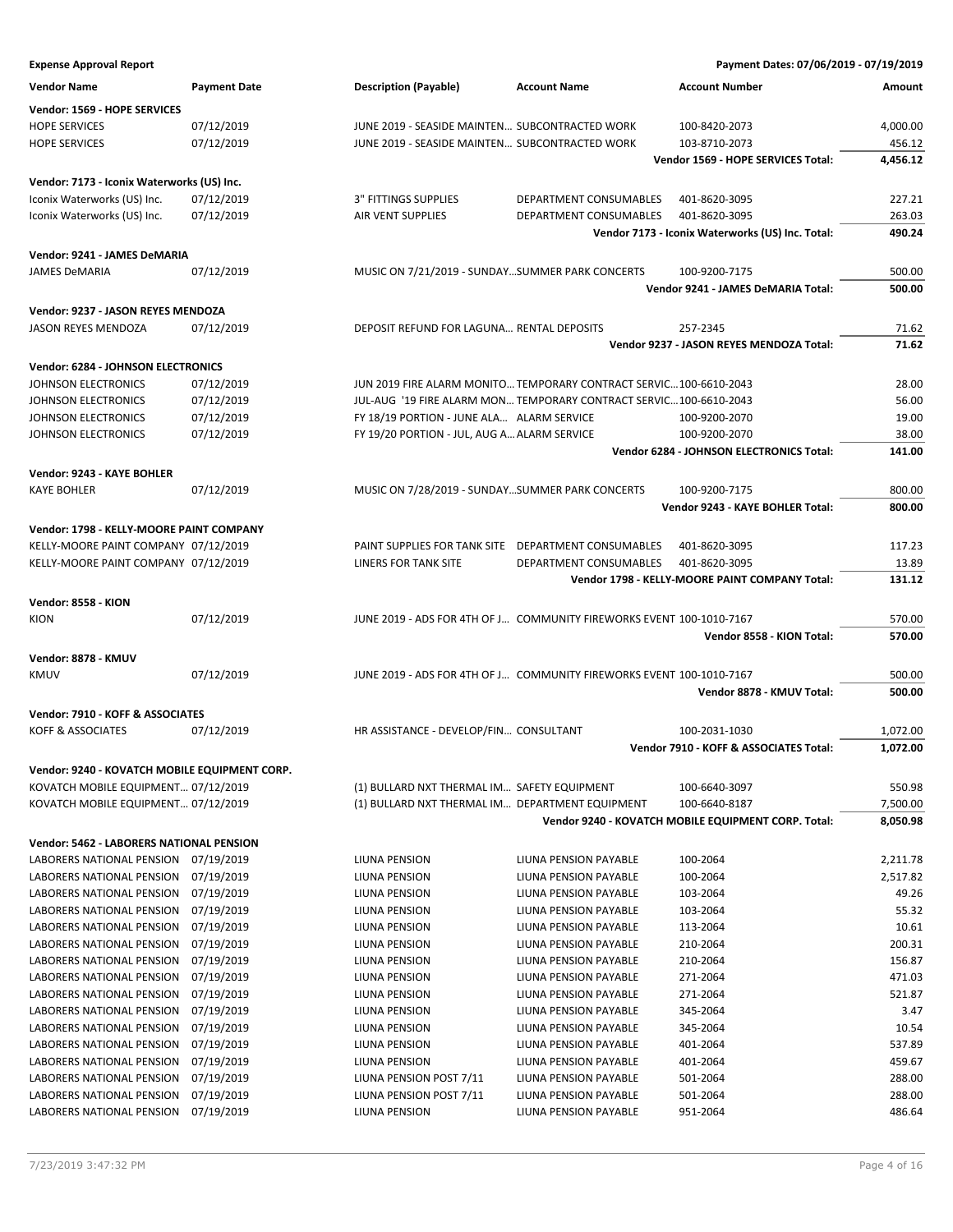### **Expense Approval Report Payment Dates: 07/06/2019 - 07/19/2019 Vendor Name Payment Date Description (Payable) Account Name Account Number Amount Vendor: 1569 - HOPE SERVICES** HOPE SERVICES 07/12/2019 JUNE 2019 - SEASIDE MAINTEN… SUBCONTRACTED WORK 100-8420-2073 4,000.00 HOPE SERVICES **19. ISBN 2019 17-12/2019** JUNE 2019 - SEASIDE MAINTEN... SUBCONTRACTED WORK 103-8710-2073 456.12 **Vendor 1569 - HOPE SERVICES Total: 4,456.12 Vendor: 7173 - Iconix Waterworks (US) Inc.** Iconix Waterworks (US) Inc. 07/12/2019 3" FITTINGS SUPPLIES DEPARTMENT CONSUMABLES 401-8620-3095 227.21 Iconix Waterworks (US) Inc. 07/12/2019 AIR VENT SUPPLIES DEPARTMENT CONSUMABLES 401-8620-3095 263.03 **Vendor 7173 - Iconix Waterworks (US) Inc. Total: 490.24 Vendor: 9241 - JAMES DeMARIA** JAMES DeMARIA 07/12/2019 MUSIC ON 7/21/2019 - SUNDAY…SUMMER PARK CONCERTS 100-9200-7175 500.00 **Vendor 9241 - JAMES DeMARIA Total: 500.00 Vendor: 9237 - JASON REYES MENDOZA** JASON REYES MENDOZA 07/12/2019 DEPOSIT REFUND FOR LAGUNA… RENTAL DEPOSITS 257-2345 71.62 **Vendor 9237 - JASON REYES MENDOZA Total: 71.62 Vendor: 6284 - JOHNSON ELECTRONICS** JOHNSON ELECTRONICS 07/12/2019 JUN 2019 FIRE ALARM MONITO…TEMPORARY CONTRACT SERVIC…100-6610-2043 28.00 JOHNSON ELECTRONICS 07/12/2019 JUL-AUG '19 FIRE ALARM MON… TEMPORARY CONTRACT SERVIC…100-6610-2043 56.00 JOHNSON ELECTRONICS 07/12/2019 FY 18/19 PORTION - JUNE ALA… ALARM SERVICE 100-9200-2070 19.00 JOHNSON ELECTRONICS 07/12/2019 FY 19/20 PORTION - JUL, AUG A…ALARM SERVICE 100-9200-2070 38.00 **Vendor 6284 - JOHNSON ELECTRONICS Total: 141.00 Vendor: 9243 - KAYE BOHLER** KAYE BOHLER **CHARGE CONSUMED A CONCERT AND MUSIC ON 7/28/2019 - SUNDAY…SUMMER PARK CONCERTS** 100-9200-7175 800.00 **Vendor 9243 - KAYE BOHLER Total: 800.00 Vendor: 1798 - KELLY-MOORE PAINT COMPANY** KELLY-MOORE PAINT COMPANY 07/12/2019 PAINT SUPPLIES FOR TANK SITE DEPARTMENT CONSUMABLES 401-8620-3095 117.23 KELLY-MOORE PAINT COMPANY 07/12/2019 LINERS FOR TANK SITE DEPARTMENT CONSUMABLES 401-8620-3095 13.89 **Vendor 1798 - KELLY-MOORE PAINT COMPANY Total: 131.12 Vendor: 8558 - KION** KION 07/12/2019 JUNE 2019 - ADS FOR 4TH OF J… COMMUNITY FIREWORKS EVENT 100-1010-7167 570.00 **Vendor 8558 - KION Total: 570.00 Vendor: 8878 - KMUV** KMUV 07/12/2019 JUNE 2019 - ADS FOR 4TH OF J… COMMUNITY FIREWORKS EVENT 100-1010-7167 500.00 **Vendor 8878 - KMUV Total: 500.00 Vendor: 7910 - KOFF & ASSOCIATES** KOFF & ASSOCIATES **1.072/2019** HR ASSISTANCE - DEVELOP/FIN... CONSULTANT 100-2031-1030 1,072.00 **Vendor 7910 - KOFF & ASSOCIATES Total: 1,072.00 Vendor: 9240 - KOVATCH MOBILE EQUIPMENT CORP.** KOVATCH MOBILE EQUIPMENT... 07/12/2019 (1) BULLARD NXT THERMAL IM... SAFETY EQUIPMENT 100-6640-3097 550.98 KOVATCH MOBILE EQUIPMENT… 07/12/2019 (1) BULLARD NXT THERMAL IM… DEPARTMENT EQUIPMENT 100-6640-8187 7,500.00 **Vendor 9240 - KOVATCH MOBILE EQUIPMENT CORP. Total: 8,050.98 Vendor: 5462 - LABORERS NATIONAL PENSION** LABORERS NATIONAL PENSION 07/19/2019 LIUNA PENSION LIUNA PENSION PAYABLE 100-2064 2,211.78 LABORERS NATIONAL PENSION 07/19/2019 LIUNA PENSION LIUNA PENSION PAYABLE 100-2064 2,517.82 LABORERS NATIONAL PENSION 07/19/2019 LIUNA PENSION LIUNA PENSION PAYABLE 103-2064 49.26 LABORERS NATIONAL PENSION 07/19/2019 LIUNA PENSION LIUNA PENSION PAYABLE 103-2064 55.32 LABORERS NATIONAL PENSION 07/19/2019 LIUNA PENSION LIUNA PENSION PAYABLE 113-2064 10.61 LABORERS NATIONAL PENSION 07/19/2019 LIUNA PENSION LIUNA PENSION PAYABLE 210-2064 200.31 LABORERS NATIONAL PENSION 07/19/2019 LIUNA PENSION LIUNA PENSION PAYABLE 210-2064 156.87 LABORERS NATIONAL PENSION 07/19/2019 LIUNA PENSION LIUNA PENSION PAYABLE 271-2064 471.03 LABORERS NATIONAL PENSION 07/19/2019 LIUNA PENSION LIUNA PENSION PAYABLE 271-2064 521.87 LABORERS NATIONAL PENSION 07/19/2019 LIUNA PENSION LIUNA PENSION PAYABLE 345-2064 3.47 LABORERS NATIONAL PENSION 07/19/2019 LIUNA PENSION LIUNA PENSION PAYABLE 345-2064 10.54 LABORERS NATIONAL PENSION 07/19/2019 LIUNA PENSION LIUNA PENSION PAYABLE 401-2064 537.89 LABORERS NATIONAL PENSION 07/19/2019 LIUNA PENSION LIUNA PENSION PAYABLE 401-2064 459.67 LABORERS NATIONAL PENSION 07/19/2019 LIUNA PENSION POST 7/11 LIUNA PENSION PAYABLE 501-2064 288.00

LABORERS NATIONAL PENSION 07/19/2019 LIUNA PENSION POST 7/11 LIUNA PENSION PAYABLE 501-2064 288.00 LABORERS NATIONAL PENSION 07/19/2019 LIUNA PENSION LIUNA PENSION PAYABLE 951-2064 486.64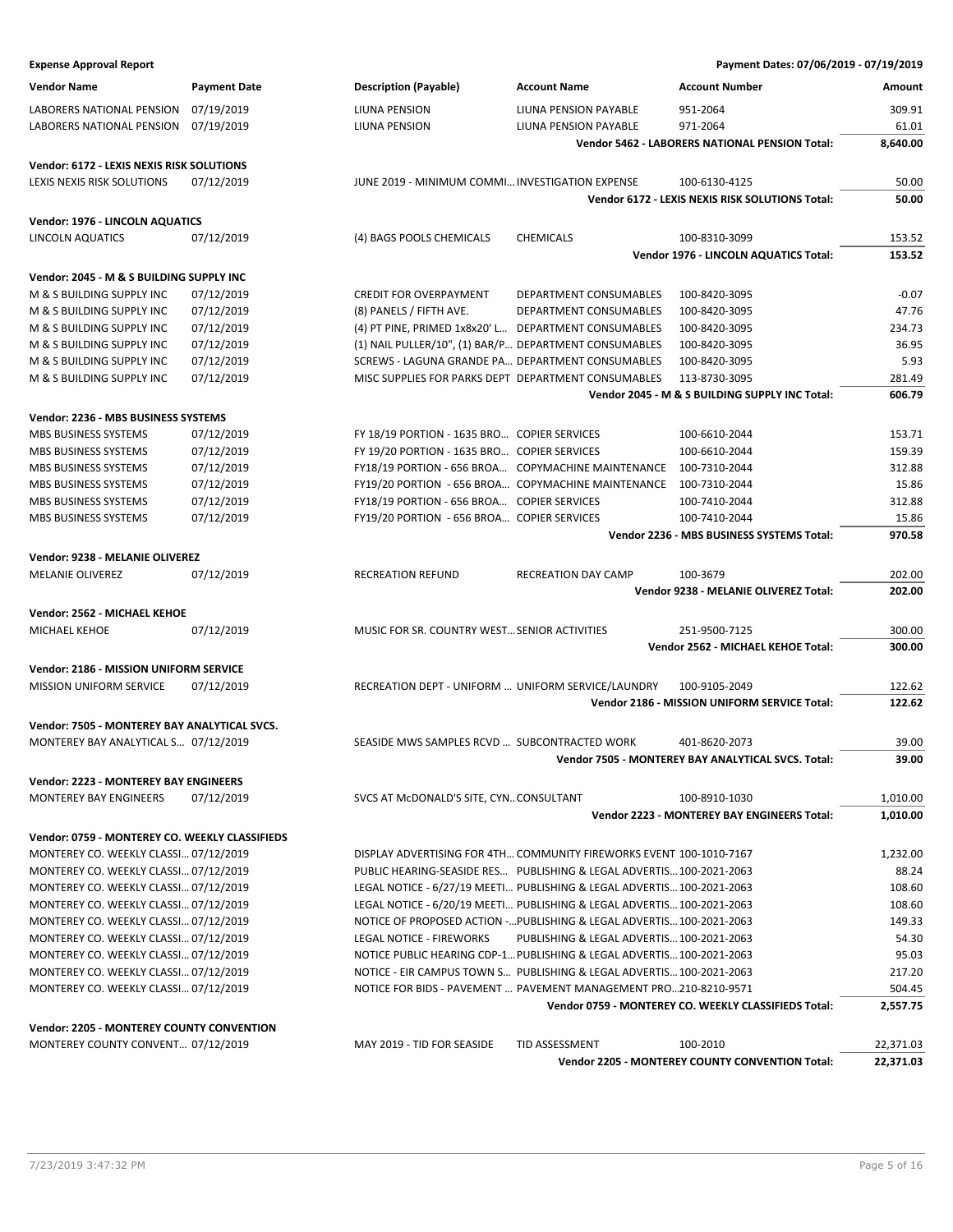| Payment Dates: 07/06/2019 - 07/19/2019 |  |  |
|----------------------------------------|--|--|
|----------------------------------------|--|--|

| <b>Expense Approval Report</b>                                    |                     |                                                       |                                                                        | Payment Dates: 07/06/2019 - 07/19/2019                |                |
|-------------------------------------------------------------------|---------------------|-------------------------------------------------------|------------------------------------------------------------------------|-------------------------------------------------------|----------------|
| <b>Vendor Name</b>                                                | <b>Payment Date</b> | <b>Description (Payable)</b>                          | <b>Account Name</b>                                                    | <b>Account Number</b>                                 | Amount         |
| LABORERS NATIONAL PENSION                                         | 07/19/2019          | LIUNA PENSION                                         | LIUNA PENSION PAYABLE                                                  | 951-2064                                              | 309.91         |
| LABORERS NATIONAL PENSION                                         | 07/19/2019          | LIUNA PENSION                                         | LIUNA PENSION PAYABLE                                                  | 971-2064                                              | 61.01          |
|                                                                   |                     |                                                       |                                                                        | <b>Vendor 5462 - LABORERS NATIONAL PENSION Total:</b> | 8,640.00       |
| Vendor: 6172 - LEXIS NEXIS RISK SOLUTIONS                         |                     |                                                       |                                                                        |                                                       |                |
| LEXIS NEXIS RISK SOLUTIONS                                        | 07/12/2019          | JUNE 2019 - MINIMUM COMMI INVESTIGATION EXPENSE       |                                                                        | 100-6130-4125                                         | 50.00          |
|                                                                   |                     |                                                       |                                                                        | Vendor 6172 - LEXIS NEXIS RISK SOLUTIONS Total:       | 50.00          |
| Vendor: 1976 - LINCOLN AQUATICS                                   |                     |                                                       |                                                                        |                                                       |                |
| LINCOLN AQUATICS                                                  | 07/12/2019          | (4) BAGS POOLS CHEMICALS                              | <b>CHEMICALS</b>                                                       | 100-8310-3099                                         | 153.52         |
|                                                                   |                     |                                                       |                                                                        | Vendor 1976 - LINCOLN AQUATICS Total:                 | 153.52         |
| Vendor: 2045 - M & S BUILDING SUPPLY INC                          |                     |                                                       |                                                                        |                                                       |                |
| M & S BUILDING SUPPLY INC                                         | 07/12/2019          | <b>CREDIT FOR OVERPAYMENT</b>                         | DEPARTMENT CONSUMABLES                                                 | 100-8420-3095                                         | $-0.07$        |
| M & S BUILDING SUPPLY INC                                         | 07/12/2019          | (8) PANELS / FIFTH AVE.                               | DEPARTMENT CONSUMABLES                                                 | 100-8420-3095                                         | 47.76          |
| M & S BUILDING SUPPLY INC                                         | 07/12/2019          | (4) PT PINE, PRIMED 1x8x20' L DEPARTMENT CONSUMABLES  |                                                                        | 100-8420-3095                                         | 234.73         |
| M & S BUILDING SUPPLY INC                                         | 07/12/2019          | (1) NAIL PULLER/10", (1) BAR/P DEPARTMENT CONSUMABLES |                                                                        | 100-8420-3095                                         | 36.95          |
| M & S BUILDING SUPPLY INC                                         | 07/12/2019          | SCREWS - LAGUNA GRANDE PA DEPARTMENT CONSUMABLES      |                                                                        | 100-8420-3095                                         | 5.93           |
| M & S BUILDING SUPPLY INC                                         | 07/12/2019          | MISC SUPPLIES FOR PARKS DEPT DEPARTMENT CONSUMABLES   |                                                                        | 113-8730-3095                                         | 281.49         |
|                                                                   |                     |                                                       |                                                                        | Vendor 2045 - M & S BUILDING SUPPLY INC Total:        | 606.79         |
| Vendor: 2236 - MBS BUSINESS SYSTEMS                               |                     |                                                       |                                                                        |                                                       |                |
| MBS BUSINESS SYSTEMS                                              | 07/12/2019          | FY 18/19 PORTION - 1635 BRO COPIER SERVICES           |                                                                        | 100-6610-2044                                         | 153.71         |
| <b>MBS BUSINESS SYSTEMS</b>                                       | 07/12/2019          | FY 19/20 PORTION - 1635 BRO COPIER SERVICES           |                                                                        | 100-6610-2044                                         | 159.39         |
| MBS BUSINESS SYSTEMS                                              | 07/12/2019          |                                                       | FY18/19 PORTION - 656 BROA COPYMACHINE MAINTENANCE                     | 100-7310-2044                                         | 312.88         |
| MBS BUSINESS SYSTEMS                                              | 07/12/2019          |                                                       | FY19/20 PORTION - 656 BROA COPYMACHINE MAINTENANCE                     | 100-7310-2044                                         | 15.86          |
| MBS BUSINESS SYSTEMS                                              | 07/12/2019          | FY18/19 PORTION - 656 BROA COPIER SERVICES            |                                                                        | 100-7410-2044                                         | 312.88         |
| MBS BUSINESS SYSTEMS                                              | 07/12/2019          | FY19/20 PORTION - 656 BROA COPIER SERVICES            |                                                                        | 100-7410-2044                                         | 15.86          |
|                                                                   |                     |                                                       |                                                                        | Vendor 2236 - MBS BUSINESS SYSTEMS Total:             | 970.58         |
| Vendor: 9238 - MELANIE OLIVEREZ                                   |                     |                                                       |                                                                        |                                                       |                |
| <b>MELANIE OLIVEREZ</b>                                           | 07/12/2019          | RECREATION REFUND                                     | <b>RECREATION DAY CAMP</b>                                             | 100-3679                                              | 202.00         |
|                                                                   |                     |                                                       |                                                                        | Vendor 9238 - MELANIE OLIVEREZ Total:                 | 202.00         |
| Vendor: 2562 - MICHAEL KEHOE                                      |                     |                                                       |                                                                        |                                                       |                |
| MICHAEL KEHOE                                                     | 07/12/2019          | MUSIC FOR SR. COUNTRY WEST SENIOR ACTIVITIES          |                                                                        | 251-9500-7125                                         | 300.00         |
|                                                                   |                     |                                                       |                                                                        | Vendor 2562 - MICHAEL KEHOE Total:                    | 300.00         |
|                                                                   |                     |                                                       |                                                                        |                                                       |                |
| Vendor: 2186 - MISSION UNIFORM SERVICE<br>MISSION UNIFORM SERVICE | 07/12/2019          | RECREATION DEPT - UNIFORM  UNIFORM SERVICE/LAUNDRY    |                                                                        | 100-9105-2049                                         | 122.62         |
|                                                                   |                     |                                                       |                                                                        | Vendor 2186 - MISSION UNIFORM SERVICE Total:          | 122.62         |
|                                                                   |                     |                                                       |                                                                        |                                                       |                |
| Vendor: 7505 - MONTEREY BAY ANALYTICAL SVCS.                      |                     |                                                       |                                                                        |                                                       |                |
| MONTEREY BAY ANALYTICAL S 07/12/2019                              |                     | SEASIDE MWS SAMPLES RCVD  SUBCONTRACTED WORK          |                                                                        | 401-8620-2073                                         | 39.00<br>39.00 |
|                                                                   |                     |                                                       |                                                                        | Vendor 7505 - MONTEREY BAY ANALYTICAL SVCS. Total:    |                |
| Vendor: 2223 - MONTEREY BAY ENGINEERS                             |                     |                                                       |                                                                        |                                                       |                |
| <b>MONTEREY BAY ENGINEERS</b>                                     | 07/12/2019          | SVCS AT MCDONALD'S SITE, CYNCONSULTANT                |                                                                        | 100-8910-1030                                         | 1,010.00       |
|                                                                   |                     |                                                       |                                                                        | Vendor 2223 - MONTEREY BAY ENGINEERS Total:           | 1,010.00       |
| Vendor: 0759 - MONTEREY CO. WEEKLY CLASSIFIEDS                    |                     |                                                       |                                                                        |                                                       |                |
| MONTEREY CO. WEEKLY CLASSI 07/12/2019                             |                     |                                                       | DISPLAY ADVERTISING FOR 4TH COMMUNITY FIREWORKS EVENT 100-1010-7167    |                                                       | 1,232.00       |
| MONTEREY CO. WEEKLY CLASSI 07/12/2019                             |                     |                                                       | PUBLIC HEARING-SEASIDE RES PUBLISHING & LEGAL ADVERTIS 100-2021-2063   |                                                       | 88.24          |
| MONTEREY CO. WEEKLY CLASSI 07/12/2019                             |                     |                                                       | LEGAL NOTICE - 6/27/19 MEETI PUBLISHING & LEGAL ADVERTIS 100-2021-2063 |                                                       | 108.60         |
| MONTEREY CO. WEEKLY CLASSI 07/12/2019                             |                     |                                                       | LEGAL NOTICE - 6/20/19 MEETI PUBLISHING & LEGAL ADVERTIS 100-2021-2063 |                                                       | 108.60         |
| MONTEREY CO. WEEKLY CLASSI 07/12/2019                             |                     |                                                       | NOTICE OF PROPOSED ACTION - PUBLISHING & LEGAL ADVERTIS 100-2021-2063  |                                                       | 149.33         |
| MONTEREY CO. WEEKLY CLASSI 07/12/2019                             |                     | <b>LEGAL NOTICE - FIREWORKS</b>                       | PUBLISHING & LEGAL ADVERTIS 100-2021-2063                              |                                                       | 54.30          |
| MONTEREY CO. WEEKLY CLASSI 07/12/2019                             |                     |                                                       | NOTICE PUBLIC HEARING CDP-1 PUBLISHING & LEGAL ADVERTIS 100-2021-2063  |                                                       | 95.03          |
| MONTEREY CO. WEEKLY CLASSI 07/12/2019                             |                     |                                                       | NOTICE - EIR CAMPUS TOWN S PUBLISHING & LEGAL ADVERTIS 100-2021-2063   |                                                       | 217.20         |
| MONTEREY CO. WEEKLY CLASSI 07/12/2019                             |                     |                                                       | NOTICE FOR BIDS - PAVEMENT  PAVEMENT MANAGEMENT PRO210-8210-9571       |                                                       | 504.45         |
|                                                                   |                     |                                                       |                                                                        | Vendor 0759 - MONTEREY CO. WEEKLY CLASSIFIEDS Total:  | 2,557.75       |
| <b>Vendor: 2205 - MONTEREY COUNTY CONVENTION</b>                  |                     |                                                       |                                                                        |                                                       |                |
| MONTEREY COUNTY CONVENT 07/12/2019                                |                     | MAY 2019 - TID FOR SEASIDE                            | TID ASSESSMENT                                                         | 100-2010                                              | 22,371.03      |
|                                                                   |                     |                                                       |                                                                        | Vendor 2205 - MONTEREY COUNTY CONVENTION Total:       | 22,371.03      |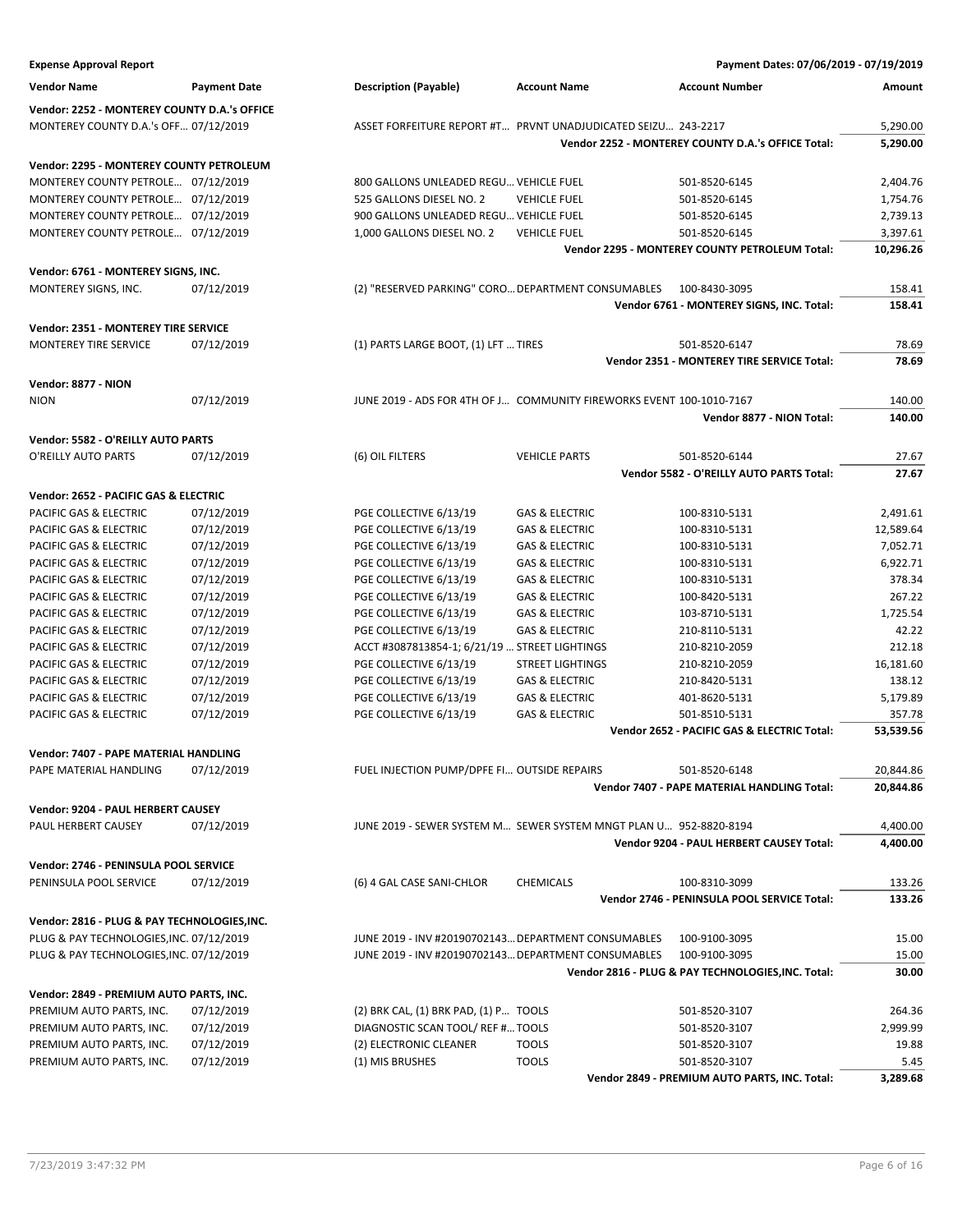| <b>Expense Approval Report</b>               |                          |                                                     |                                                                      | Payment Dates: 07/06/2019 - 07/19/2019                      |                |
|----------------------------------------------|--------------------------|-----------------------------------------------------|----------------------------------------------------------------------|-------------------------------------------------------------|----------------|
| <b>Vendor Name</b>                           | <b>Payment Date</b>      | <b>Description (Payable)</b>                        | <b>Account Name</b>                                                  | <b>Account Number</b>                                       | Amount         |
| Vendor: 2252 - MONTEREY COUNTY D.A.'s OFFICE |                          |                                                     |                                                                      |                                                             |                |
| MONTEREY COUNTY D.A.'s OFF 07/12/2019        |                          |                                                     | ASSET FORFEITURE REPORT #T PRVNT UNADJUDICATED SEIZU 243-2217        |                                                             | 5,290.00       |
|                                              |                          |                                                     |                                                                      | Vendor 2252 - MONTEREY COUNTY D.A.'s OFFICE Total:          | 5,290.00       |
| Vendor: 2295 - MONTEREY COUNTY PETROLEUM     |                          |                                                     |                                                                      |                                                             |                |
| MONTEREY COUNTY PETROLE 07/12/2019           |                          | 800 GALLONS UNLEADED REGU VEHICLE FUEL              |                                                                      | 501-8520-6145                                               | 2,404.76       |
| MONTEREY COUNTY PETROLE 07/12/2019           |                          | 525 GALLONS DIESEL NO. 2                            | <b>VEHICLE FUEL</b>                                                  | 501-8520-6145                                               | 1,754.76       |
| MONTEREY COUNTY PETROLE 07/12/2019           |                          | 900 GALLONS UNLEADED REGU VEHICLE FUEL              |                                                                      | 501-8520-6145                                               | 2,739.13       |
| MONTEREY COUNTY PETROLE 07/12/2019           |                          | 1,000 GALLONS DIESEL NO. 2                          | <b>VEHICLE FUEL</b>                                                  | 501-8520-6145                                               | 3,397.61       |
|                                              |                          |                                                     |                                                                      | <b>Vendor 2295 - MONTEREY COUNTY PETROLEUM Total:</b>       | 10,296.26      |
| Vendor: 6761 - MONTEREY SIGNS, INC.          |                          |                                                     |                                                                      |                                                             |                |
| MONTEREY SIGNS, INC.                         | 07/12/2019               | (2) "RESERVED PARKING" CORO DEPARTMENT CONSUMABLES  |                                                                      | 100-8430-3095                                               | 158.41         |
|                                              |                          |                                                     |                                                                      | Vendor 6761 - MONTEREY SIGNS, INC. Total:                   | 158.41         |
|                                              |                          |                                                     |                                                                      |                                                             |                |
| Vendor: 2351 - MONTEREY TIRE SERVICE         |                          |                                                     |                                                                      |                                                             |                |
| MONTEREY TIRE SERVICE                        | 07/12/2019               | (1) PARTS LARGE BOOT, (1) LFT  TIRES                |                                                                      | 501-8520-6147<br>Vendor 2351 - MONTEREY TIRE SERVICE Total: | 78.69<br>78.69 |
|                                              |                          |                                                     |                                                                      |                                                             |                |
| Vendor: 8877 - NION                          |                          |                                                     |                                                                      |                                                             |                |
| <b>NION</b>                                  | 07/12/2019               |                                                     | JUNE 2019 - ADS FOR 4TH OF J COMMUNITY FIREWORKS EVENT 100-1010-7167 |                                                             | 140.00         |
|                                              |                          |                                                     |                                                                      | Vendor 8877 - NION Total:                                   | 140.00         |
| Vendor: 5582 - O'REILLY AUTO PARTS           |                          |                                                     |                                                                      |                                                             |                |
| O'REILLY AUTO PARTS                          | 07/12/2019               | (6) OIL FILTERS                                     | <b>VEHICLE PARTS</b>                                                 | 501-8520-6144                                               | 27.67          |
|                                              |                          |                                                     |                                                                      | Vendor 5582 - O'REILLY AUTO PARTS Total:                    | 27.67          |
| Vendor: 2652 - PACIFIC GAS & ELECTRIC        |                          |                                                     |                                                                      |                                                             |                |
| PACIFIC GAS & ELECTRIC                       | 07/12/2019               | PGE COLLECTIVE 6/13/19                              | <b>GAS &amp; ELECTRIC</b>                                            | 100-8310-5131                                               | 2,491.61       |
| PACIFIC GAS & ELECTRIC                       | 07/12/2019               | PGE COLLECTIVE 6/13/19                              | <b>GAS &amp; ELECTRIC</b>                                            | 100-8310-5131                                               | 12,589.64      |
| PACIFIC GAS & ELECTRIC                       | 07/12/2019               | PGE COLLECTIVE 6/13/19                              | <b>GAS &amp; ELECTRIC</b>                                            | 100-8310-5131                                               | 7,052.71       |
| PACIFIC GAS & ELECTRIC                       | 07/12/2019               | PGE COLLECTIVE 6/13/19                              | <b>GAS &amp; ELECTRIC</b>                                            | 100-8310-5131                                               | 6,922.71       |
| PACIFIC GAS & ELECTRIC                       | 07/12/2019               | PGE COLLECTIVE 6/13/19                              | <b>GAS &amp; ELECTRIC</b>                                            | 100-8310-5131                                               | 378.34         |
| PACIFIC GAS & ELECTRIC                       | 07/12/2019               | PGE COLLECTIVE 6/13/19                              | <b>GAS &amp; ELECTRIC</b>                                            | 100-8420-5131                                               | 267.22         |
| PACIFIC GAS & ELECTRIC                       | 07/12/2019               | PGE COLLECTIVE 6/13/19                              | <b>GAS &amp; ELECTRIC</b>                                            | 103-8710-5131                                               | 1,725.54       |
| PACIFIC GAS & ELECTRIC                       | 07/12/2019               | PGE COLLECTIVE 6/13/19                              | <b>GAS &amp; ELECTRIC</b>                                            | 210-8110-5131                                               | 42.22          |
| PACIFIC GAS & ELECTRIC                       | 07/12/2019               | ACCT #3087813854-1; 6/21/19  STREET LIGHTINGS       |                                                                      | 210-8210-2059                                               | 212.18         |
| PACIFIC GAS & ELECTRIC                       | 07/12/2019               | PGE COLLECTIVE 6/13/19                              | <b>STREET LIGHTINGS</b>                                              | 210-8210-2059                                               | 16,181.60      |
| PACIFIC GAS & ELECTRIC                       | 07/12/2019               | PGE COLLECTIVE 6/13/19                              | <b>GAS &amp; ELECTRIC</b>                                            | 210-8420-5131                                               | 138.12         |
| PACIFIC GAS & ELECTRIC                       | 07/12/2019               | PGE COLLECTIVE 6/13/19                              | <b>GAS &amp; ELECTRIC</b>                                            | 401-8620-5131                                               | 5,179.89       |
| PACIFIC GAS & ELECTRIC                       | 07/12/2019               | PGE COLLECTIVE 6/13/19                              | <b>GAS &amp; ELECTRIC</b>                                            | 501-8510-5131                                               | 357.78         |
|                                              |                          |                                                     |                                                                      | Vendor 2652 - PACIFIC GAS & ELECTRIC Total:                 | 53,539.56      |
| Vendor: 7407 - PAPE MATERIAL HANDLING        |                          |                                                     |                                                                      |                                                             |                |
| PAPE MATERIAL HANDLING                       | 07/12/2019               | FUEL INJECTION PUMP/DPFE FI OUTSIDE REPAIRS         |                                                                      | 501-8520-6148                                               | 20,844.86      |
|                                              |                          |                                                     |                                                                      | Vendor 7407 - PAPE MATERIAL HANDLING Total:                 | 20,844.86      |
| Vendor: 9204 - PAUL HERBERT CAUSEY           |                          |                                                     |                                                                      |                                                             |                |
| PAUL HERBERT CAUSEY                          | 07/12/2019               |                                                     | JUNE 2019 - SEWER SYSTEM M SEWER SYSTEM MNGT PLAN U 952-8820-8194    |                                                             | 4,400.00       |
|                                              |                          |                                                     |                                                                      | Vendor 9204 - PAUL HERBERT CAUSEY Total:                    | 4,400.00       |
| Vendor: 2746 - PENINSULA POOL SERVICE        |                          |                                                     |                                                                      |                                                             |                |
| PENINSULA POOL SERVICE                       | 07/12/2019               | (6) 4 GAL CASE SANI-CHLOR                           | <b>CHEMICALS</b>                                                     | 100-8310-3099                                               | 133.26         |
|                                              |                          |                                                     |                                                                      | Vendor 2746 - PENINSULA POOL SERVICE Total:                 | 133.26         |
| Vendor: 2816 - PLUG & PAY TECHNOLOGIES, INC. |                          |                                                     |                                                                      |                                                             |                |
| PLUG & PAY TECHNOLOGIES, INC. 07/12/2019     |                          | JUNE 2019 - INV #20190702143 DEPARTMENT CONSUMABLES |                                                                      | 100-9100-3095                                               | 15.00          |
| PLUG & PAY TECHNOLOGIES, INC. 07/12/2019     |                          | JUNE 2019 - INV #20190702143 DEPARTMENT CONSUMABLES |                                                                      | 100-9100-3095                                               | 15.00          |
|                                              |                          |                                                     |                                                                      | Vendor 2816 - PLUG & PAY TECHNOLOGIES, INC. Total:          | 30.00          |
|                                              |                          |                                                     |                                                                      |                                                             |                |
| Vendor: 2849 - PREMIUM AUTO PARTS, INC.      |                          |                                                     |                                                                      |                                                             |                |
| PREMIUM AUTO PARTS, INC.                     | 07/12/2019               | (2) BRK CAL, (1) BRK PAD, (1) P TOOLS               |                                                                      | 501-8520-3107                                               | 264.36         |
| PREMIUM AUTO PARTS, INC.                     | 07/12/2019               | DIAGNOSTIC SCAN TOOL/ REF # TOOLS                   |                                                                      | 501-8520-3107                                               | 2,999.99       |
| PREMIUM AUTO PARTS, INC.                     | 07/12/2019<br>07/12/2019 | (2) ELECTRONIC CLEANER<br>(1) MIS BRUSHES           | <b>TOOLS</b><br><b>TOOLS</b>                                         | 501-8520-3107<br>501-8520-3107                              | 19.88<br>5.45  |
| PREMIUM AUTO PARTS, INC.                     |                          |                                                     |                                                                      | Vendor 2849 - PREMIUM AUTO PARTS, INC. Total:               | 3,289.68       |
|                                              |                          |                                                     |                                                                      |                                                             |                |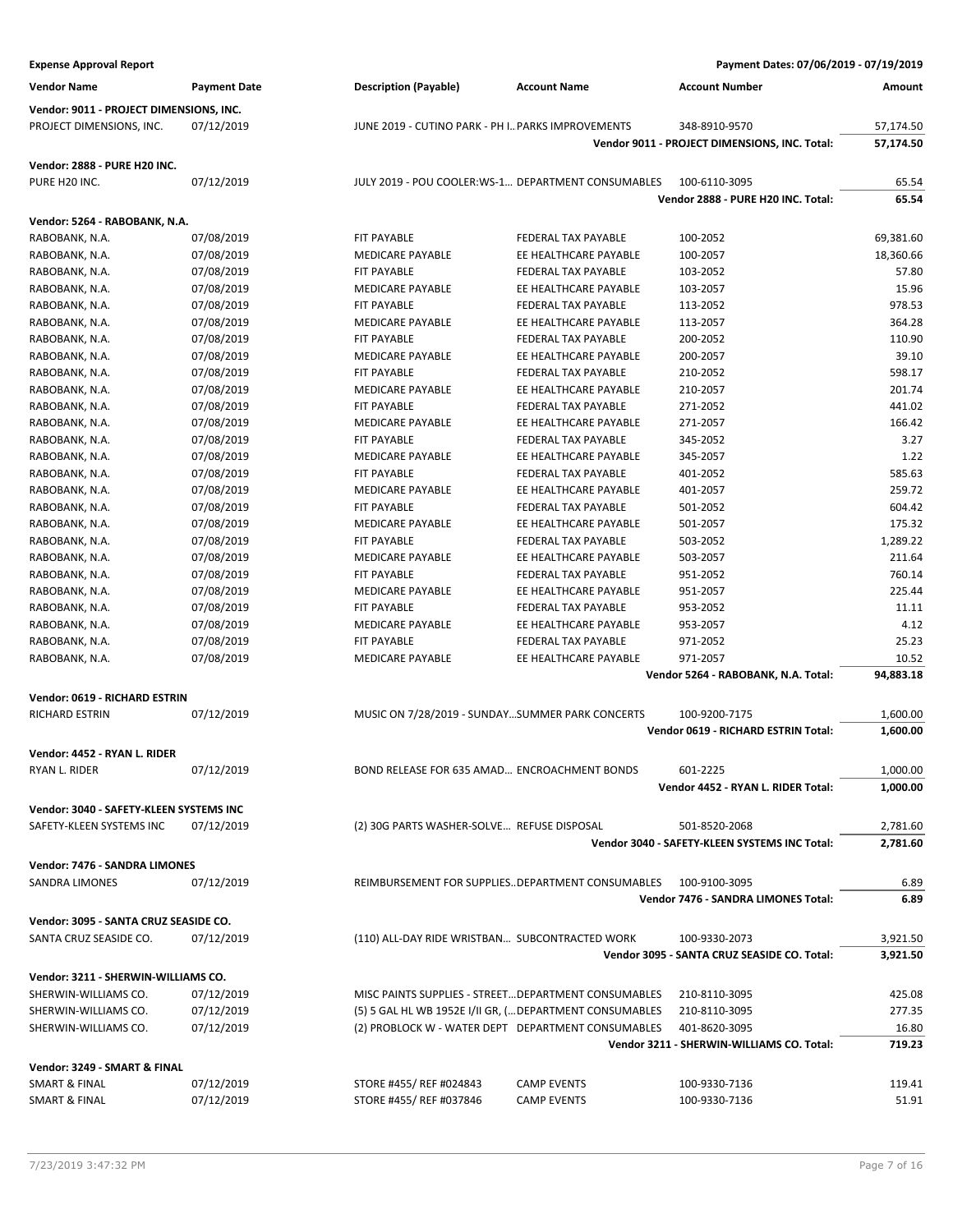| <b>Expense Approval Report</b>            |                          |                                                    |                                                         | Payment Dates: 07/06/2019 - 07/19/2019        |                 |
|-------------------------------------------|--------------------------|----------------------------------------------------|---------------------------------------------------------|-----------------------------------------------|-----------------|
| <b>Vendor Name</b>                        | <b>Payment Date</b>      | <b>Description (Payable)</b>                       | <b>Account Name</b>                                     | <b>Account Number</b>                         | Amount          |
| Vendor: 9011 - PROJECT DIMENSIONS, INC.   |                          |                                                    |                                                         |                                               |                 |
| PROJECT DIMENSIONS, INC.                  | 07/12/2019               | JUNE 2019 - CUTINO PARK - PH I PARKS IMPROVEMENTS  |                                                         | 348-8910-9570                                 | 57,174.50       |
|                                           |                          |                                                    |                                                         | Vendor 9011 - PROJECT DIMENSIONS, INC. Total: | 57,174.50       |
| Vendor: 2888 - PURE H20 INC.              |                          |                                                    |                                                         |                                               |                 |
| PURE H20 INC.                             | 07/12/2019               |                                                    | JULY 2019 - POU COOLER:WS-1 DEPARTMENT CONSUMABLES      | 100-6110-3095                                 | 65.54           |
|                                           |                          |                                                    |                                                         | Vendor 2888 - PURE H20 INC. Total:            | 65.54           |
| Vendor: 5264 - RABOBANK, N.A.             |                          |                                                    |                                                         |                                               |                 |
| RABOBANK, N.A.                            | 07/08/2019               | FIT PAYABLE                                        | FEDERAL TAX PAYABLE                                     | 100-2052                                      | 69,381.60       |
| RABOBANK, N.A.                            | 07/08/2019               | <b>MEDICARE PAYABLE</b>                            | EE HEALTHCARE PAYABLE                                   | 100-2057                                      | 18,360.66       |
| RABOBANK, N.A.                            | 07/08/2019               | FIT PAYABLE                                        | <b>FEDERAL TAX PAYABLE</b>                              | 103-2052                                      | 57.80           |
| RABOBANK, N.A.<br>RABOBANK, N.A.          | 07/08/2019<br>07/08/2019 | MEDICARE PAYABLE<br>FIT PAYABLE                    | EE HEALTHCARE PAYABLE<br>FEDERAL TAX PAYABLE            | 103-2057<br>113-2052                          | 15.96<br>978.53 |
| RABOBANK, N.A.                            | 07/08/2019               | MEDICARE PAYABLE                                   | EE HEALTHCARE PAYABLE                                   | 113-2057                                      | 364.28          |
| RABOBANK, N.A.                            | 07/08/2019               | FIT PAYABLE                                        | FEDERAL TAX PAYABLE                                     | 200-2052                                      | 110.90          |
| RABOBANK, N.A.                            | 07/08/2019               | <b>MEDICARE PAYABLE</b>                            | EE HEALTHCARE PAYABLE                                   | 200-2057                                      | 39.10           |
| RABOBANK, N.A.                            | 07/08/2019               | FIT PAYABLE                                        | FEDERAL TAX PAYABLE                                     | 210-2052                                      | 598.17          |
| RABOBANK, N.A.                            | 07/08/2019               | MEDICARE PAYABLE                                   | EE HEALTHCARE PAYABLE                                   | 210-2057                                      | 201.74          |
| RABOBANK, N.A.                            | 07/08/2019               | FIT PAYABLE                                        | FEDERAL TAX PAYABLE                                     | 271-2052                                      | 441.02          |
| RABOBANK, N.A.                            | 07/08/2019               | <b>MEDICARE PAYABLE</b>                            | EE HEALTHCARE PAYABLE                                   | 271-2057                                      | 166.42          |
| RABOBANK, N.A.                            | 07/08/2019               | FIT PAYABLE                                        | <b>FEDERAL TAX PAYABLE</b>                              | 345-2052                                      | 3.27            |
| RABOBANK, N.A.                            | 07/08/2019               | MEDICARE PAYABLE                                   | EE HEALTHCARE PAYABLE                                   | 345-2057                                      | 1.22            |
| RABOBANK, N.A.                            | 07/08/2019               | FIT PAYABLE                                        | FEDERAL TAX PAYABLE                                     | 401-2052                                      | 585.63          |
| RABOBANK, N.A.                            | 07/08/2019               | MEDICARE PAYABLE                                   | EE HEALTHCARE PAYABLE                                   | 401-2057                                      | 259.72          |
| RABOBANK, N.A.                            | 07/08/2019               | FIT PAYABLE                                        | FEDERAL TAX PAYABLE                                     | 501-2052                                      | 604.42          |
| RABOBANK, N.A.                            | 07/08/2019               | <b>MEDICARE PAYABLE</b>                            | EE HEALTHCARE PAYABLE                                   | 501-2057                                      | 175.32          |
| RABOBANK, N.A.                            | 07/08/2019               | FIT PAYABLE                                        | FEDERAL TAX PAYABLE                                     | 503-2052                                      | 1,289.22        |
| RABOBANK, N.A.                            | 07/08/2019               | MEDICARE PAYABLE                                   | EE HEALTHCARE PAYABLE                                   | 503-2057                                      | 211.64          |
| RABOBANK, N.A.                            | 07/08/2019               | FIT PAYABLE                                        | FEDERAL TAX PAYABLE                                     | 951-2052                                      | 760.14          |
| RABOBANK, N.A.                            | 07/08/2019               | <b>MEDICARE PAYABLE</b>                            | EE HEALTHCARE PAYABLE                                   | 951-2057                                      | 225.44          |
| RABOBANK, N.A.                            | 07/08/2019               | FIT PAYABLE                                        | FEDERAL TAX PAYABLE                                     | 953-2052                                      | 11.11           |
| RABOBANK, N.A.                            | 07/08/2019               | MEDICARE PAYABLE                                   | EE HEALTHCARE PAYABLE                                   | 953-2057                                      | 4.12            |
| RABOBANK, N.A.                            | 07/08/2019               | FIT PAYABLE                                        | FEDERAL TAX PAYABLE                                     | 971-2052                                      | 25.23           |
| RABOBANK, N.A.                            | 07/08/2019               | MEDICARE PAYABLE                                   | EE HEALTHCARE PAYABLE                                   | 971-2057                                      | 10.52           |
|                                           |                          |                                                    |                                                         | Vendor 5264 - RABOBANK, N.A. Total:           | 94,883.18       |
| Vendor: 0619 - RICHARD ESTRIN             |                          |                                                    |                                                         |                                               |                 |
| RICHARD ESTRIN                            | 07/12/2019               |                                                    | MUSIC ON 7/28/2019 - SUNDAYSUMMER PARK CONCERTS         | 100-9200-7175                                 | 1,600.00        |
|                                           |                          |                                                    |                                                         | Vendor 0619 - RICHARD ESTRIN Total:           | 1,600.00        |
| Vendor: 4452 - RYAN L. RIDER              |                          |                                                    |                                                         |                                               |                 |
| RYAN L. RIDER                             | 07/12/2019               |                                                    | BOND RELEASE FOR 635 AMAD ENCROACHMENT BONDS            | 601-2225                                      | 1,000.00        |
|                                           |                          |                                                    |                                                         | Vendor 4452 - RYAN L. RIDER Total:            | 1,000.00        |
| Vendor: 3040 - SAFETY-KLEEN SYSTEMS INC   |                          |                                                    |                                                         |                                               |                 |
| SAFETY-KLEEN SYSTEMS INC                  | 07/12/2019               | (2) 30G PARTS WASHER-SOLVE REFUSE DISPOSAL         |                                                         | 501-8520-2068                                 | 2,781.60        |
|                                           |                          |                                                    |                                                         | Vendor 3040 - SAFETY-KLEEN SYSTEMS INC Total: | 2,781.60        |
| Vendor: 7476 - SANDRA LIMONES             |                          |                                                    |                                                         |                                               |                 |
| <b>SANDRA LIMONES</b>                     | 07/12/2019               |                                                    | REIMBURSEMENT FOR SUPPLIESDEPARTMENT CONSUMABLES        | 100-9100-3095                                 | 6.89            |
|                                           |                          |                                                    |                                                         | Vendor 7476 - SANDRA LIMONES Total:           | 6.89            |
| Vendor: 3095 - SANTA CRUZ SEASIDE CO.     |                          |                                                    |                                                         |                                               |                 |
| SANTA CRUZ SEASIDE CO.                    | 07/12/2019               | (110) ALL-DAY RIDE WRISTBAN SUBCONTRACTED WORK     |                                                         | 100-9330-2073                                 | 3,921.50        |
|                                           |                          |                                                    |                                                         | Vendor 3095 - SANTA CRUZ SEASIDE CO. Total:   | 3,921.50        |
| Vendor: 3211 - SHERWIN-WILLIAMS CO.       |                          |                                                    |                                                         |                                               |                 |
| SHERWIN-WILLIAMS CO.                      | 07/12/2019               |                                                    | MISC PAINTS SUPPLIES - STREET DEPARTMENT CONSUMABLES    | 210-8110-3095                                 | 425.08          |
| SHERWIN-WILLIAMS CO.                      | 07/12/2019               |                                                    | (5) 5 GAL HL WB 1952E I/II GR, ( DEPARTMENT CONSUMABLES | 210-8110-3095                                 | 277.35          |
| SHERWIN-WILLIAMS CO.                      | 07/12/2019               |                                                    | (2) PROBLOCK W - WATER DEPT DEPARTMENT CONSUMABLES      | 401-8620-3095                                 | 16.80           |
|                                           |                          |                                                    |                                                         | Vendor 3211 - SHERWIN-WILLIAMS CO. Total:     | 719.23          |
|                                           |                          |                                                    |                                                         |                                               |                 |
| Vendor: 3249 - SMART & FINAL              |                          |                                                    |                                                         |                                               |                 |
| SMART & FINAL<br><b>SMART &amp; FINAL</b> | 07/12/2019<br>07/12/2019 | STORE #455/ REF #024843<br>STORE #455/ REF #037846 | <b>CAMP EVENTS</b><br><b>CAMP EVENTS</b>                | 100-9330-7136                                 | 119.41<br>51.91 |
|                                           |                          |                                                    |                                                         | 100-9330-7136                                 |                 |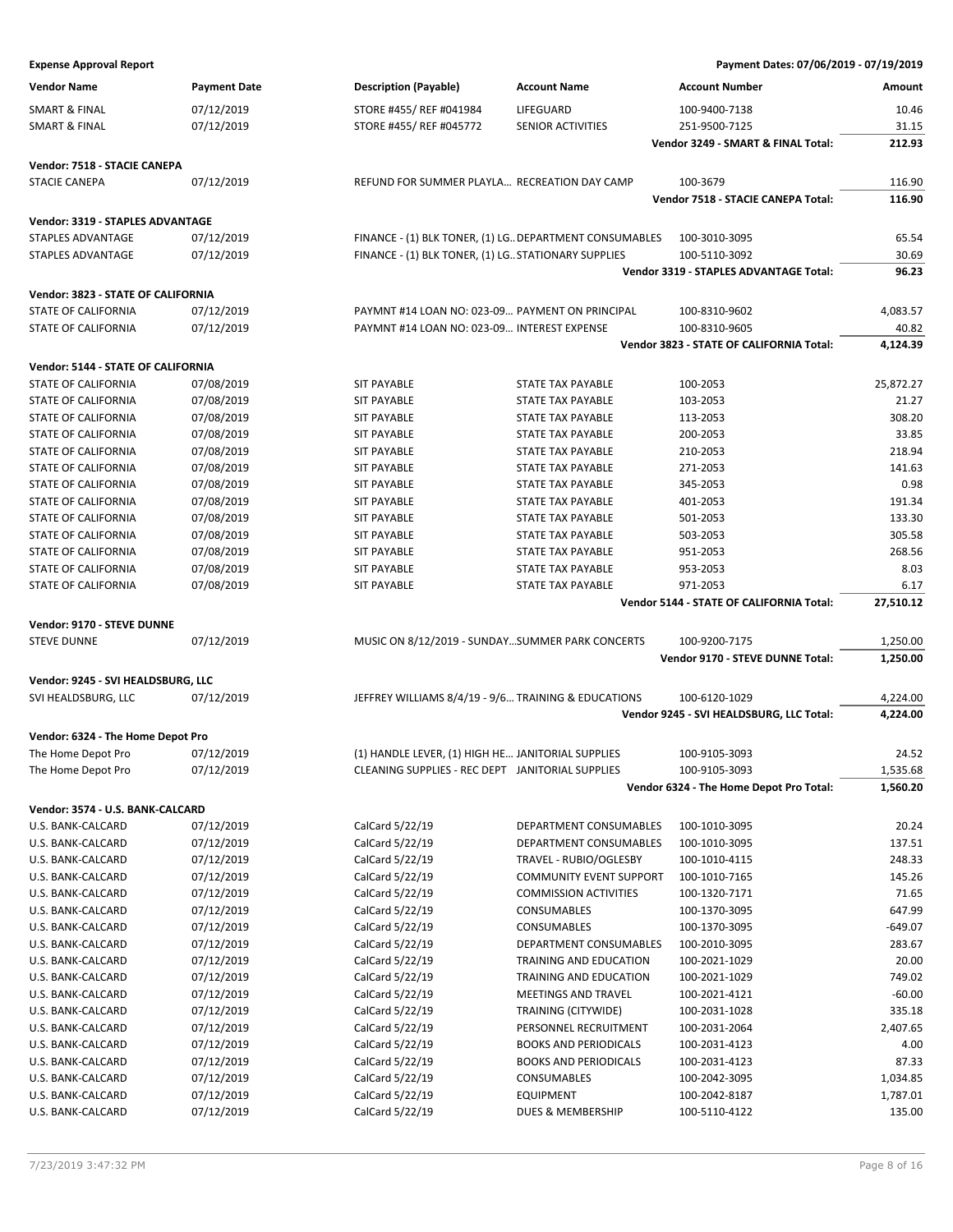**Expense Approval Report Payment Dates: 07/06/2019 - 07/19/2019**

| <b>Vendor Name</b>                 | <b>Payment Date</b> | <b>Description (Payable)</b>                            | <b>Account Name</b>            | <b>Account Number</b>                    | Amount    |
|------------------------------------|---------------------|---------------------------------------------------------|--------------------------------|------------------------------------------|-----------|
| <b>SMART &amp; FINAL</b>           | 07/12/2019          | STORE #455/ REF #041984                                 | LIFEGUARD                      | 100-9400-7138                            | 10.46     |
| <b>SMART &amp; FINAL</b>           | 07/12/2019          | STORE #455/ REF #045772                                 | <b>SENIOR ACTIVITIES</b>       | 251-9500-7125                            | 31.15     |
|                                    |                     |                                                         |                                | Vendor 3249 - SMART & FINAL Total:       | 212.93    |
| Vendor: 7518 - STACIE CANEPA       |                     |                                                         |                                |                                          |           |
| <b>STACIE CANEPA</b>               | 07/12/2019          | REFUND FOR SUMMER PLAYLA RECREATION DAY CAMP            |                                | 100-3679                                 | 116.90    |
|                                    |                     |                                                         |                                | Vendor 7518 - STACIE CANEPA Total:       | 116.90    |
|                                    |                     |                                                         |                                |                                          |           |
| Vendor: 3319 - STAPLES ADVANTAGE   |                     |                                                         |                                |                                          |           |
| <b>STAPLES ADVANTAGE</b>           | 07/12/2019          | FINANCE - (1) BLK TONER, (1) LG. DEPARTMENT CONSUMABLES |                                | 100-3010-3095                            | 65.54     |
| <b>STAPLES ADVANTAGE</b>           | 07/12/2019          | FINANCE - (1) BLK TONER, (1) LG. STATIONARY SUPPLIES    |                                | 100-5110-3092                            | 30.69     |
|                                    |                     |                                                         |                                | Vendor 3319 - STAPLES ADVANTAGE Total:   | 96.23     |
| Vendor: 3823 - STATE OF CALIFORNIA |                     |                                                         |                                |                                          |           |
| STATE OF CALIFORNIA                | 07/12/2019          | PAYMNT #14 LOAN NO: 023-09 PAYMENT ON PRINCIPAL         |                                | 100-8310-9602                            | 4,083.57  |
| STATE OF CALIFORNIA                | 07/12/2019          | PAYMNT #14 LOAN NO: 023-09 INTEREST EXPENSE             |                                | 100-8310-9605                            | 40.82     |
|                                    |                     |                                                         |                                | Vendor 3823 - STATE OF CALIFORNIA Total: | 4,124.39  |
| Vendor: 5144 - STATE OF CALIFORNIA |                     |                                                         |                                |                                          |           |
| <b>STATE OF CALIFORNIA</b>         | 07/08/2019          | <b>SIT PAYABLE</b>                                      | STATE TAX PAYABLE              | 100-2053                                 | 25,872.27 |
| <b>STATE OF CALIFORNIA</b>         | 07/08/2019          | <b>SIT PAYABLE</b>                                      | <b>STATE TAX PAYABLE</b>       | 103-2053                                 | 21.27     |
| STATE OF CALIFORNIA                | 07/08/2019          | <b>SIT PAYABLE</b>                                      | <b>STATE TAX PAYABLE</b>       | 113-2053                                 | 308.20    |
| STATE OF CALIFORNIA                | 07/08/2019          | <b>SIT PAYABLE</b>                                      | <b>STATE TAX PAYABLE</b>       | 200-2053                                 | 33.85     |
| STATE OF CALIFORNIA                | 07/08/2019          | <b>SIT PAYABLE</b>                                      | STATE TAX PAYABLE              | 210-2053                                 | 218.94    |
| STATE OF CALIFORNIA                | 07/08/2019          | <b>SIT PAYABLE</b>                                      | STATE TAX PAYABLE              | 271-2053                                 | 141.63    |
| STATE OF CALIFORNIA                | 07/08/2019          | <b>SIT PAYABLE</b>                                      | <b>STATE TAX PAYABLE</b>       | 345-2053                                 | 0.98      |
| STATE OF CALIFORNIA                | 07/08/2019          | <b>SIT PAYABLE</b>                                      | <b>STATE TAX PAYABLE</b>       | 401-2053                                 | 191.34    |
| STATE OF CALIFORNIA                | 07/08/2019          | <b>SIT PAYABLE</b>                                      | <b>STATE TAX PAYABLE</b>       | 501-2053                                 | 133.30    |
| STATE OF CALIFORNIA                | 07/08/2019          | <b>SIT PAYABLE</b>                                      | STATE TAX PAYABLE              | 503-2053                                 | 305.58    |
| STATE OF CALIFORNIA                | 07/08/2019          | <b>SIT PAYABLE</b>                                      | STATE TAX PAYABLE              | 951-2053                                 | 268.56    |
| STATE OF CALIFORNIA                | 07/08/2019          | <b>SIT PAYABLE</b>                                      | <b>STATE TAX PAYABLE</b>       | 953-2053                                 | 8.03      |
| STATE OF CALIFORNIA                | 07/08/2019          | <b>SIT PAYABLE</b>                                      | STATE TAX PAYABLE              | 971-2053                                 | 6.17      |
|                                    |                     |                                                         |                                | Vendor 5144 - STATE OF CALIFORNIA Total: | 27,510.12 |
| Vendor: 9170 - STEVE DUNNE         |                     |                                                         |                                |                                          |           |
| <b>STEVE DUNNE</b>                 | 07/12/2019          | MUSIC ON 8/12/2019 - SUNDAYSUMMER PARK CONCERTS         |                                | 100-9200-7175                            | 1,250.00  |
|                                    |                     |                                                         |                                | Vendor 9170 - STEVE DUNNE Total:         | 1,250.00  |
|                                    |                     |                                                         |                                |                                          |           |
| Vendor: 9245 - SVI HEALDSBURG, LLC | 07/12/2019          | JEFFREY WILLIAMS 8/4/19 - 9/6 TRAINING & EDUCATIONS     |                                | 100-6120-1029                            | 4,224.00  |
| SVI HEALDSBURG, LLC                |                     |                                                         |                                | Vendor 9245 - SVI HEALDSBURG, LLC Total: | 4,224.00  |
|                                    |                     |                                                         |                                |                                          |           |
| Vendor: 6324 - The Home Depot Pro  |                     |                                                         |                                |                                          |           |
| The Home Depot Pro                 | 07/12/2019          | (1) HANDLE LEVER, (1) HIGH HE JANITORIAL SUPPLIES       |                                | 100-9105-3093                            | 24.52     |
| The Home Depot Pro                 | 07/12/2019          | CLEANING SUPPLIES - REC DEPT JANITORIAL SUPPLIES        |                                | 100-9105-3093                            | 1,535.68  |
|                                    |                     |                                                         |                                | Vendor 6324 - The Home Depot Pro Total:  | 1,560.20  |
| Vendor: 3574 - U.S. BANK-CALCARD   |                     |                                                         |                                |                                          |           |
| U.S. BANK-CALCARD                  | 07/12/2019          | CalCard 5/22/19                                         | DEPARTMENT CONSUMABLES         | 100-1010-3095                            | 20.24     |
| U.S. BANK-CALCARD                  | 07/12/2019          | CalCard 5/22/19                                         | DEPARTMENT CONSUMABLES         | 100-1010-3095                            | 137.51    |
| U.S. BANK-CALCARD                  | 07/12/2019          | CalCard 5/22/19                                         | TRAVEL - RUBIO/OGLESBY         | 100-1010-4115                            | 248.33    |
| U.S. BANK-CALCARD                  | 07/12/2019          | CalCard 5/22/19                                         | <b>COMMUNITY EVENT SUPPORT</b> | 100-1010-7165                            | 145.26    |
| U.S. BANK-CALCARD                  | 07/12/2019          | CalCard 5/22/19                                         | <b>COMMISSION ACTIVITIES</b>   | 100-1320-7171                            | 71.65     |
| U.S. BANK-CALCARD                  | 07/12/2019          | CalCard 5/22/19                                         | CONSUMABLES                    | 100-1370-3095                            | 647.99    |
| U.S. BANK-CALCARD                  | 07/12/2019          | CalCard 5/22/19                                         | CONSUMABLES                    | 100-1370-3095                            | $-649.07$ |
| U.S. BANK-CALCARD                  | 07/12/2019          | CalCard 5/22/19                                         | DEPARTMENT CONSUMABLES         | 100-2010-3095                            | 283.67    |
| U.S. BANK-CALCARD                  | 07/12/2019          | CalCard 5/22/19                                         | TRAINING AND EDUCATION         | 100-2021-1029                            | 20.00     |
| U.S. BANK-CALCARD                  | 07/12/2019          | CalCard 5/22/19                                         | TRAINING AND EDUCATION         | 100-2021-1029                            | 749.02    |
| U.S. BANK-CALCARD                  | 07/12/2019          | CalCard 5/22/19                                         | MEETINGS AND TRAVEL            | 100-2021-4121                            | $-60.00$  |
| U.S. BANK-CALCARD                  | 07/12/2019          | CalCard 5/22/19                                         | TRAINING (CITYWIDE)            | 100-2031-1028                            | 335.18    |
| U.S. BANK-CALCARD                  | 07/12/2019          | CalCard 5/22/19                                         | PERSONNEL RECRUITMENT          | 100-2031-2064                            | 2,407.65  |
| U.S. BANK-CALCARD                  | 07/12/2019          | CalCard 5/22/19                                         | <b>BOOKS AND PERIODICALS</b>   | 100-2031-4123                            | 4.00      |
| U.S. BANK-CALCARD                  | 07/12/2019          | CalCard 5/22/19                                         | <b>BOOKS AND PERIODICALS</b>   | 100-2031-4123                            | 87.33     |
| U.S. BANK-CALCARD                  | 07/12/2019          | CalCard 5/22/19                                         | CONSUMABLES                    | 100-2042-3095                            | 1,034.85  |
| U.S. BANK-CALCARD                  | 07/12/2019          | CalCard 5/22/19                                         | <b>EQUIPMENT</b>               | 100-2042-8187                            | 1,787.01  |
| U.S. BANK-CALCARD                  | 07/12/2019          | CalCard 5/22/19                                         | DUES & MEMBERSHIP              | 100-5110-4122                            | 135.00    |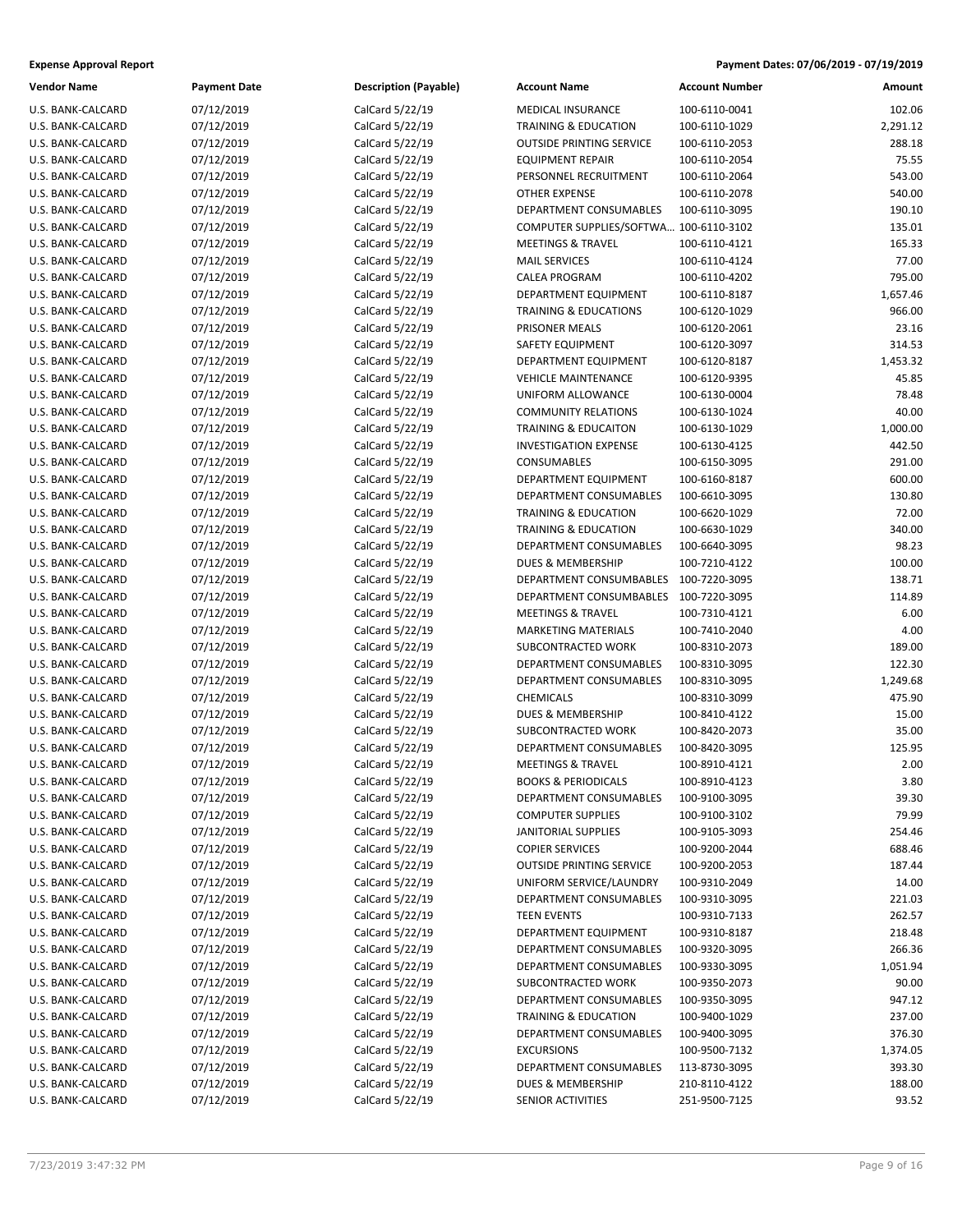| <b>Expense Approval Report</b> | Payment Dates: 07/06/2019 - 07/19/2019 |
|--------------------------------|----------------------------------------|
|--------------------------------|----------------------------------------|

| Vendor Name       | <b>Payment Date</b> | <b>Description (Payable)</b> | <b>Account Name</b>                    | <b>Account Number</b> | Amount   |
|-------------------|---------------------|------------------------------|----------------------------------------|-----------------------|----------|
| U.S. BANK-CALCARD | 07/12/2019          | CalCard 5/22/19              | <b>MEDICAL INSURANCE</b>               | 100-6110-0041         | 102.06   |
| U.S. BANK-CALCARD | 07/12/2019          | CalCard 5/22/19              | <b>TRAINING &amp; EDUCATION</b>        | 100-6110-1029         | 2,291.12 |
| U.S. BANK-CALCARD | 07/12/2019          | CalCard 5/22/19              | <b>OUTSIDE PRINTING SERVICE</b>        | 100-6110-2053         | 288.18   |
| U.S. BANK-CALCARD | 07/12/2019          | CalCard 5/22/19              | <b>EQUIPMENT REPAIR</b>                | 100-6110-2054         | 75.55    |
| U.S. BANK-CALCARD | 07/12/2019          | CalCard 5/22/19              | PERSONNEL RECRUITMENT                  | 100-6110-2064         | 543.00   |
| U.S. BANK-CALCARD | 07/12/2019          | CalCard 5/22/19              | <b>OTHER EXPENSE</b>                   | 100-6110-2078         | 540.00   |
| U.S. BANK-CALCARD | 07/12/2019          | CalCard 5/22/19              | DEPARTMENT CONSUMABLES                 | 100-6110-3095         | 190.10   |
| U.S. BANK-CALCARD | 07/12/2019          | CalCard 5/22/19              | COMPUTER SUPPLIES/SOFTWA 100-6110-3102 |                       | 135.01   |
| U.S. BANK-CALCARD | 07/12/2019          | CalCard 5/22/19              | <b>MEETINGS &amp; TRAVEL</b>           | 100-6110-4121         | 165.33   |
| U.S. BANK-CALCARD | 07/12/2019          | CalCard 5/22/19              | <b>MAIL SERVICES</b>                   | 100-6110-4124         | 77.00    |
| U.S. BANK-CALCARD | 07/12/2019          | CalCard 5/22/19              | <b>CALEA PROGRAM</b>                   | 100-6110-4202         | 795.00   |
| U.S. BANK-CALCARD | 07/12/2019          | CalCard 5/22/19              | DEPARTMENT EQUIPMENT                   | 100-6110-8187         | 1,657.46 |
| U.S. BANK-CALCARD | 07/12/2019          | CalCard 5/22/19              | TRAINING & EDUCATIONS                  | 100-6120-1029         | 966.00   |
| U.S. BANK-CALCARD | 07/12/2019          | CalCard 5/22/19              | PRISONER MEALS                         | 100-6120-2061         | 23.16    |
| U.S. BANK-CALCARD | 07/12/2019          | CalCard 5/22/19              | SAFETY EQUIPMENT                       | 100-6120-3097         | 314.53   |
| U.S. BANK-CALCARD | 07/12/2019          | CalCard 5/22/19              | DEPARTMENT EQUIPMENT                   | 100-6120-8187         | 1,453.32 |
| U.S. BANK-CALCARD | 07/12/2019          | CalCard 5/22/19              | <b>VEHICLE MAINTENANCE</b>             | 100-6120-9395         | 45.85    |
| U.S. BANK-CALCARD | 07/12/2019          | CalCard 5/22/19              | UNIFORM ALLOWANCE                      | 100-6130-0004         | 78.48    |
| U.S. BANK-CALCARD | 07/12/2019          | CalCard 5/22/19              | <b>COMMUNITY RELATIONS</b>             | 100-6130-1024         | 40.00    |
| U.S. BANK-CALCARD | 07/12/2019          | CalCard 5/22/19              | <b>TRAINING &amp; EDUCAITON</b>        | 100-6130-1029         | 1,000.00 |
| U.S. BANK-CALCARD | 07/12/2019          | CalCard 5/22/19              | <b>INVESTIGATION EXPENSE</b>           | 100-6130-4125         | 442.50   |
| U.S. BANK-CALCARD | 07/12/2019          | CalCard 5/22/19              | CONSUMABLES                            | 100-6150-3095         | 291.00   |
| U.S. BANK-CALCARD | 07/12/2019          | CalCard 5/22/19              | DEPARTMENT EQUIPMENT                   | 100-6160-8187         | 600.00   |
| U.S. BANK-CALCARD | 07/12/2019          | CalCard 5/22/19              | DEPARTMENT CONSUMABLES                 | 100-6610-3095         | 130.80   |
| U.S. BANK-CALCARD | 07/12/2019          | CalCard 5/22/19              | <b>TRAINING &amp; EDUCATION</b>        | 100-6620-1029         | 72.00    |
| U.S. BANK-CALCARD | 07/12/2019          | CalCard 5/22/19              | <b>TRAINING &amp; EDUCATION</b>        | 100-6630-1029         | 340.00   |
| U.S. BANK-CALCARD | 07/12/2019          | CalCard 5/22/19              | DEPARTMENT CONSUMABLES                 | 100-6640-3095         | 98.23    |
| U.S. BANK-CALCARD | 07/12/2019          | CalCard 5/22/19              | <b>DUES &amp; MEMBERSHIP</b>           | 100-7210-4122         | 100.00   |
| U.S. BANK-CALCARD | 07/12/2019          | CalCard 5/22/19              | DEPARTMENT CONSUMBABLES                | 100-7220-3095         | 138.71   |
| U.S. BANK-CALCARD | 07/12/2019          | CalCard 5/22/19              | DEPARTMENT CONSUMBABLES                | 100-7220-3095         | 114.89   |
| U.S. BANK-CALCARD | 07/12/2019          | CalCard 5/22/19              | <b>MEETINGS &amp; TRAVEL</b>           | 100-7310-4121         | 6.00     |
| U.S. BANK-CALCARD | 07/12/2019          | CalCard 5/22/19              | <b>MARKETING MATERIALS</b>             | 100-7410-2040         | 4.00     |
| U.S. BANK-CALCARD | 07/12/2019          | CalCard 5/22/19              | SUBCONTRACTED WORK                     | 100-8310-2073         | 189.00   |
| U.S. BANK-CALCARD | 07/12/2019          | CalCard 5/22/19              | DEPARTMENT CONSUMABLES                 | 100-8310-3095         | 122.30   |
| U.S. BANK-CALCARD | 07/12/2019          | CalCard 5/22/19              | DEPARTMENT CONSUMABLES                 | 100-8310-3095         | 1,249.68 |
| U.S. BANK-CALCARD | 07/12/2019          | CalCard 5/22/19              | <b>CHEMICALS</b>                       | 100-8310-3099         | 475.90   |
| U.S. BANK-CALCARD | 07/12/2019          | CalCard 5/22/19              | <b>DUES &amp; MEMBERSHIP</b>           | 100-8410-4122         | 15.00    |
| U.S. BANK-CALCARD | 07/12/2019          | CalCard 5/22/19              | SUBCONTRACTED WORK                     | 100-8420-2073         | 35.00    |
| U.S. BANK-CALCARD | 07/12/2019          | CalCard 5/22/19              | DEPARTMENT CONSUMABLES                 | 100-8420-3095         | 125.95   |
| U.S. BANK-CALCARD | 07/12/2019          | CalCard 5/22/19              | <b>MEETINGS &amp; TRAVEL</b>           | 100-8910-4121         | 2.00     |
| U.S. BANK-CALCARD | 07/12/2019          | CalCard 5/22/19              | <b>BOOKS &amp; PERIODICALS</b>         | 100-8910-4123         | 3.80     |
| U.S. BANK-CALCARD | 07/12/2019          | CalCard 5/22/19              | DEPARTMENT CONSUMABLES                 | 100-9100-3095         | 39.30    |
| U.S. BANK-CALCARD | 07/12/2019          | CalCard 5/22/19              | <b>COMPUTER SUPPLIES</b>               | 100-9100-3102         | 79.99    |
| U.S. BANK-CALCARD | 07/12/2019          | CalCard 5/22/19              | <b>JANITORIAL SUPPLIES</b>             | 100-9105-3093         | 254.46   |
| U.S. BANK-CALCARD | 07/12/2019          | CalCard 5/22/19              | <b>COPIER SERVICES</b>                 | 100-9200-2044         | 688.46   |
| U.S. BANK-CALCARD | 07/12/2019          | CalCard 5/22/19              | <b>OUTSIDE PRINTING SERVICE</b>        | 100-9200-2053         | 187.44   |
| U.S. BANK-CALCARD | 07/12/2019          | CalCard 5/22/19              | UNIFORM SERVICE/LAUNDRY                | 100-9310-2049         | 14.00    |
| U.S. BANK-CALCARD | 07/12/2019          | CalCard 5/22/19              | DEPARTMENT CONSUMABLES                 | 100-9310-3095         | 221.03   |
| U.S. BANK-CALCARD | 07/12/2019          | CalCard 5/22/19              | <b>TEEN EVENTS</b>                     | 100-9310-7133         | 262.57   |
| U.S. BANK-CALCARD | 07/12/2019          | CalCard 5/22/19              | DEPARTMENT EQUIPMENT                   | 100-9310-8187         | 218.48   |
| U.S. BANK-CALCARD | 07/12/2019          | CalCard 5/22/19              | DEPARTMENT CONSUMABLES                 | 100-9320-3095         | 266.36   |
| U.S. BANK-CALCARD | 07/12/2019          | CalCard 5/22/19              | DEPARTMENT CONSUMABLES                 | 100-9330-3095         | 1,051.94 |
| U.S. BANK-CALCARD | 07/12/2019          | CalCard 5/22/19              | SUBCONTRACTED WORK                     | 100-9350-2073         | 90.00    |
| U.S. BANK-CALCARD | 07/12/2019          | CalCard 5/22/19              | DEPARTMENT CONSUMABLES                 | 100-9350-3095         | 947.12   |
| U.S. BANK-CALCARD | 07/12/2019          | CalCard 5/22/19              | <b>TRAINING &amp; EDUCATION</b>        | 100-9400-1029         | 237.00   |
| U.S. BANK-CALCARD | 07/12/2019          | CalCard 5/22/19              | DEPARTMENT CONSUMABLES                 | 100-9400-3095         | 376.30   |
| U.S. BANK-CALCARD | 07/12/2019          | CalCard 5/22/19              | <b>EXCURSIONS</b>                      | 100-9500-7132         | 1,374.05 |
| U.S. BANK-CALCARD | 07/12/2019          | CalCard 5/22/19              | DEPARTMENT CONSUMABLES                 | 113-8730-3095         | 393.30   |
| U.S. BANK-CALCARD | 07/12/2019          | CalCard 5/22/19              | DUES & MEMBERSHIP                      | 210-8110-4122         | 188.00   |
| U.S. BANK-CALCARD | 07/12/2019          | CalCard 5/22/19              | SENIOR ACTIVITIES                      | 251-9500-7125         | 93.52    |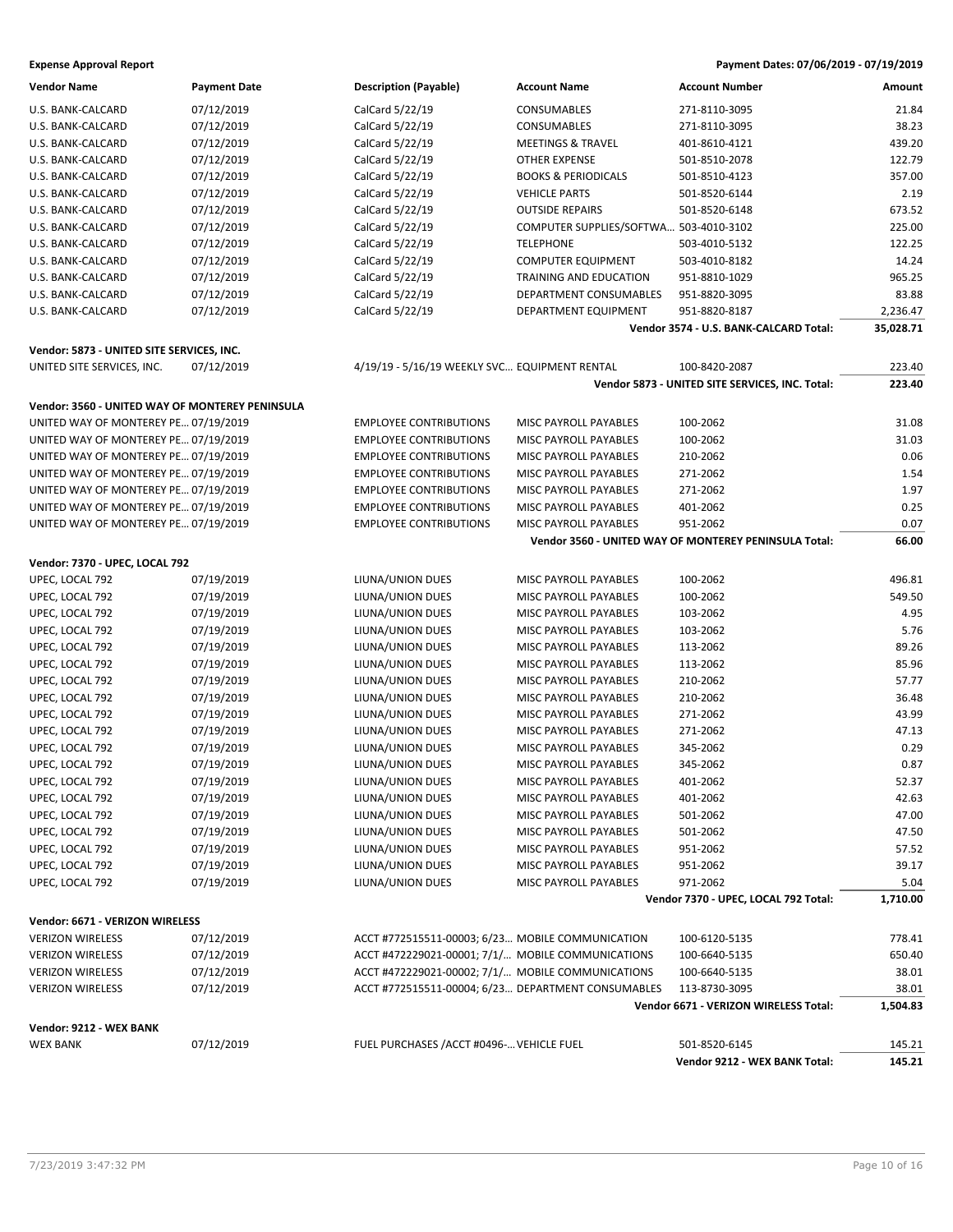**Expense Approval Report Payment Dates: 07/06/2019 - 07/19/2019**

| <b>Vendor Name</b>                              | <b>Payment Date</b> | <b>Description (Payable)</b>                       | <b>Account Name</b>                    | <b>Account Number</b>                                   | Amount                |
|-------------------------------------------------|---------------------|----------------------------------------------------|----------------------------------------|---------------------------------------------------------|-----------------------|
| U.S. BANK-CALCARD                               | 07/12/2019          | CalCard 5/22/19                                    | CONSUMABLES                            | 271-8110-3095                                           | 21.84                 |
| U.S. BANK-CALCARD                               | 07/12/2019          | CalCard 5/22/19                                    | CONSUMABLES                            | 271-8110-3095                                           | 38.23                 |
| U.S. BANK-CALCARD                               | 07/12/2019          | CalCard 5/22/19                                    | <b>MEETINGS &amp; TRAVEL</b>           | 401-8610-4121                                           | 439.20                |
| U.S. BANK-CALCARD                               | 07/12/2019          | CalCard 5/22/19                                    | <b>OTHER EXPENSE</b>                   | 501-8510-2078                                           | 122.79                |
| U.S. BANK-CALCARD                               | 07/12/2019          | CalCard 5/22/19                                    | <b>BOOKS &amp; PERIODICALS</b>         | 501-8510-4123                                           | 357.00                |
| U.S. BANK-CALCARD                               | 07/12/2019          | CalCard 5/22/19                                    | <b>VEHICLE PARTS</b>                   | 501-8520-6144                                           | 2.19                  |
| U.S. BANK-CALCARD                               | 07/12/2019          | CalCard 5/22/19                                    | <b>OUTSIDE REPAIRS</b>                 | 501-8520-6148                                           | 673.52                |
| U.S. BANK-CALCARD                               | 07/12/2019          | CalCard 5/22/19                                    | COMPUTER SUPPLIES/SOFTWA 503-4010-3102 |                                                         | 225.00                |
| U.S. BANK-CALCARD                               | 07/12/2019          | CalCard 5/22/19                                    | <b>TELEPHONE</b>                       | 503-4010-5132                                           | 122.25                |
|                                                 |                     |                                                    | <b>COMPUTER EQUIPMENT</b>              |                                                         | 14.24                 |
| U.S. BANK-CALCARD                               | 07/12/2019          | CalCard 5/22/19                                    |                                        | 503-4010-8182                                           |                       |
| U.S. BANK-CALCARD                               | 07/12/2019          | CalCard 5/22/19                                    | TRAINING AND EDUCATION                 | 951-8810-1029                                           | 965.25                |
| U.S. BANK-CALCARD                               | 07/12/2019          | CalCard 5/22/19                                    | DEPARTMENT CONSUMABLES                 | 951-8820-3095                                           | 83.88                 |
| U.S. BANK-CALCARD                               | 07/12/2019          | CalCard 5/22/19                                    | DEPARTMENT EQUIPMENT                   | 951-8820-8187<br>Vendor 3574 - U.S. BANK-CALCARD Total: | 2,236.47<br>35,028.71 |
|                                                 |                     |                                                    |                                        |                                                         |                       |
| Vendor: 5873 - UNITED SITE SERVICES, INC.       |                     |                                                    |                                        |                                                         |                       |
| UNITED SITE SERVICES, INC.                      | 07/12/2019          | 4/19/19 - 5/16/19 WEEKLY SVC EQUIPMENT RENTAL      |                                        | 100-8420-2087                                           | 223.40                |
|                                                 |                     |                                                    |                                        | Vendor 5873 - UNITED SITE SERVICES, INC. Total:         | 223.40                |
| Vendor: 3560 - UNITED WAY OF MONTEREY PENINSULA |                     |                                                    |                                        |                                                         |                       |
| UNITED WAY OF MONTEREY PE 07/19/2019            |                     | <b>EMPLOYEE CONTRIBUTIONS</b>                      | MISC PAYROLL PAYABLES                  | 100-2062                                                | 31.08                 |
| UNITED WAY OF MONTEREY PE 07/19/2019            |                     | <b>EMPLOYEE CONTRIBUTIONS</b>                      | MISC PAYROLL PAYABLES                  | 100-2062                                                | 31.03                 |
| UNITED WAY OF MONTEREY PE 07/19/2019            |                     | <b>EMPLOYEE CONTRIBUTIONS</b>                      | MISC PAYROLL PAYABLES                  | 210-2062                                                | 0.06                  |
| UNITED WAY OF MONTEREY PE 07/19/2019            |                     | <b>EMPLOYEE CONTRIBUTIONS</b>                      | MISC PAYROLL PAYABLES                  | 271-2062                                                | 1.54                  |
| UNITED WAY OF MONTEREY PE 07/19/2019            |                     | <b>EMPLOYEE CONTRIBUTIONS</b>                      | MISC PAYROLL PAYABLES                  | 271-2062                                                | 1.97                  |
| UNITED WAY OF MONTEREY PE 07/19/2019            |                     | <b>EMPLOYEE CONTRIBUTIONS</b>                      | <b>MISC PAYROLL PAYABLES</b>           | 401-2062                                                | 0.25                  |
| UNITED WAY OF MONTEREY PE 07/19/2019            |                     | <b>EMPLOYEE CONTRIBUTIONS</b>                      | MISC PAYROLL PAYABLES                  | 951-2062                                                | 0.07                  |
|                                                 |                     |                                                    |                                        | Vendor 3560 - UNITED WAY OF MONTEREY PENINSULA Total:   | 66.00                 |
| Vendor: 7370 - UPEC, LOCAL 792                  |                     |                                                    |                                        |                                                         |                       |
| UPEC, LOCAL 792                                 | 07/19/2019          | LIUNA/UNION DUES                                   | MISC PAYROLL PAYABLES                  | 100-2062                                                | 496.81                |
| UPEC, LOCAL 792                                 | 07/19/2019          | LIUNA/UNION DUES                                   | MISC PAYROLL PAYABLES                  | 100-2062                                                | 549.50                |
| UPEC, LOCAL 792                                 | 07/19/2019          | LIUNA/UNION DUES                                   | MISC PAYROLL PAYABLES                  | 103-2062                                                | 4.95                  |
|                                                 | 07/19/2019          |                                                    |                                        |                                                         | 5.76                  |
| UPEC, LOCAL 792                                 |                     | LIUNA/UNION DUES                                   | MISC PAYROLL PAYABLES                  | 103-2062                                                |                       |
| UPEC, LOCAL 792                                 | 07/19/2019          | LIUNA/UNION DUES                                   | MISC PAYROLL PAYABLES                  | 113-2062                                                | 89.26                 |
| UPEC, LOCAL 792                                 | 07/19/2019          | LIUNA/UNION DUES                                   | MISC PAYROLL PAYABLES                  | 113-2062                                                | 85.96                 |
| UPEC, LOCAL 792                                 | 07/19/2019          | LIUNA/UNION DUES                                   | MISC PAYROLL PAYABLES                  | 210-2062                                                | 57.77                 |
| UPEC, LOCAL 792                                 | 07/19/2019          | LIUNA/UNION DUES                                   | MISC PAYROLL PAYABLES                  | 210-2062                                                | 36.48                 |
| UPEC, LOCAL 792                                 | 07/19/2019          | LIUNA/UNION DUES                                   | MISC PAYROLL PAYABLES                  | 271-2062                                                | 43.99                 |
| UPEC, LOCAL 792                                 | 07/19/2019          | LIUNA/UNION DUES                                   | MISC PAYROLL PAYABLES                  | 271-2062                                                | 47.13                 |
| UPEC, LOCAL 792                                 | 07/19/2019          | LIUNA/UNION DUES                                   | MISC PAYROLL PAYABLES                  | 345-2062                                                | 0.29                  |
| UPEC, LOCAL 792                                 | 07/19/2019          | LIUNA/UNION DUES                                   | MISC PAYROLL PAYABLES                  | 345-2062                                                | 0.87                  |
| UPEC, LOCAL 792                                 | 07/19/2019          | LIUNA/UNION DUES                                   | MISC PAYROLL PAYABLES                  | 401-2062                                                | 52.37                 |
| UPEC, LOCAL 792                                 | 07/19/2019          | LIUNA/UNION DUES                                   | MISC PAYROLL PAYABLES                  | 401-2062                                                | 42.63                 |
| UPEC, LOCAL 792                                 | 07/19/2019          | LIUNA/UNION DUES                                   | MISC PAYROLL PAYABLES                  | 501-2062                                                | 47.00                 |
| UPEC, LOCAL 792                                 | 07/19/2019          | LIUNA/UNION DUES                                   | MISC PAYROLL PAYABLES                  | 501-2062                                                | 47.50                 |
| UPEC, LOCAL 792                                 | 07/19/2019          | LIUNA/UNION DUES                                   | MISC PAYROLL PAYABLES                  | 951-2062                                                | 57.52                 |
| UPEC, LOCAL 792                                 | 07/19/2019          | LIUNA/UNION DUES                                   | MISC PAYROLL PAYABLES                  | 951-2062                                                | 39.17                 |
| UPEC, LOCAL 792                                 | 07/19/2019          | LIUNA/UNION DUES                                   | MISC PAYROLL PAYABLES                  | 971-2062                                                | 5.04                  |
|                                                 |                     |                                                    |                                        | Vendor 7370 - UPEC, LOCAL 792 Total:                    | 1,710.00              |
| Vendor: 6671 - VERIZON WIRELESS                 |                     |                                                    |                                        |                                                         |                       |
| <b>VERIZON WIRELESS</b>                         | 07/12/2019          | ACCT #772515511-00003; 6/23 MOBILE COMMUNICATION   |                                        | 100-6120-5135                                           | 778.41                |
| <b>VERIZON WIRELESS</b>                         | 07/12/2019          | ACCT #472229021-00001; 7/1/ MOBILE COMMUNICATIONS  |                                        | 100-6640-5135                                           | 650.40                |
| <b>VERIZON WIRELESS</b>                         | 07/12/2019          | ACCT #472229021-00002; 7/1/ MOBILE COMMUNICATIONS  |                                        | 100-6640-5135                                           | 38.01                 |
| <b>VERIZON WIRELESS</b>                         | 07/12/2019          | ACCT #772515511-00004; 6/23 DEPARTMENT CONSUMABLES |                                        | 113-8730-3095                                           | 38.01                 |
|                                                 |                     |                                                    |                                        | Vendor 6671 - VERIZON WIRELESS Total:                   | 1,504.83              |
|                                                 |                     |                                                    |                                        |                                                         |                       |
| Vendor: 9212 - WEX BANK                         |                     |                                                    |                                        |                                                         |                       |
| <b>WEX BANK</b>                                 | 07/12/2019          | FUEL PURCHASES / ACCT #0496- VEHICLE FUEL          |                                        | 501-8520-6145                                           | 145.21                |
|                                                 |                     |                                                    |                                        | Vendor 9212 - WEX BANK Total:                           | 145.21                |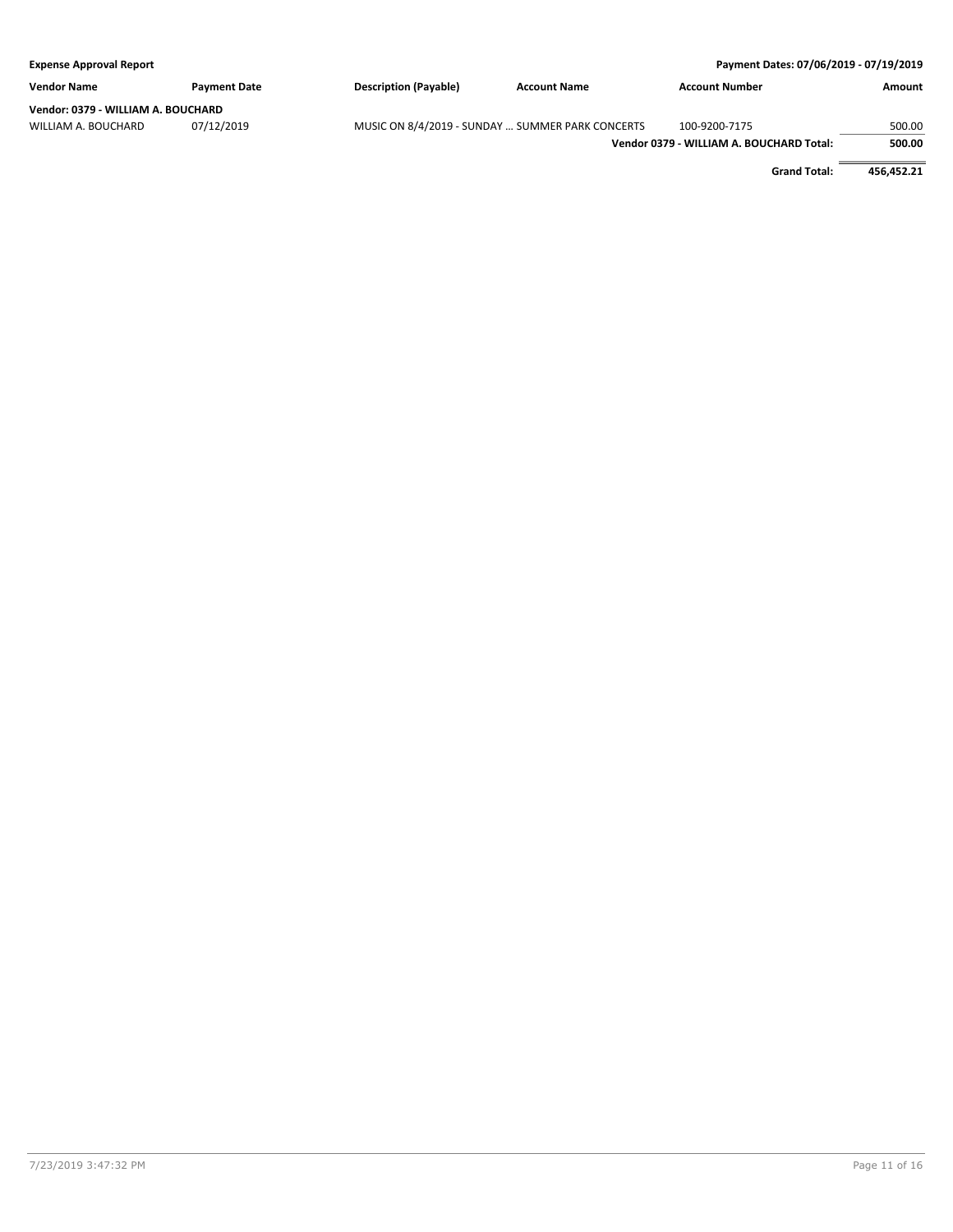| <b>Expense Approval Report</b>     |                     |                                                  |                     | Payment Dates: 07/06/2019 - 07/19/2019   |        |
|------------------------------------|---------------------|--------------------------------------------------|---------------------|------------------------------------------|--------|
| <b>Vendor Name</b>                 | <b>Payment Date</b> | <b>Description (Payable)</b>                     | <b>Account Name</b> | <b>Account Number</b>                    | Amount |
| Vendor: 0379 - WILLIAM A. BOUCHARD |                     |                                                  |                     |                                          |        |
| WILLIAM A. BOUCHARD                | 07/12/2019          | MUSIC ON 8/4/2019 - SUNDAY  SUMMER PARK CONCERTS |                     | 100-9200-7175                            | 500.00 |
|                                    |                     |                                                  |                     | Vendor 0379 - WILLIAM A. BOUCHARD Total: | 500.00 |
|                                    |                     |                                                  |                     |                                          |        |

**Grand Total: 456,452.21**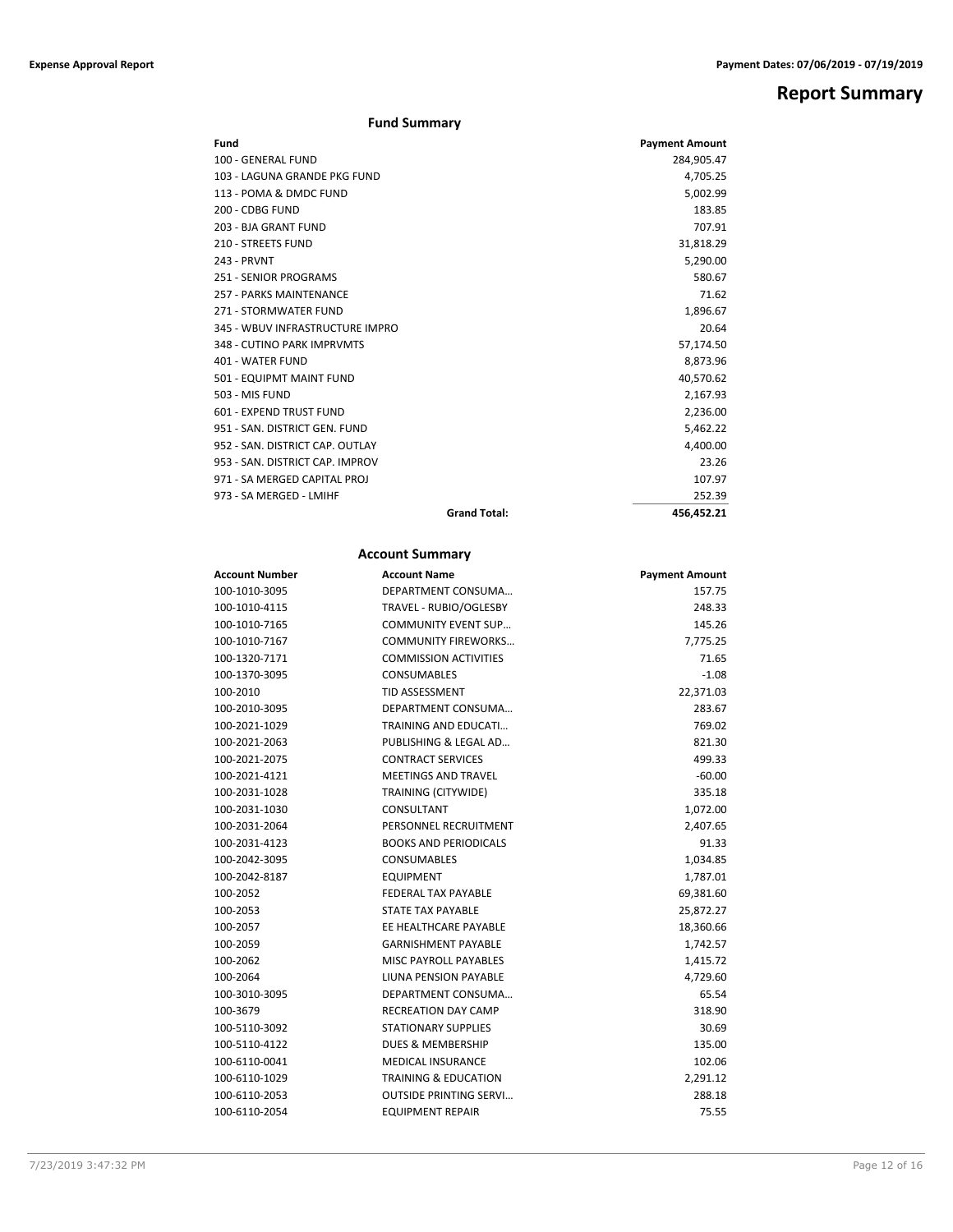## **Report Summary**

### **Fund Summary**

| Fund                            |                     | <b>Payment Amount</b> |
|---------------------------------|---------------------|-----------------------|
| 100 - GENERAL FUND              |                     | 284,905.47            |
| 103 - LAGUNA GRANDE PKG FUND    |                     | 4,705.25              |
| 113 - POMA & DMDC FUND          |                     | 5,002.99              |
| 200 - CDBG FUND                 |                     | 183.85                |
| 203 - BJA GRANT FUND            |                     | 707.91                |
| <b>210 - STREETS FUND</b>       |                     | 31,818.29             |
| 243 - PRVNT                     |                     | 5,290.00              |
| 251 - SENIOR PROGRAMS           |                     | 580.67                |
| 257 - PARKS MAINTENANCE         |                     | 71.62                 |
| 271 - STORMWATER FUND           |                     | 1,896.67              |
| 345 - WBUV INFRASTRUCTURE IMPRO |                     | 20.64                 |
| 348 - CUTINO PARK IMPRVMTS      |                     | 57,174.50             |
| 401 - WATER FUND                |                     | 8,873.96              |
| 501 - EQUIPMT MAINT FUND        |                     | 40,570.62             |
| 503 - MIS FUND                  |                     | 2,167.93              |
| 601 - EXPEND TRUST FUND         |                     | 2,236.00              |
| 951 - SAN, DISTRICT GEN, FUND   |                     | 5,462.22              |
| 952 - SAN, DISTRICT CAP, OUTLAY |                     | 4,400.00              |
| 953 - SAN, DISTRICT CAP, IMPROV |                     | 23.26                 |
| 971 - SA MERGED CAPITAL PROJ    |                     | 107.97                |
| 973 - SA MERGED - LMIHF         |                     | 252.39                |
|                                 | <b>Grand Total:</b> | 456,452.21            |

### **Account Summary**

| Account Number | <b>Account Name</b>             | <b>Payment Amount</b> |
|----------------|---------------------------------|-----------------------|
| 100-1010-3095  | DEPARTMENT CONSUMA              | 157.75                |
| 100-1010-4115  | TRAVEL - RUBIO/OGLESBY          | 248.33                |
| 100-1010-7165  | <b>COMMUNITY EVENT SUP</b>      | 145.26                |
| 100-1010-7167  | <b>COMMUNITY FIREWORKS</b>      | 7,775.25              |
| 100-1320-7171  | <b>COMMISSION ACTIVITIES</b>    | 71.65                 |
| 100-1370-3095  | <b>CONSUMABLES</b>              | $-1.08$               |
| 100-2010       | <b>TID ASSESSMENT</b>           | 22,371.03             |
| 100-2010-3095  | DEPARTMENT CONSUMA              | 283.67                |
| 100-2021-1029  | <b>TRAINING AND EDUCATI</b>     | 769.02                |
| 100-2021-2063  | PUBLISHING & LEGAL AD           | 821.30                |
| 100-2021-2075  | <b>CONTRACT SERVICES</b>        | 499.33                |
| 100-2021-4121  | <b>MEETINGS AND TRAVEL</b>      | $-60.00$              |
| 100-2031-1028  | TRAINING (CITYWIDE)             | 335.18                |
| 100-2031-1030  | CONSULTANT                      | 1,072.00              |
| 100-2031-2064  | PERSONNEL RECRUITMENT           | 2,407.65              |
| 100-2031-4123  | <b>BOOKS AND PERIODICALS</b>    | 91.33                 |
| 100-2042-3095  | <b>CONSUMABLES</b>              | 1,034.85              |
| 100-2042-8187  | <b>EQUIPMENT</b>                | 1,787.01              |
| 100-2052       | <b>FEDERAL TAX PAYABLE</b>      | 69,381.60             |
| 100-2053       | STATE TAX PAYABLE               | 25,872.27             |
| 100-2057       | EE HEALTHCARE PAYABLE           | 18,360.66             |
| 100-2059       | <b>GARNISHMENT PAYABLE</b>      | 1,742.57              |
| 100-2062       | <b>MISC PAYROLL PAYABLES</b>    | 1,415.72              |
| 100-2064       | LIUNA PENSION PAYABLE           | 4,729.60              |
| 100-3010-3095  | DEPARTMENT CONSUMA              | 65.54                 |
| 100-3679       | <b>RECREATION DAY CAMP</b>      | 318.90                |
| 100-5110-3092  | <b>STATIONARY SUPPLIES</b>      | 30.69                 |
| 100-5110-4122  | <b>DUES &amp; MEMBERSHIP</b>    | 135.00                |
| 100-6110-0041  | <b>MEDICAL INSURANCE</b>        | 102.06                |
| 100-6110-1029  | <b>TRAINING &amp; EDUCATION</b> | 2,291.12              |
| 100-6110-2053  | <b>OUTSIDE PRINTING SERVI</b>   | 288.18                |
| 100-6110-2054  | EQUIPMENT REPAIR                | 75.55                 |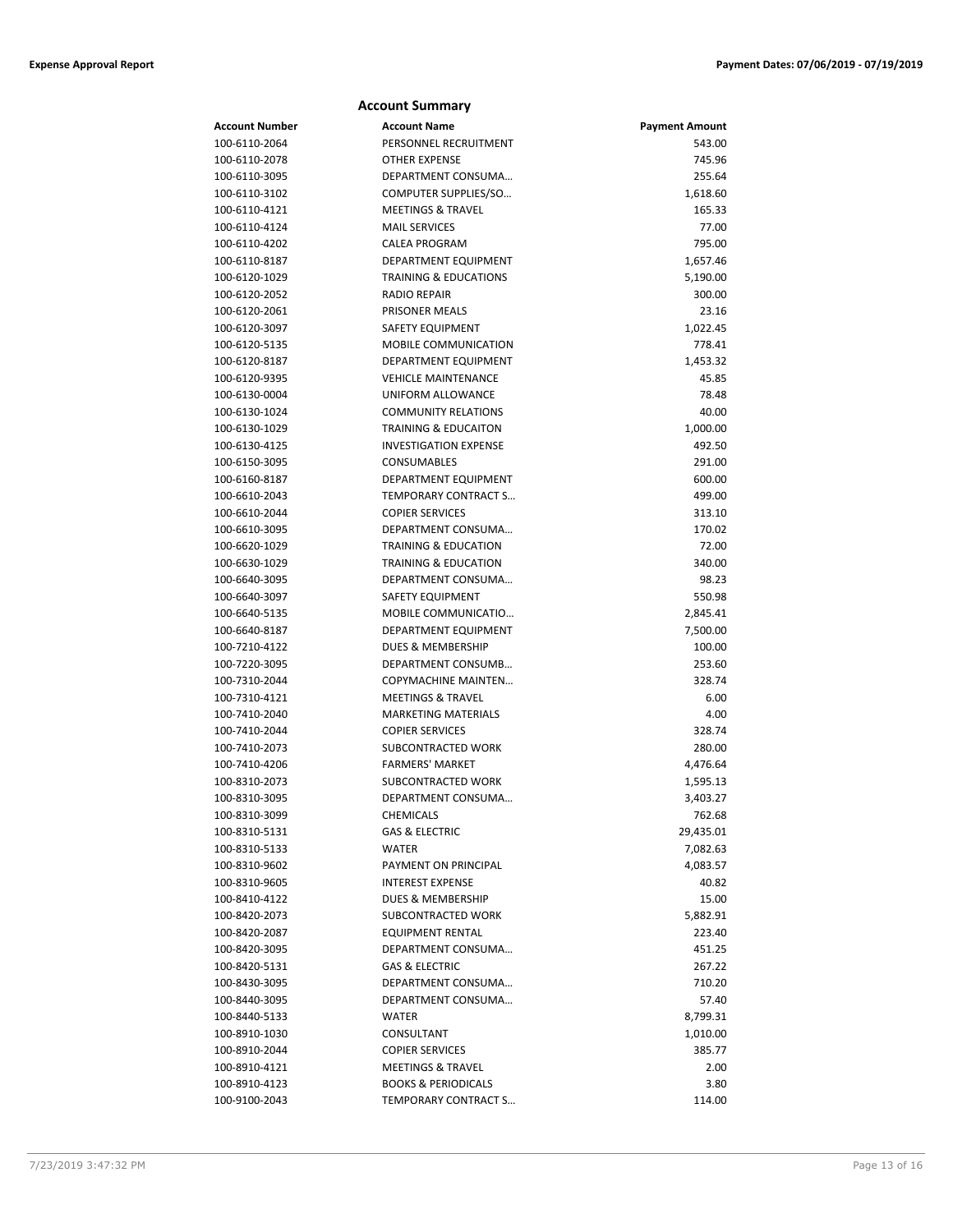|                                | <b>Account Summary</b>                       |                       |
|--------------------------------|----------------------------------------------|-----------------------|
| <b>Account Number</b>          | <b>Account Name</b>                          | <b>Payment Amount</b> |
| 100-6110-2064                  | PERSONNEL RECRUITMENT                        | 543.00                |
| 100-6110-2078                  | <b>OTHER EXPENSE</b>                         | 745.96                |
| 100-6110-3095                  | DEPARTMENT CONSUMA                           | 255.64                |
| 100-6110-3102                  | COMPUTER SUPPLIES/SO                         | 1,618.60              |
| 100-6110-4121                  | <b>MEETINGS &amp; TRAVEL</b>                 | 165.33                |
| 100-6110-4124                  | <b>MAIL SERVICES</b>                         | 77.00                 |
| 100-6110-4202                  | <b>CALEA PROGRAM</b>                         | 795.00                |
| 100-6110-8187                  | DEPARTMENT EQUIPMENT                         | 1,657.46              |
| 100-6120-1029                  | <b>TRAINING &amp; EDUCATIONS</b>             | 5,190.00              |
| 100-6120-2052                  | <b>RADIO REPAIR</b>                          | 300.00                |
| 100-6120-2061                  | <b>PRISONER MEALS</b>                        | 23.16                 |
| 100-6120-3097                  | <b>SAFETY EQUIPMENT</b>                      | 1,022.45              |
| 100-6120-5135                  | <b>MOBILE COMMUNICATION</b>                  | 778.41                |
| 100-6120-8187                  | DEPARTMENT EQUIPMENT                         | 1,453.32              |
| 100-6120-9395                  | <b>VEHICLE MAINTENANCE</b>                   | 45.85                 |
| 100-6130-0004                  | UNIFORM ALLOWANCE                            | 78.48                 |
| 100-6130-1024                  | <b>COMMUNITY RELATIONS</b>                   | 40.00                 |
| 100-6130-1029                  | <b>TRAINING &amp; EDUCAITON</b>              | 1,000.00              |
| 100-6130-4125                  | <b>INVESTIGATION EXPENSE</b>                 | 492.50                |
| 100-6150-3095                  | CONSUMABLES                                  | 291.00                |
| 100-6160-8187                  | DEPARTMENT EQUIPMENT                         | 600.00                |
| 100-6610-2043                  | TEMPORARY CONTRACT S                         | 499.00                |
| 100-6610-2044                  | <b>COPIER SERVICES</b>                       | 313.10                |
| 100-6610-3095                  | DEPARTMENT CONSUMA                           | 170.02                |
| 100-6620-1029                  | <b>TRAINING &amp; EDUCATION</b>              | 72.00                 |
| 100-6630-1029                  | <b>TRAINING &amp; EDUCATION</b>              | 340.00                |
| 100-6640-3095                  | DEPARTMENT CONSUMA                           | 98.23                 |
| 100-6640-3097                  | SAFETY EQUIPMENT                             | 550.98                |
| 100-6640-5135                  | MOBILE COMMUNICATIO                          | 2,845.41              |
| 100-6640-8187                  | DEPARTMENT EQUIPMENT                         | 7,500.00              |
| 100-7210-4122                  | DUES & MEMBERSHIP                            | 100.00                |
| 100-7220-3095                  | DEPARTMENT CONSUMB                           | 253.60                |
| 100-7310-2044                  | COPYMACHINE MAINTEN                          | 328.74                |
| 100-7310-4121                  | <b>MEETINGS &amp; TRAVEL</b>                 | 6.00                  |
| 100-7410-2040                  | <b>MARKETING MATERIALS</b>                   | 4.00                  |
| 100-7410-2044                  | <b>COPIER SERVICES</b>                       | 328.74                |
| 100-7410-2073                  | SUBCONTRACTED WORK                           | 280.00                |
| 100-7410-4206<br>100-8310-2073 | <b>FARMERS' MARKET</b><br>SUBCONTRACTED WORK | 4,476.64              |
|                                | DEPARTMENT CONSUMA                           | 1,595.13              |
| 100-8310-3095<br>100-8310-3099 | CHEMICALS                                    | 3,403.27<br>762.68    |
| 100-8310-5131                  | <b>GAS &amp; ELECTRIC</b>                    | 29,435.01             |
| 100-8310-5133                  | <b>WATER</b>                                 | 7,082.63              |
| 100-8310-9602                  | PAYMENT ON PRINCIPAL                         | 4,083.57              |
| 100-8310-9605                  | <b>INTEREST EXPENSE</b>                      | 40.82                 |
| 100-8410-4122                  | <b>DUES &amp; MEMBERSHIP</b>                 | 15.00                 |
| 100-8420-2073                  | SUBCONTRACTED WORK                           | 5,882.91              |
| 100-8420-2087                  | <b>EQUIPMENT RENTAL</b>                      | 223.40                |
| 100-8420-3095                  | DEPARTMENT CONSUMA                           | 451.25                |
| 100-8420-5131                  | GAS & ELECTRIC                               | 267.22                |
| 100-8430-3095                  | DEPARTMENT CONSUMA                           | 710.20                |
| 100-8440-3095                  | DEPARTMENT CONSUMA                           | 57.40                 |
| 100-8440-5133                  | <b>WATER</b>                                 | 8,799.31              |
| 100-8910-1030                  | CONSULTANT                                   | 1,010.00              |
| 100-8910-2044                  | <b>COPIER SERVICES</b>                       | 385.77                |
| 100-8910-4121                  | <b>MEETINGS &amp; TRAVEL</b>                 | 2.00                  |
| 100-8910-4123                  | <b>BOOKS &amp; PERIODICALS</b>               | 3.80                  |
| 100-9100-2043                  | TEMPORARY CONTRACT S                         | 114.00                |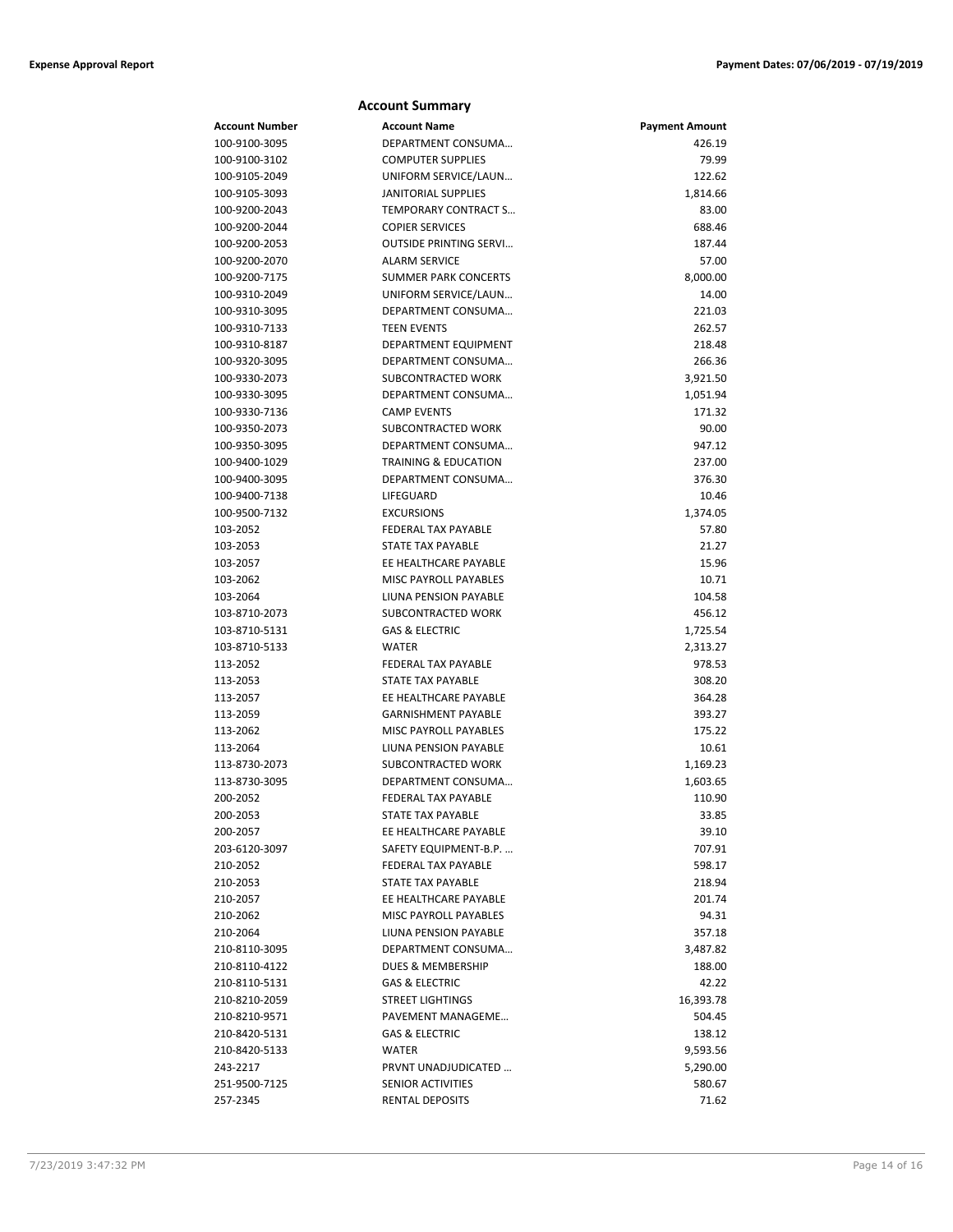| <b>Account Summary</b>         |                                                |                       |  |
|--------------------------------|------------------------------------------------|-----------------------|--|
| <b>Account Number</b>          | <b>Account Name</b>                            | <b>Payment Amount</b> |  |
| 100-9100-3095                  | DEPARTMENT CONSUMA                             | 426.19                |  |
| 100-9100-3102                  | <b>COMPUTER SUPPLIES</b>                       | 79.99                 |  |
| 100-9105-2049                  | UNIFORM SERVICE/LAUN                           | 122.62                |  |
| 100-9105-3093                  | <b>JANITORIAL SUPPLIES</b>                     | 1,814.66              |  |
| 100-9200-2043                  | TEMPORARY CONTRACT S                           | 83.00                 |  |
| 100-9200-2044                  | <b>COPIER SERVICES</b>                         | 688.46                |  |
| 100-9200-2053                  | <b>OUTSIDE PRINTING SERVI</b>                  | 187.44                |  |
| 100-9200-2070                  | <b>ALARM SERVICE</b>                           | 57.00                 |  |
| 100-9200-7175                  | <b>SUMMER PARK CONCERTS</b>                    | 8,000.00              |  |
| 100-9310-2049                  | UNIFORM SERVICE/LAUN                           | 14.00                 |  |
| 100-9310-3095                  | DEPARTMENT CONSUMA                             | 221.03                |  |
| 100-9310-7133                  | <b>TEEN EVENTS</b>                             | 262.57                |  |
| 100-9310-8187                  | DEPARTMENT EQUIPMENT                           | 218.48                |  |
| 100-9320-3095                  | DEPARTMENT CONSUMA                             | 266.36                |  |
| 100-9330-2073                  | SUBCONTRACTED WORK                             | 3,921.50              |  |
| 100-9330-3095                  | DEPARTMENT CONSUMA                             | 1,051.94              |  |
| 100-9330-7136                  | <b>CAMP EVENTS</b>                             | 171.32                |  |
| 100-9350-2073                  | SUBCONTRACTED WORK                             | 90.00                 |  |
| 100-9350-3095                  | DEPARTMENT CONSUMA                             | 947.12                |  |
| 100-9400-1029                  | <b>TRAINING &amp; EDUCATION</b>                | 237.00                |  |
| 100-9400-3095                  | DEPARTMENT CONSUMA                             | 376.30                |  |
| 100-9400-7138                  | LIFEGUARD                                      | 10.46                 |  |
| 100-9500-7132                  | <b>EXCURSIONS</b>                              | 1,374.05              |  |
| 103-2052                       | FEDERAL TAX PAYABLE                            | 57.80                 |  |
| 103-2053                       | STATE TAX PAYABLE                              | 21.27                 |  |
| 103-2057                       | EE HEALTHCARE PAYABLE                          | 15.96                 |  |
| 103-2062                       | MISC PAYROLL PAYABLES                          | 10.71                 |  |
| 103-2064                       | LIUNA PENSION PAYABLE                          | 104.58                |  |
| 103-8710-2073                  | SUBCONTRACTED WORK                             | 456.12                |  |
| 103-8710-5131                  | <b>GAS &amp; ELECTRIC</b>                      | 1,725.54              |  |
| 103-8710-5133                  | <b>WATER</b>                                   | 2,313.27              |  |
| 113-2052                       | FEDERAL TAX PAYABLE                            | 978.53                |  |
| 113-2053                       | <b>STATE TAX PAYABLE</b>                       | 308.20                |  |
| 113-2057                       | EE HEALTHCARE PAYABLE                          | 364.28                |  |
| 113-2059                       | <b>GARNISHMENT PAYABLE</b>                     | 393.27                |  |
| 113-2062                       | MISC PAYROLL PAYABLES                          | 175.22                |  |
| 113-2064                       | LIUNA PENSION PAYABLE                          | 10.61                 |  |
| 113-8730-2073                  | SUBCONTRACTED WORK                             | 1,169.23              |  |
| 113-8730-3095                  | DEPARTMENT CONSUMA                             | 1,603.65              |  |
| 200-2052                       | FEDERAL TAX PAYABLE                            | 110.90                |  |
| 200-2053                       | STATE TAX PAYABLE                              | 33.85                 |  |
| 200-2057                       | EE HEALTHCARE PAYABLE                          | 39.10                 |  |
| 203-6120-3097                  | SAFETY EQUIPMENT-B.P.                          | 707.91                |  |
| 210-2052                       | FEDERAL TAX PAYABLE                            | 598.17                |  |
| 210-2053                       | STATE TAX PAYABLE                              | 218.94                |  |
| 210-2057                       | EE HEALTHCARE PAYABLE                          | 201.74                |  |
| 210-2062                       | <b>MISC PAYROLL PAYABLES</b>                   | 94.31                 |  |
| 210-2064                       | LIUNA PENSION PAYABLE                          | 357.18                |  |
| 210-8110-3095                  | DEPARTMENT CONSUMA                             | 3,487.82              |  |
| 210-8110-4122                  | DUES & MEMBERSHIP                              | 188.00                |  |
| 210-8110-5131                  | <b>GAS &amp; ELECTRIC</b>                      | 42.22                 |  |
| 210-8210-2059                  | <b>STREET LIGHTINGS</b>                        | 16,393.78             |  |
| 210-8210-9571                  | PAVEMENT MANAGEME<br><b>GAS &amp; ELECTRIC</b> | 504.45                |  |
| 210-8420-5131<br>210-8420-5133 | <b>WATER</b>                                   | 138.12                |  |
| 243-2217                       | PRVNT UNADJUDICATED                            | 9,593.56<br>5,290.00  |  |
| 251-9500-7125                  | SENIOR ACTIVITIES                              | 580.67                |  |
| 257-2345                       | RENTAL DEPOSITS                                | 71.62                 |  |
|                                |                                                |                       |  |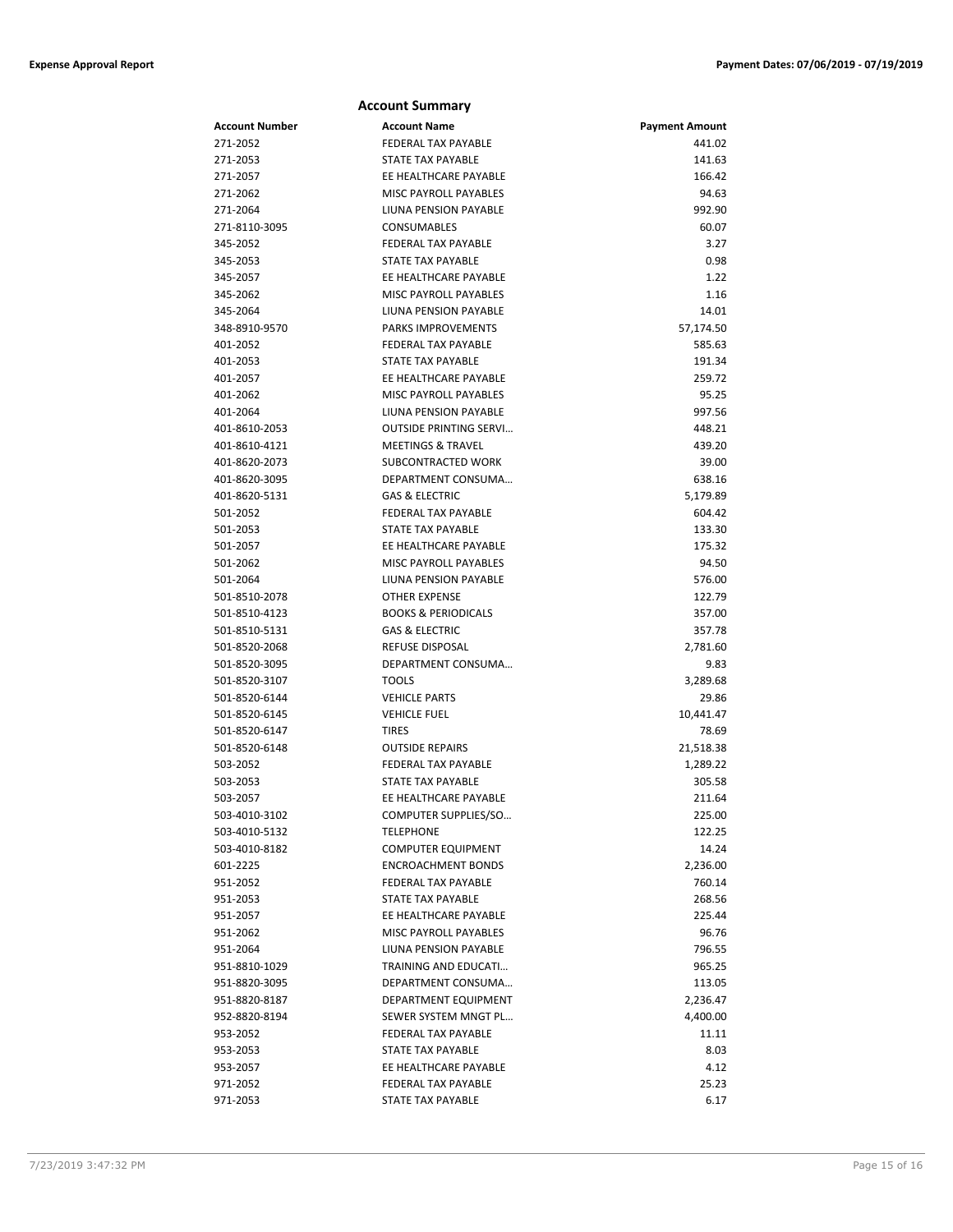|                                | <b>Account Summary</b>                                 |                       |
|--------------------------------|--------------------------------------------------------|-----------------------|
| Account Number                 | <b>Account Name</b>                                    | <b>Payment Amount</b> |
| 271-2052                       | <b>FEDERAL TAX PAYABLE</b>                             | 441.02                |
| 271-2053                       | STATE TAX PAYABLE                                      | 141.63                |
| 271-2057                       | EE HEALTHCARE PAYABLE                                  | 166.42                |
| 271-2062                       | MISC PAYROLL PAYABLES                                  | 94.63                 |
| 271-2064                       | LIUNA PENSION PAYABLE                                  | 992.90                |
| 271-8110-3095                  | <b>CONSUMABLES</b>                                     | 60.07                 |
| 345-2052                       | <b>FEDERAL TAX PAYABLE</b>                             | 3.27                  |
| 345-2053                       | STATE TAX PAYABLE                                      | 0.98                  |
| 345-2057                       | EE HEALTHCARE PAYABLE                                  | 1.22                  |
| 345-2062                       | MISC PAYROLL PAYABLES                                  | 1.16                  |
| 345-2064                       | LIUNA PENSION PAYABLE                                  | 14.01                 |
| 348-8910-9570                  | <b>PARKS IMPROVEMENTS</b>                              | 57,174.50             |
| 401-2052                       | <b>FEDERAL TAX PAYABLE</b>                             | 585.63                |
| 401-2053                       | STATE TAX PAYABLE                                      | 191.34                |
| 401-2057                       | EE HEALTHCARE PAYABLE                                  | 259.72                |
| 401-2062                       | MISC PAYROLL PAYABLES                                  | 95.25                 |
| 401-2064                       | LIUNA PENSION PAYABLE                                  | 997.56                |
| 401-8610-2053                  | <b>OUTSIDE PRINTING SERVI</b>                          | 448.21                |
| 401-8610-4121                  | <b>MEETINGS &amp; TRAVEL</b>                           | 439.20                |
| 401-8620-2073                  | SUBCONTRACTED WORK                                     | 39.00                 |
| 401-8620-3095                  | DEPARTMENT CONSUMA                                     | 638.16                |
| 401-8620-5131                  | <b>GAS &amp; ELECTRIC</b>                              | 5,179.89              |
| 501-2052                       | FEDERAL TAX PAYABLE                                    | 604.42                |
| 501-2053                       | <b>STATE TAX PAYABLE</b>                               | 133.30                |
| 501-2057                       | EE HEALTHCARE PAYABLE                                  | 175.32                |
| 501-2062                       | MISC PAYROLL PAYABLES                                  | 94.50                 |
| 501-2064                       | LIUNA PENSION PAYABLE                                  | 576.00                |
| 501-8510-2078                  | <b>OTHER EXPENSE</b>                                   | 122.79                |
| 501-8510-4123                  | <b>BOOKS &amp; PERIODICALS</b>                         | 357.00                |
| 501-8510-5131                  | <b>GAS &amp; ELECTRIC</b>                              | 357.78                |
| 501-8520-2068                  | <b>REFUSE DISPOSAL</b>                                 | 2,781.60              |
| 501-8520-3095                  | DEPARTMENT CONSUMA                                     | 9.83                  |
| 501-8520-3107                  | <b>TOOLS</b>                                           | 3,289.68              |
| 501-8520-6144                  | <b>VEHICLE PARTS</b>                                   | 29.86                 |
| 501-8520-6145                  | <b>VEHICLE FUEL</b>                                    | 10,441.47             |
| 501-8520-6147                  | <b>TIRES</b>                                           | 78.69                 |
| 501-8520-6148                  | <b>OUTSIDE REPAIRS</b>                                 | 21,518.38             |
| 503-2052                       | FEDERAL TAX PAYABLE                                    | 1,289.22              |
| 503-2053                       | <b>STATE TAX PAYABLE</b>                               | 305.58                |
| 503-2057                       | EE HEALTHCARE PAYABLE                                  | 211.64                |
| 503-4010-3102<br>503-4010-5132 | COMPUTER SUPPLIES/SO<br><b>TELEPHONE</b>               | 225.00                |
|                                |                                                        | 122.25                |
| 503-4010-8182<br>601-2225      | <b>COMPUTER EQUIPMENT</b><br><b>ENCROACHMENT BONDS</b> | 14.24<br>2,236.00     |
| 951-2052                       | FEDERAL TAX PAYABLE                                    | 760.14                |
| 951-2053                       | STATE TAX PAYABLE                                      | 268.56                |
| 951-2057                       | EE HEALTHCARE PAYABLE                                  | 225.44                |
| 951-2062                       | MISC PAYROLL PAYABLES                                  | 96.76                 |
| 951-2064                       | LIUNA PENSION PAYABLE                                  | 796.55                |
| 951-8810-1029                  | TRAINING AND EDUCATI                                   | 965.25                |
| 951-8820-3095                  | DEPARTMENT CONSUMA                                     | 113.05                |
| 951-8820-8187                  | DEPARTMENT EQUIPMENT                                   | 2,236.47              |
| 952-8820-8194                  | SEWER SYSTEM MNGT PL                                   | 4,400.00              |
| 953-2052                       | FEDERAL TAX PAYABLE                                    | 11.11                 |
| 953-2053                       | STATE TAX PAYABLE                                      | 8.03                  |
| 953-2057                       | EE HEALTHCARE PAYABLE                                  | 4.12                  |
| 971-2052                       | FEDERAL TAX PAYABLE                                    | 25.23                 |
| 971-2053                       | <b>STATE TAX PAYABLE</b>                               | 6.17                  |
|                                |                                                        |                       |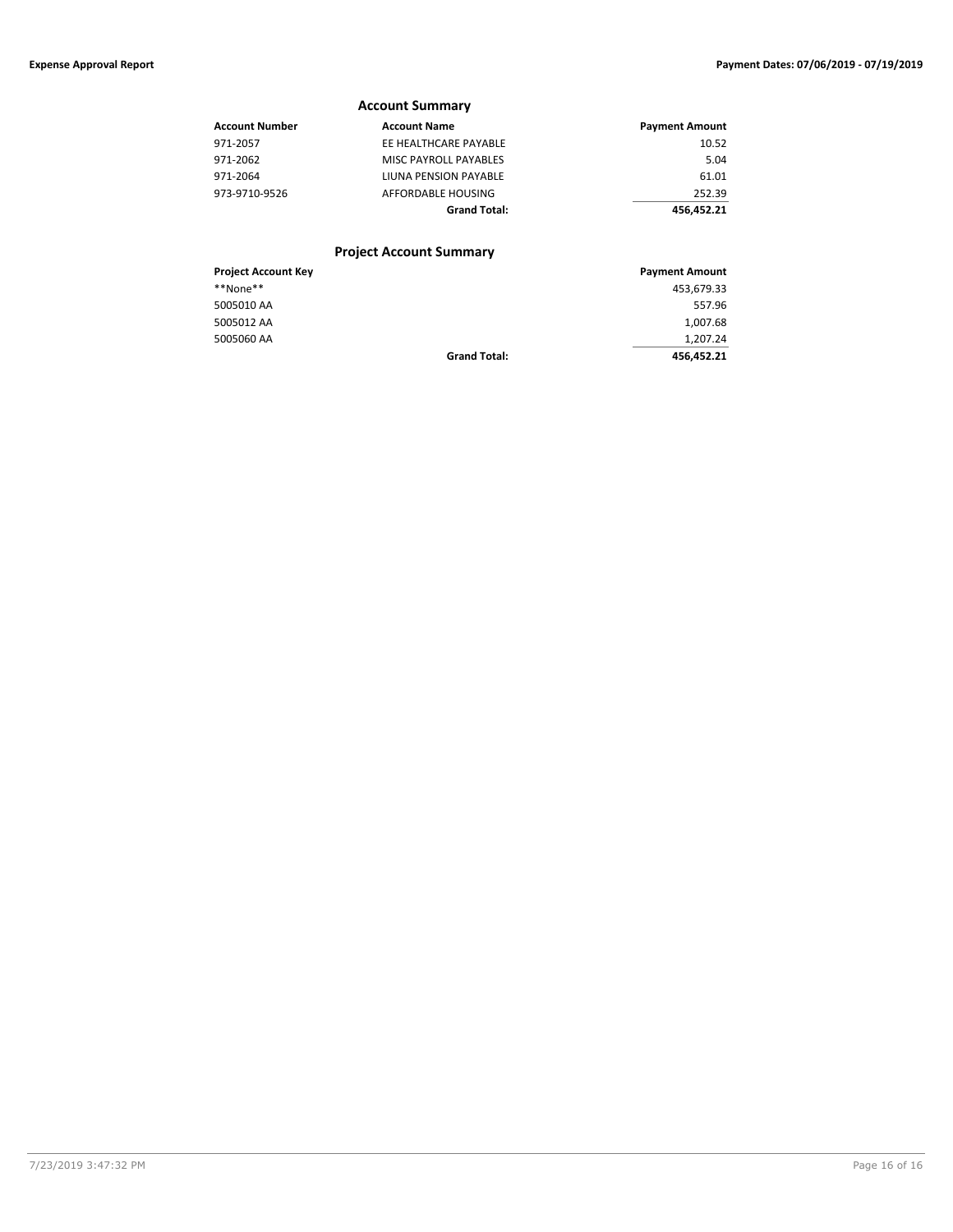### **Account Summary Account Number Account Name Account Name Payment Amount** 971-2057 EE HEALTHCARE PAYABLE 10.52 971-2062 MISC PAYROLL PAYABLES 5.04 971-2064 LIUNA PENSION PAYABLE 61.01 973-9710-9526 AFFORDABLE HOUSING 252.39 **Grand Total: 456,452.21 Project Account Summary**

#### **Project Account Key Payment Amount Project Account Key Payment Amount** \*\*None\*\* 453,679.33 5005010 AA 557.96 5005012 AA 1,007.68 5005060 AA 1,207.24<br>Grand Total: Grand Total: 456.452.21 **Grand Total: 456,452.21**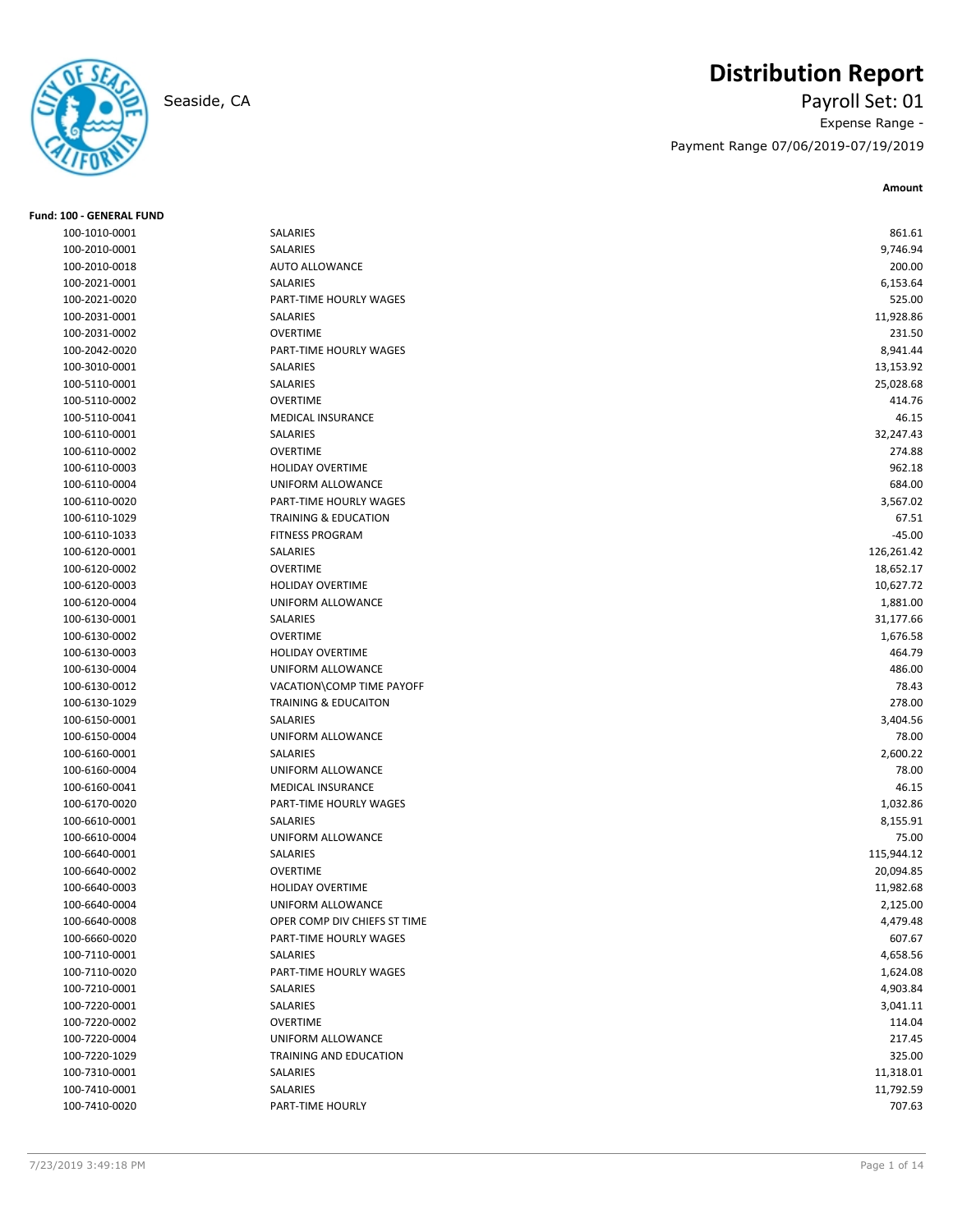

# **Distribution Report**

Seaside, CA Payroll Set: 01 Expense Range - Payment Range 07/06/2019-07/19/2019

| <b>Fund: 100 - GENERAL FUND</b> |                                 |            |
|---------------------------------|---------------------------------|------------|
| 100-1010-0001                   | SALARIES                        | 861.61     |
| 100-2010-0001                   | SALARIES                        | 9,746.94   |
| 100-2010-0018                   | AUTO ALLOWANCE                  | 200.00     |
| 100-2021-0001                   | SALARIES                        | 6,153.64   |
| 100-2021-0020                   | PART-TIME HOURLY WAGES          | 525.00     |
| 100-2031-0001                   | SALARIES                        | 11,928.86  |
| 100-2031-0002                   | <b>OVERTIME</b>                 | 231.50     |
| 100-2042-0020                   | PART-TIME HOURLY WAGES          | 8,941.44   |
| 100-3010-0001                   | SALARIES                        | 13,153.92  |
| 100-5110-0001                   | SALARIES                        | 25,028.68  |
| 100-5110-0002                   | <b>OVERTIME</b>                 | 414.76     |
| 100-5110-0041                   | <b>MEDICAL INSURANCE</b>        | 46.15      |
| 100-6110-0001                   | SALARIES                        | 32,247.43  |
| 100-6110-0002                   | <b>OVERTIME</b>                 | 274.88     |
| 100-6110-0003                   | <b>HOLIDAY OVERTIME</b>         | 962.18     |
| 100-6110-0004                   | UNIFORM ALLOWANCE               | 684.00     |
| 100-6110-0020                   | PART-TIME HOURLY WAGES          | 3,567.02   |
| 100-6110-1029                   | <b>TRAINING &amp; EDUCATION</b> | 67.51      |
| 100-6110-1033                   | <b>FITNESS PROGRAM</b>          | $-45.00$   |
| 100-6120-0001                   | SALARIES                        | 126,261.42 |
| 100-6120-0002                   | <b>OVERTIME</b>                 | 18,652.17  |
| 100-6120-0003                   | <b>HOLIDAY OVERTIME</b>         | 10,627.72  |
| 100-6120-0004                   | UNIFORM ALLOWANCE               | 1,881.00   |
| 100-6130-0001                   | SALARIES                        | 31,177.66  |
| 100-6130-0002                   | <b>OVERTIME</b>                 | 1,676.58   |
| 100-6130-0003                   | <b>HOLIDAY OVERTIME</b>         | 464.79     |
| 100-6130-0004                   | UNIFORM ALLOWANCE               | 486.00     |
| 100-6130-0012                   | VACATION\COMP TIME PAYOFF       | 78.43      |
| 100-6130-1029                   | <b>TRAINING &amp; EDUCAITON</b> | 278.00     |
| 100-6150-0001                   | SALARIES                        | 3,404.56   |
| 100-6150-0004                   | UNIFORM ALLOWANCE               | 78.00      |
| 100-6160-0001                   | <b>SALARIES</b>                 | 2,600.22   |
| 100-6160-0004                   | UNIFORM ALLOWANCE               | 78.00      |
| 100-6160-0041                   | MEDICAL INSURANCE               | 46.15      |
| 100-6170-0020                   | PART-TIME HOURLY WAGES          | 1,032.86   |
| 100-6610-0001                   | SALARIES                        | 8,155.91   |
| 100-6610-0004                   | UNIFORM ALLOWANCE               | 75.00      |
| 100-6640-0001                   | SALARIES                        | 115,944.12 |
| 100-6640-0002                   | <b>OVERTIME</b>                 | 20,094.85  |
| 100-6640-0003                   | <b>HOLIDAY OVERTIME</b>         | 11,982.68  |
| 100-6640-0004                   | UNIFORM ALLOWANCE               | 2,125.00   |
| 100-6640-0008                   | OPER COMP DIV CHIEFS ST TIME    | 4,479.48   |
| 100-6660-0020                   | PART-TIME HOURLY WAGES          | 607.67     |
| 100-7110-0001                   | SALARIES                        | 4,658.56   |
| 100-7110-0020                   | PART-TIME HOURLY WAGES          | 1,624.08   |
| 100-7210-0001                   | SALARIES                        | 4,903.84   |
| 100-7220-0001                   | SALARIES                        | 3,041.11   |
| 100-7220-0002                   | OVERTIME                        | 114.04     |
| 100-7220-0004                   | UNIFORM ALLOWANCE               | 217.45     |
| 100-7220-1029                   | TRAINING AND EDUCATION          | 325.00     |
| 100-7310-0001                   | SALARIES                        | 11,318.01  |
| 100-7410-0001                   | SALARIES                        | 11,792.59  |
| 100-7410-0020                   | PART-TIME HOURLY                | 707.63     |
|                                 |                                 |            |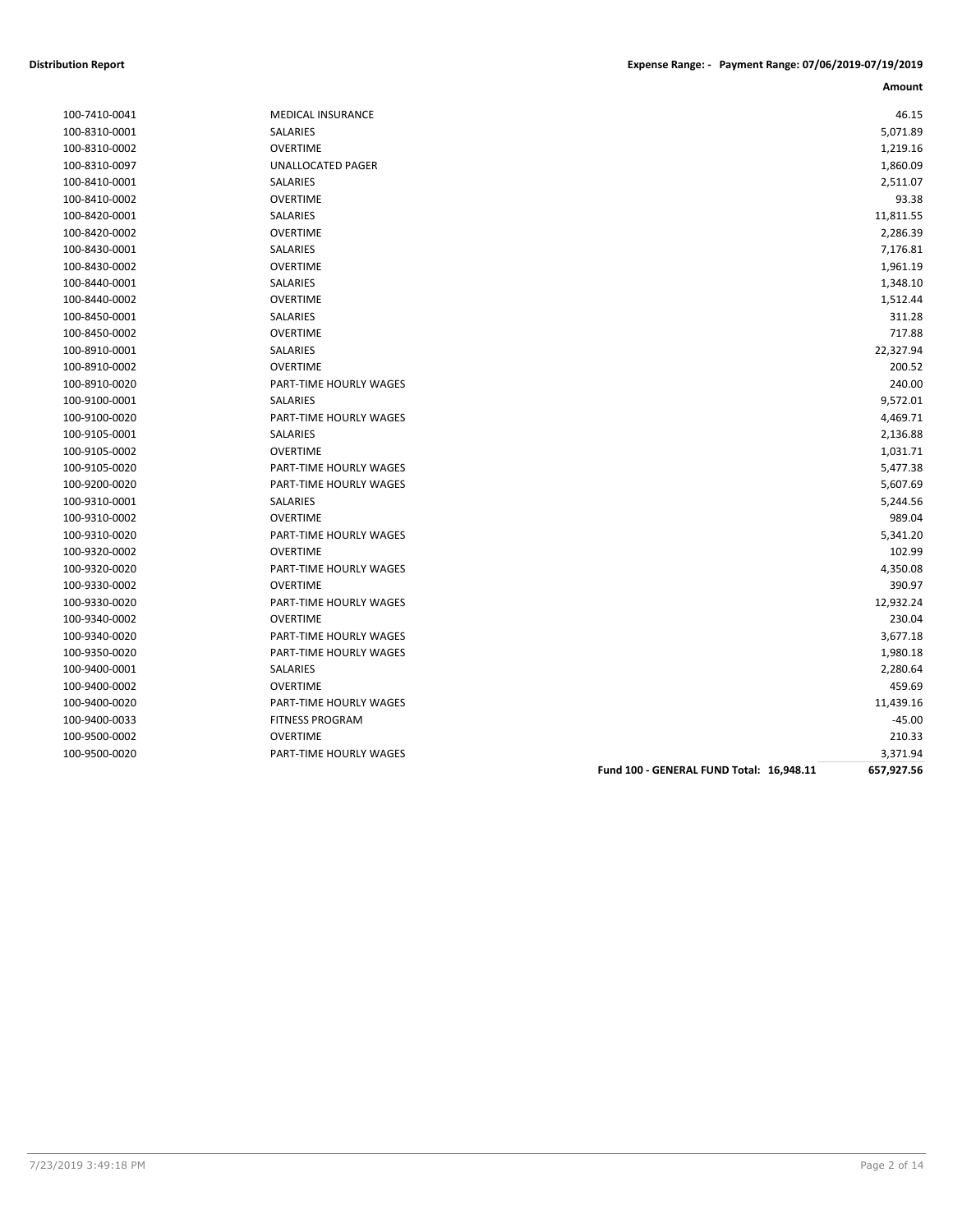| 100-7410-0041 |
|---------------|
| 100-8310-0001 |
| 100-8310-0002 |
| 100-8310-0097 |
| 100-8410-0001 |
| 100-8410-0002 |
| 100-8420-0001 |
| 100-8420-0002 |
| 100-8430-0001 |
| 100-8430-0002 |
| 100-8440-0001 |
| 100-8440-0002 |
| 100-8450-0001 |
| 100-8450-0002 |
| 100-8910-0001 |
| 100-8910-0002 |
| 100-8910-0020 |
| 100-9100-0001 |
| 100-9100-0020 |
| 100-9105-0001 |
| 100-9105-0002 |
| 100-9105-0020 |
| 100-9200-0020 |
| 100-9310-0001 |
| 100-9310-0002 |
| 100-9310-0020 |
| 100-9320-0002 |
| 100-9320-0020 |
| 100-9330-0002 |
| 100-9330-0020 |
| 100-9340-0002 |
| 100-9340-0020 |
| 100-9350-0020 |
| 100-9400-0001 |
| 100-9400-0002 |
| 100-9400-0020 |
| 100-9400-0033 |
| 100-9500-0002 |
| 100-9500-0020 |

| 100-7410-0041 | <b>MEDICAL INSURANCE</b>      | 46.15     |
|---------------|-------------------------------|-----------|
| 100-8310-0001 | SALARIES                      | 5,071.89  |
| 100-8310-0002 | <b>OVERTIME</b>               | 1,219.16  |
| 100-8310-0097 | UNALLOCATED PAGER             | 1,860.09  |
| 100-8410-0001 | <b>SALARIES</b>               | 2,511.07  |
| 100-8410-0002 | <b>OVERTIME</b>               | 93.38     |
| 100-8420-0001 | SALARIES                      | 11,811.55 |
| 100-8420-0002 | <b>OVERTIME</b>               | 2,286.39  |
| 100-8430-0001 | SALARIES                      | 7,176.81  |
| 100-8430-0002 | <b>OVERTIME</b>               | 1,961.19  |
| 100-8440-0001 | SALARIES                      | 1,348.10  |
| 100-8440-0002 | <b>OVERTIME</b>               | 1,512.44  |
| 100-8450-0001 | SALARIES                      | 311.28    |
| 100-8450-0002 | <b>OVERTIME</b>               | 717.88    |
| 100-8910-0001 | SALARIES                      | 22,327.94 |
| 100-8910-0002 | <b>OVERTIME</b>               | 200.52    |
| 100-8910-0020 | PART-TIME HOURLY WAGES        | 240.00    |
| 100-9100-0001 | <b>SALARIES</b>               | 9,572.01  |
| 100-9100-0020 | PART-TIME HOURLY WAGES        | 4,469.71  |
| 100-9105-0001 | SALARIES                      | 2,136.88  |
| 100-9105-0002 | <b>OVERTIME</b>               | 1,031.71  |
| 100-9105-0020 | <b>PART-TIME HOURLY WAGES</b> | 5,477.38  |
| 100-9200-0020 | PART-TIME HOURLY WAGES        | 5,607.69  |
| 100-9310-0001 | <b>SALARIES</b>               | 5,244.56  |
| 100-9310-0002 | <b>OVERTIME</b>               | 989.04    |
| 100-9310-0020 | PART-TIME HOURLY WAGES        | 5,341.20  |
| 100-9320-0002 | <b>OVERTIME</b>               | 102.99    |
| 100-9320-0020 | PART-TIME HOURLY WAGES        | 4,350.08  |
| 100-9330-0002 | <b>OVERTIME</b>               | 390.97    |
| 100-9330-0020 | PART-TIME HOURLY WAGES        | 12,932.24 |
| 100-9340-0002 | <b>OVERTIME</b>               | 230.04    |
| 100-9340-0020 | PART-TIME HOURLY WAGES        | 3,677.18  |
| 100-9350-0020 | PART-TIME HOURLY WAGES        | 1,980.18  |
| 100-9400-0001 | SALARIES                      | 2,280.64  |
| 100-9400-0002 | <b>OVERTIME</b>               | 459.69    |
| 100-9400-0020 | PART-TIME HOURLY WAGES        | 11,439.16 |
| 100-9400-0033 | <b>FITNESS PROGRAM</b>        | $-45.00$  |
| 100-9500-0002 | <b>OVERTIME</b>               | 210.33    |
| 100-9500-0020 | PART-TIME HOURLY WAGES        | 3,371.94  |

**Fund 100 - GENERAL FUND Total: 16,948.11 657,927.56**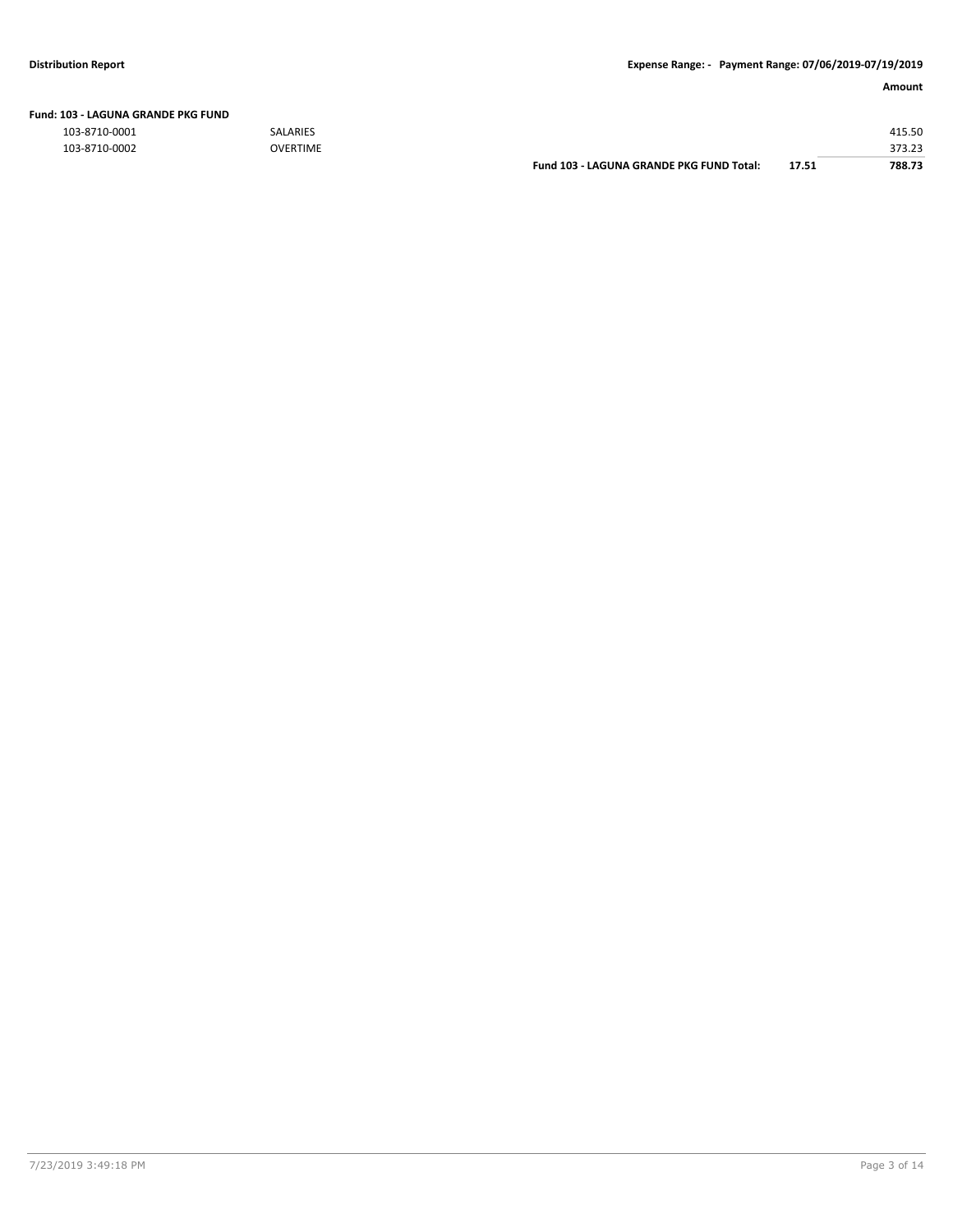| Fund: 103 - LAGUNA GRANDE PKG FUND |  |
|------------------------------------|--|
|                                    |  |

103-8710-0001 SALARIES 415.50

| 103-8710-0002 | <b>OVERTIME</b> |                                          |       | 373.23 |
|---------------|-----------------|------------------------------------------|-------|--------|
|               |                 | Fund 103 - LAGUNA GRANDE PKG FUND Total: | 17.51 | 788.73 |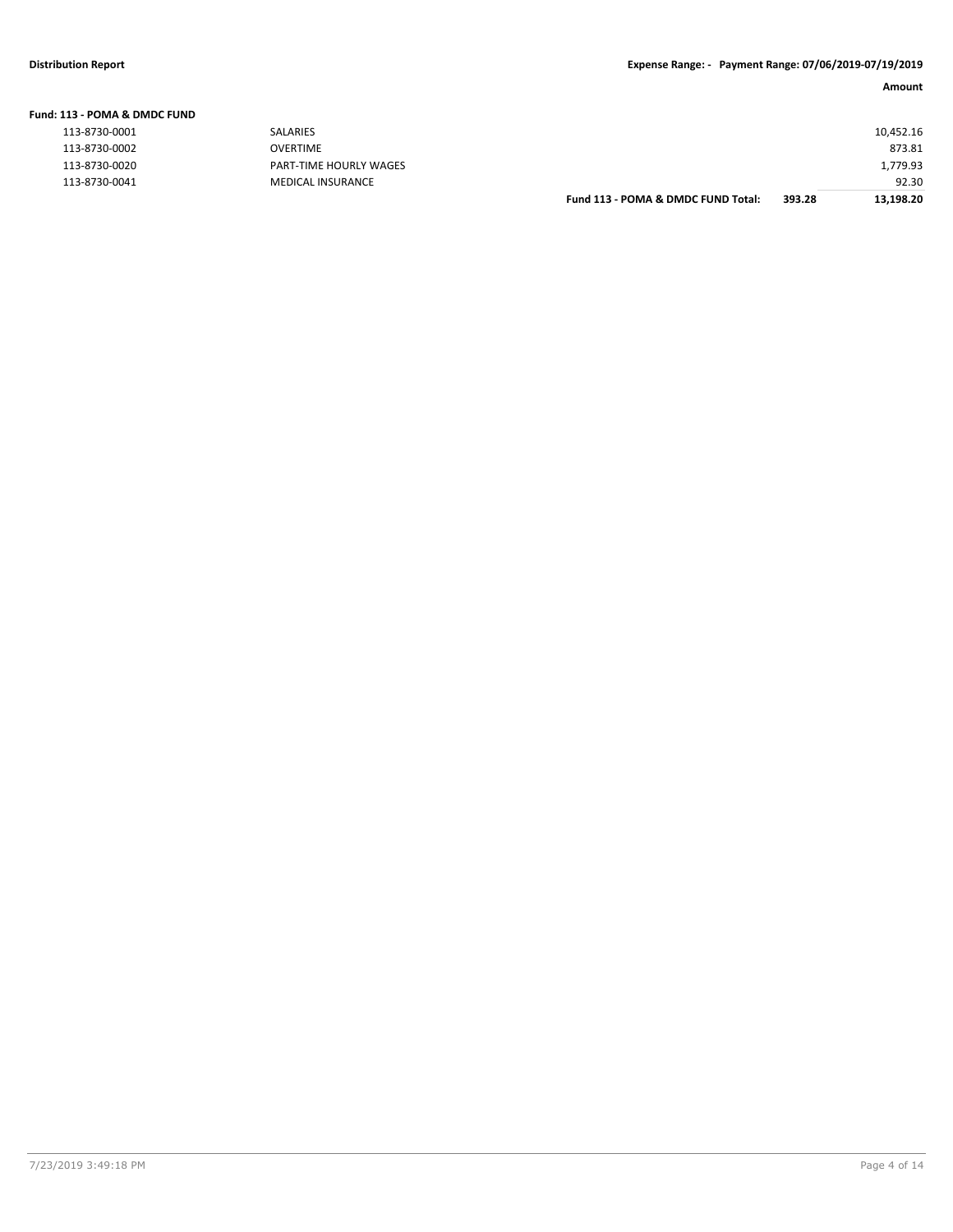| Fund: 113 - POMA & DMDC FUND |                        |           |
|------------------------------|------------------------|-----------|
| 113-8730-0001                | <b>SALARIES</b>        | 10,452.16 |
| 113-8730-0002                | <b>OVERTIME</b>        | 873.81    |
| 113-8730-0020                | PART-TIME HOURLY WAGES | 1,779.93  |
| 113-8730-0041                | MEDICAL INSURANCE      | 92.30     |

| Fund 113 - POMA & DMDC FUND Total: | 393.28 | 13,198.20 |
|------------------------------------|--------|-----------|
|                                    |        | 92.30     |
|                                    |        | 1,779.93  |
|                                    |        | 873.81    |
|                                    |        | 10,452.16 |
|                                    |        |           |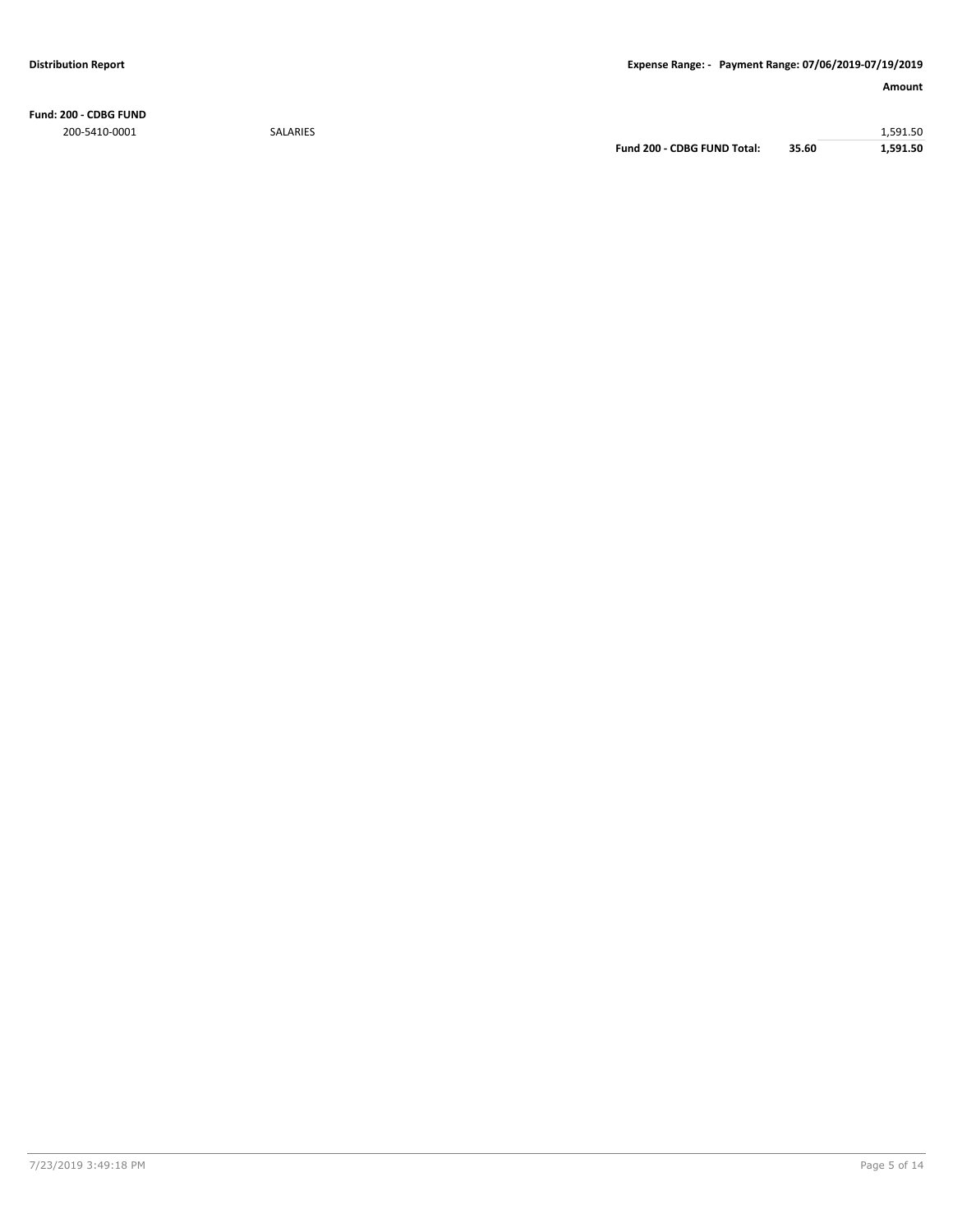**Fund: 200 - CDBG FUND** 200-5410-0001 SALARIES 1,591.50

**Fund 200 - CDBG FUND Total: 35.60 1,591.50**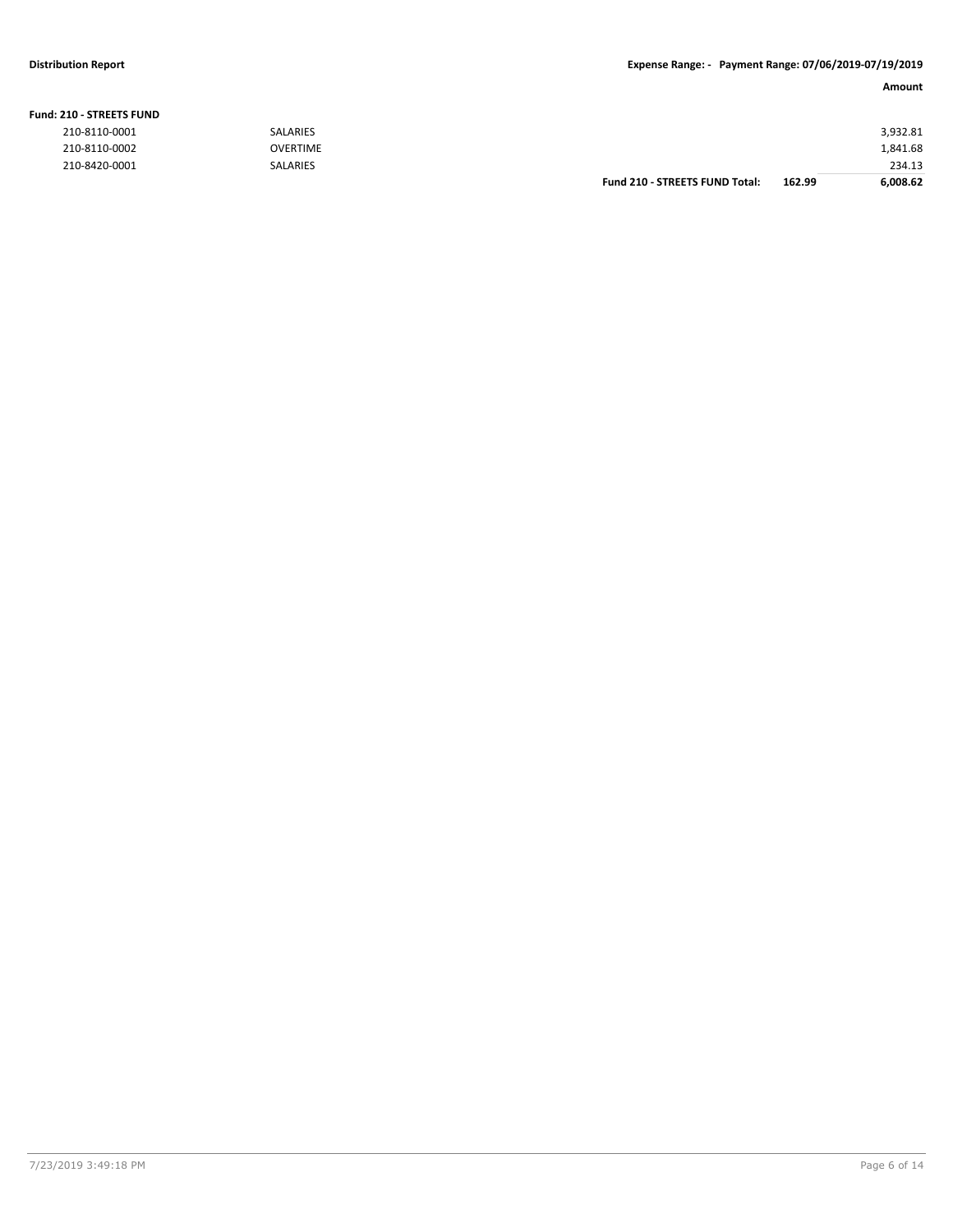#### **Fund: 210 - STREETS FUND**

| 210-8110-0001 | <b>SALARIES</b> |                                       |        | 3,932.81 |
|---------------|-----------------|---------------------------------------|--------|----------|
| 210-8110-0002 | <b>OVERTIME</b> |                                       |        | 1,841.68 |
| 210-8420-0001 | <b>SALARIES</b> |                                       |        | 234.13   |
|               |                 | <b>Fund 210 - STREETS FUND Total:</b> | 162.99 | 6,008.62 |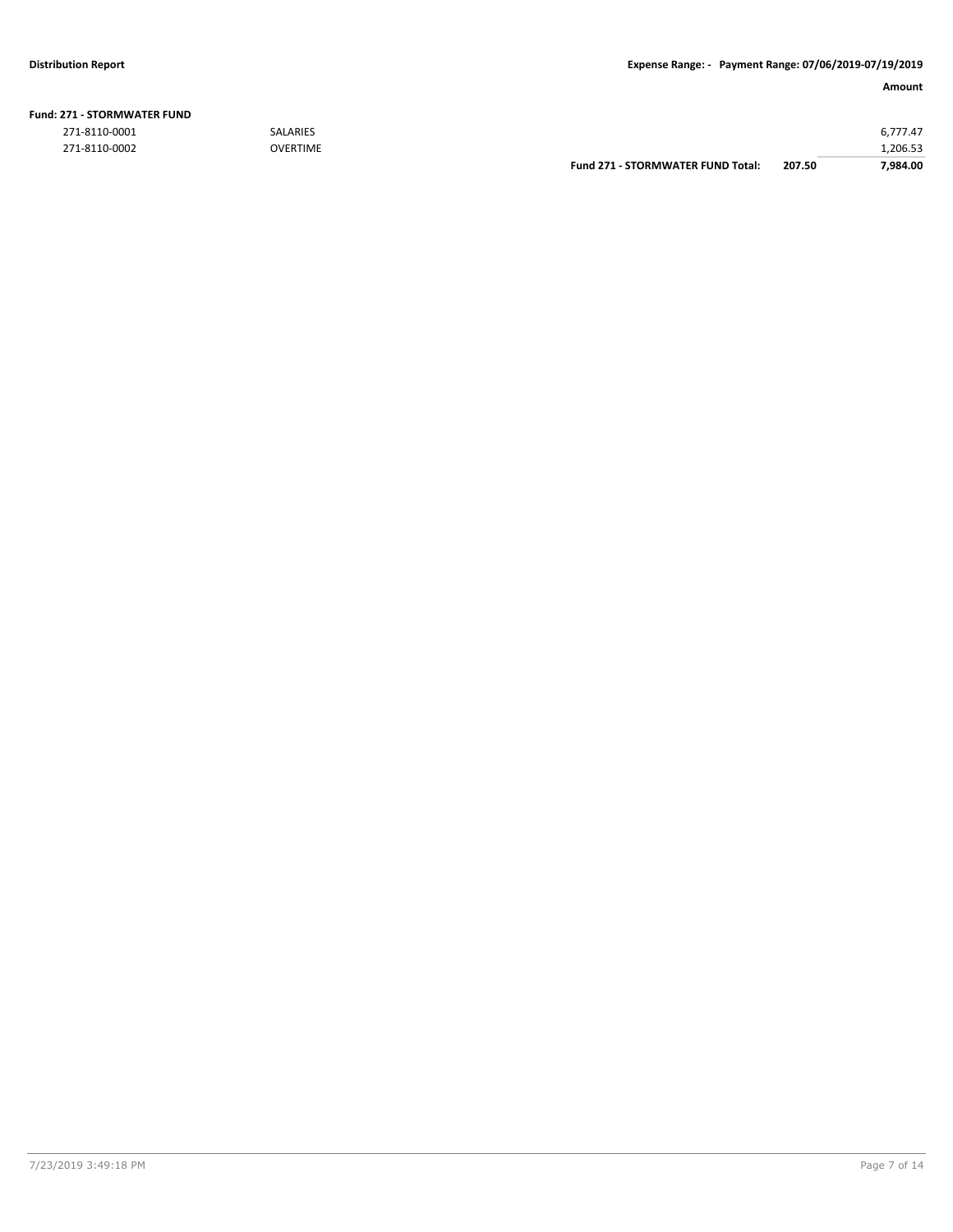|               |                 | Fund 271 - STORMWATER FUND Total: | 207.50 | 7.984.00 |
|---------------|-----------------|-----------------------------------|--------|----------|
| 271-8110-0002 | <b>OVERTIME</b> |                                   |        | 206.53.  |
| 271-8110-0001 | <b>SALARIES</b> |                                   |        | 6.777.47 |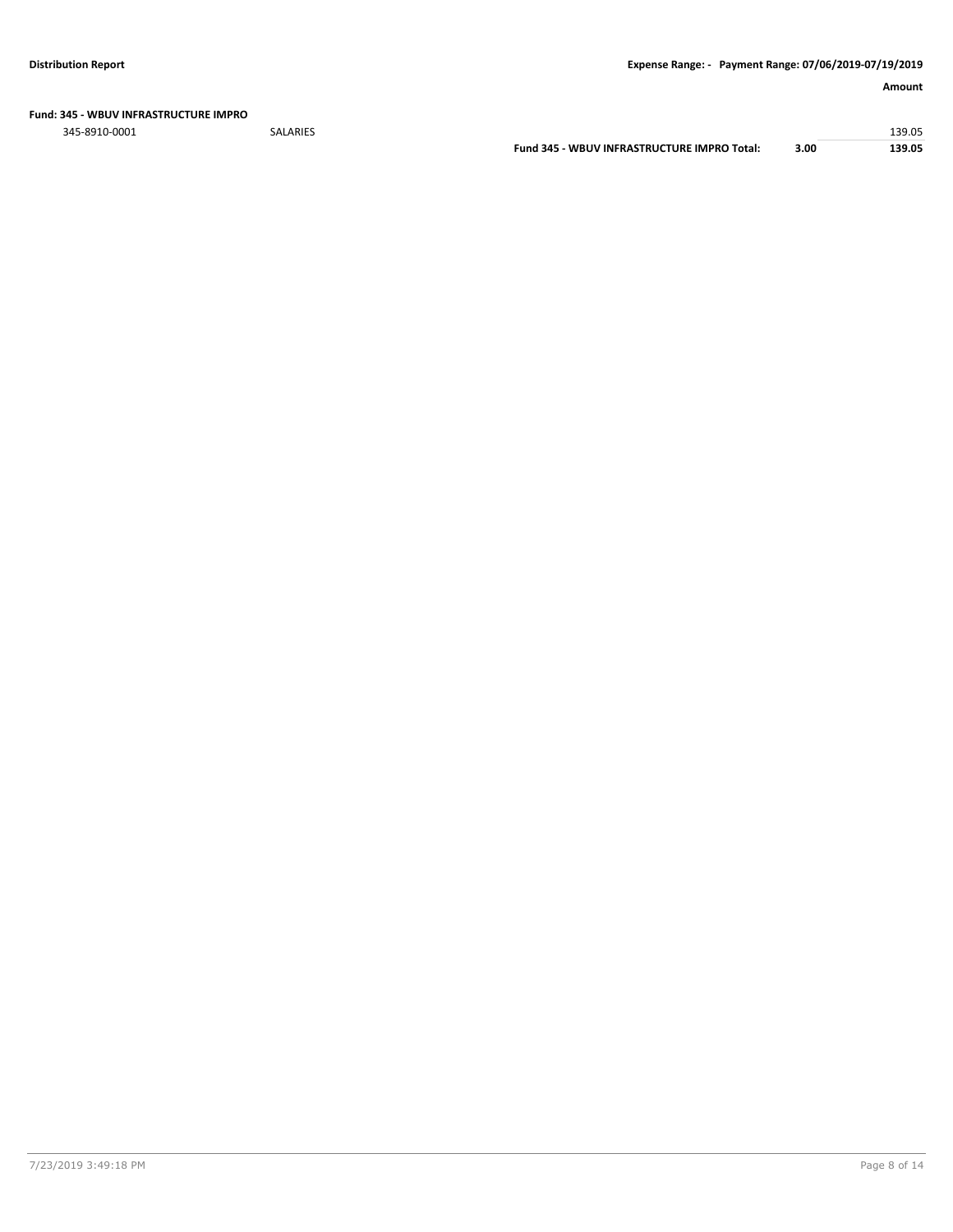#### **Fund: 345 - WBUV INFRASTRUCTURE IMPRO**

345-8910-0001 SALARIES 139.05

**Fund 345 - WBUV INFRASTRUCTURE IMPRO Total: 3.00 139.05**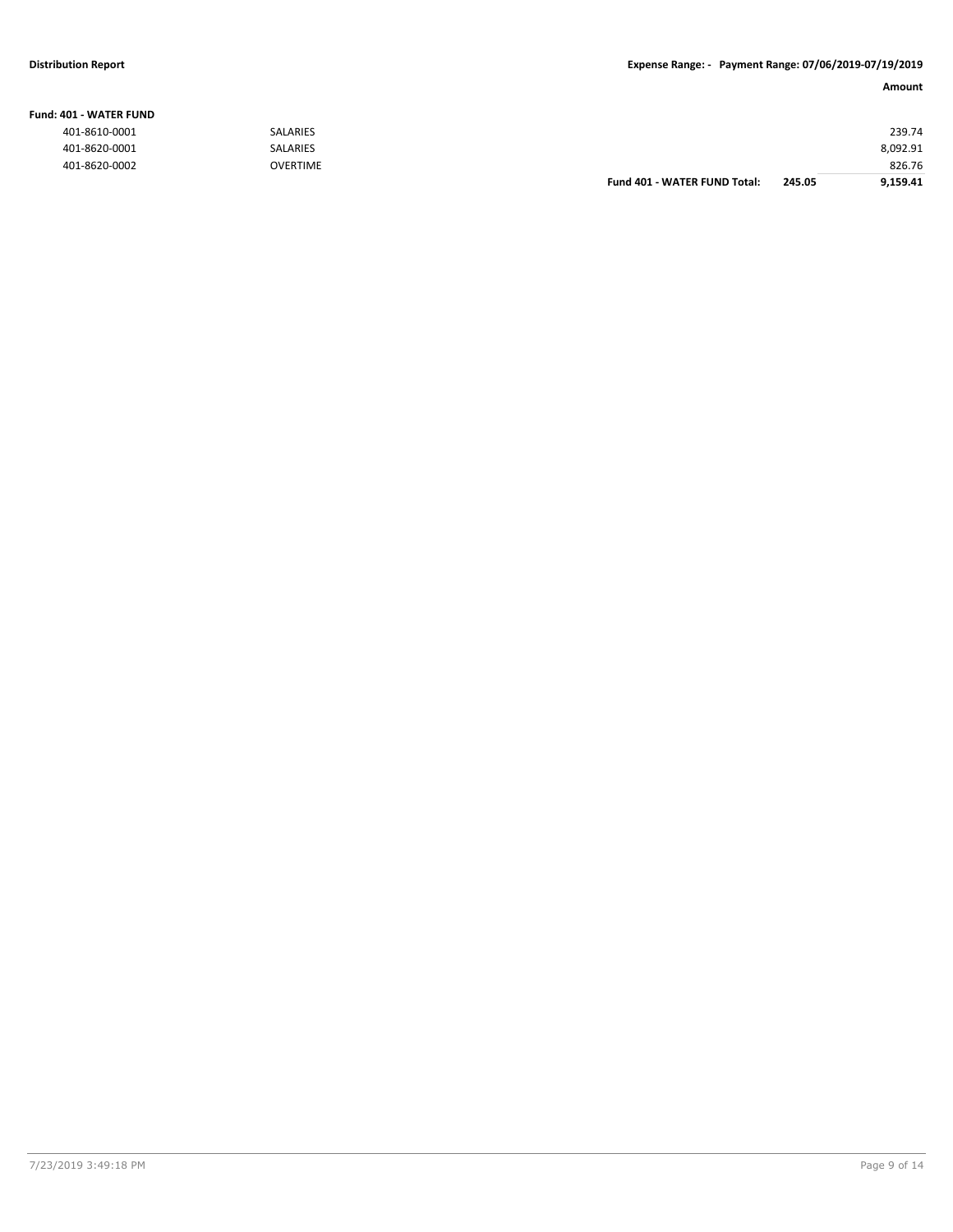#### **Fund: 401 - WATER FUND**

| 401-8610-0001 | <b>SALARIES</b> |                              |        | 239.74   |
|---------------|-----------------|------------------------------|--------|----------|
| 401-8620-0001 | SALARIES        |                              |        | 8,092.91 |
| 401-8620-0002 | <b>OVERTIME</b> |                              |        | 826.76   |
|               |                 | Fund 401 - WATER FUND Total: | 245.05 | 9,159.41 |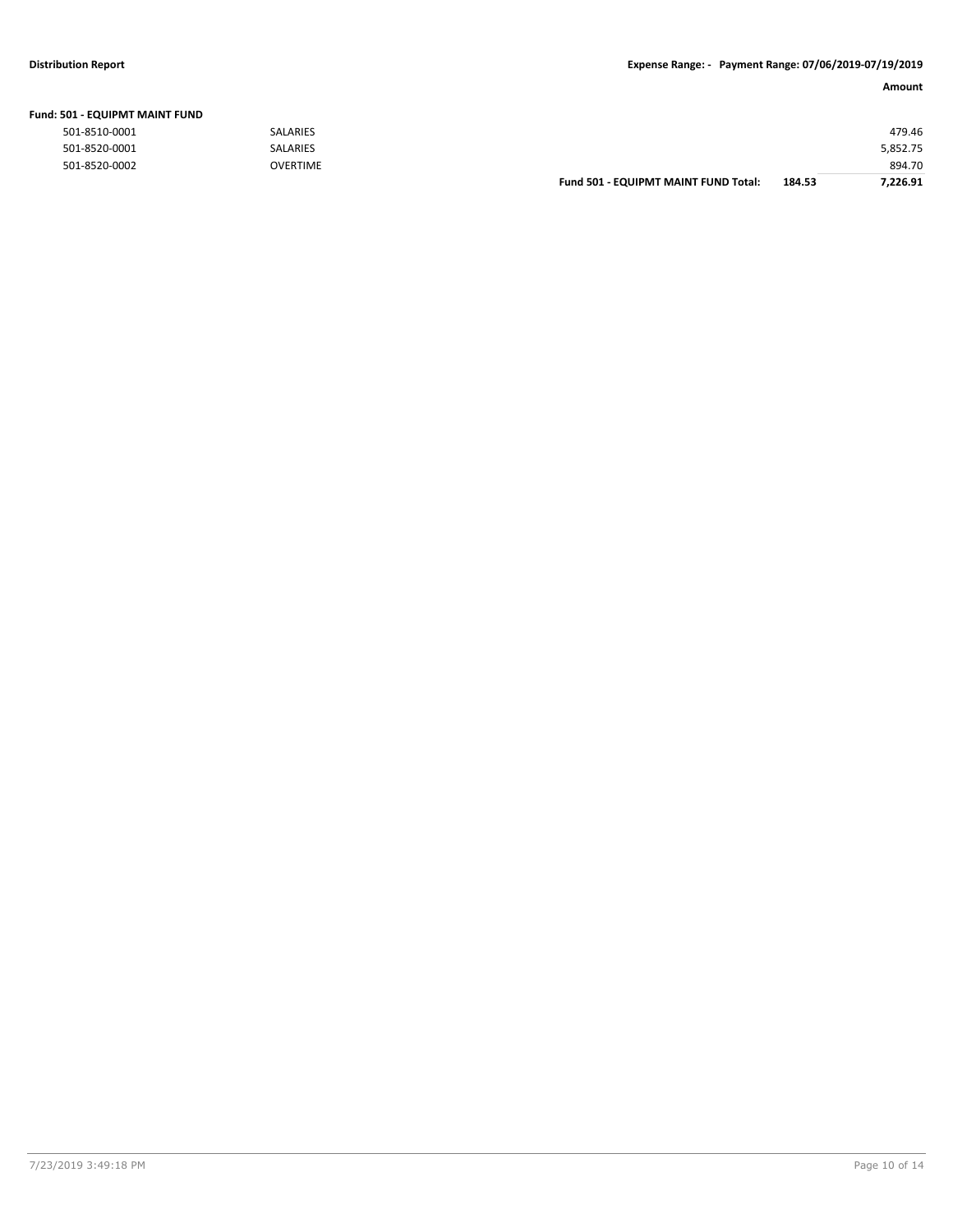### **Distribution Report Expense Range: - Payment Range: 07/06/2019-07/19/2019**

| Fund: 501 - EQUIPMT MAINT FUND |                 |                                      |        |          |
|--------------------------------|-----------------|--------------------------------------|--------|----------|
| 501-8510-0001                  | <b>SALARIES</b> |                                      |        | 479.46   |
| 501-8520-0001                  | <b>SALARIES</b> |                                      |        | 5,852.75 |
| 501-8520-0002                  | <b>OVERTIME</b> |                                      |        | 894.70   |
|                                |                 | Fund 501 - EQUIPMT MAINT FUND Total: | 184.53 | 7.226.91 |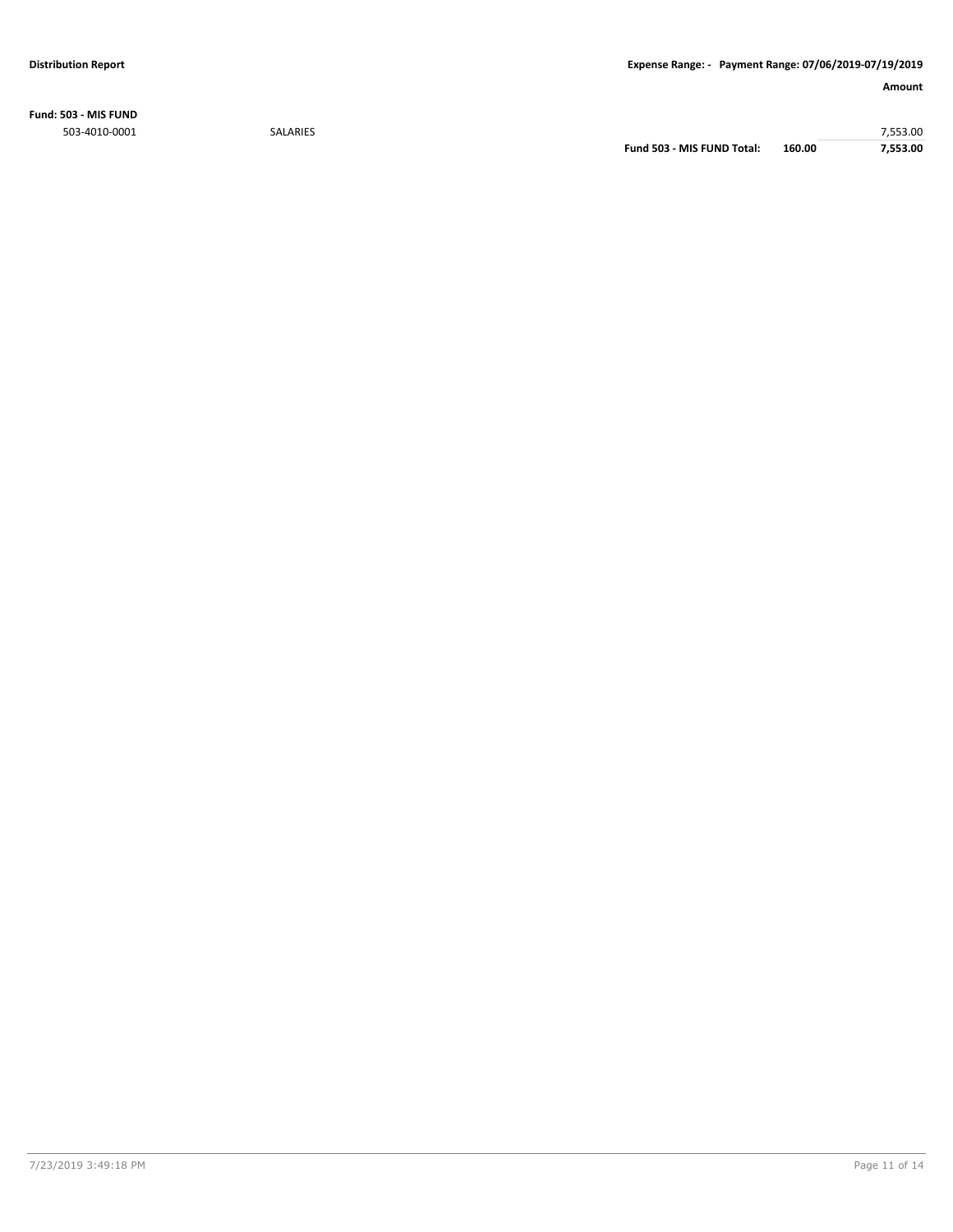**Fund: 503 - MIS FUND** 503-4010-0001 SALARIES 7,553.00

**Fund 503 - MIS FUND Total: 160.00 7,553.00**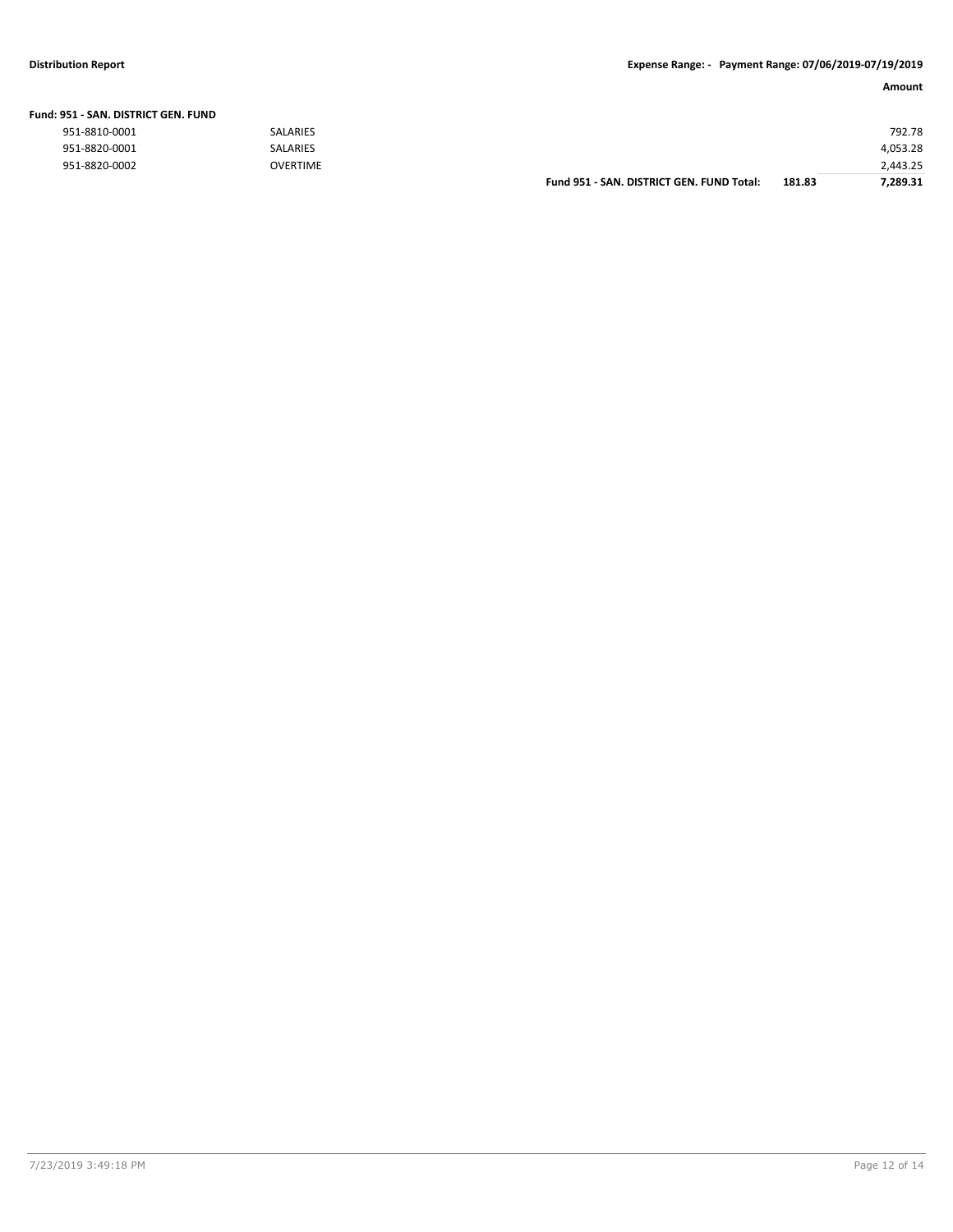| Fund: 951 - SAN. DISTRICT GEN. FUND |                 |                                           |        |          |
|-------------------------------------|-----------------|-------------------------------------------|--------|----------|
| 951-8810-0001                       | <b>SALARIES</b> |                                           |        | 792.78   |
| 951-8820-0001                       | <b>SALARIES</b> |                                           |        | 4,053.28 |
| 951-8820-0002                       | <b>OVERTIME</b> |                                           |        | 2,443.25 |
|                                     |                 | Fund 951 - SAN, DISTRICT GEN, FUND Total: | 181.83 | 7.289.31 |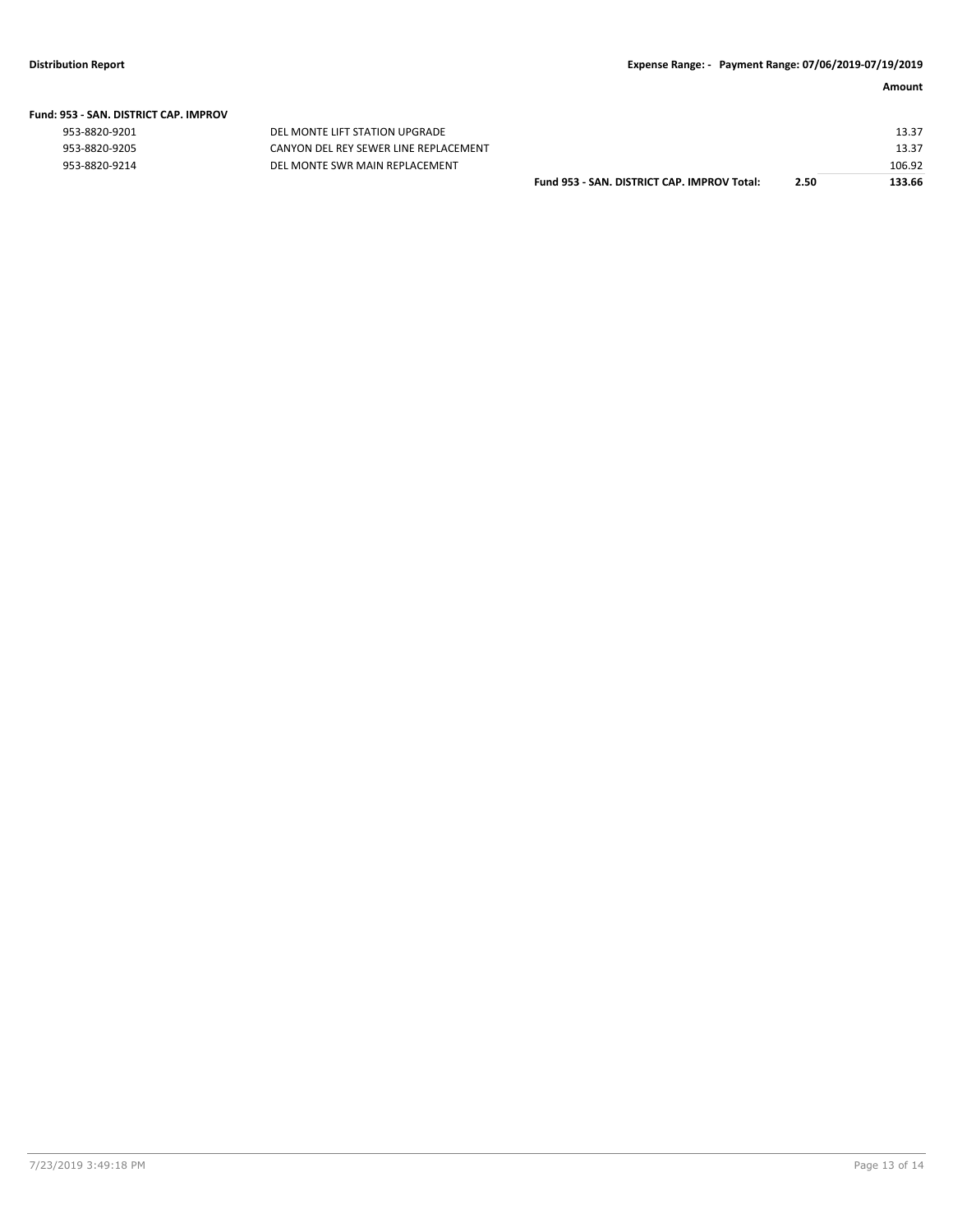|  | Fund: 953 - SAN. DISTRICT CAP. IMPROV |  |
|--|---------------------------------------|--|
|  |                                       |  |

|  | 953-8820-9201 |  |  |  |
|--|---------------|--|--|--|
|  |               |  |  |  |

|  | 953-8820-9205 |
|--|---------------|
|  | 953-8820-9214 |

01 DEL MONTE LIFT STATION UPGRADE 953-8820-9205 CANYON DEL REY SEWER LINE REPLACEMENT<br>953-8820-9214 DEL MONTE SWR MAIN REPLACEMENT DEL MONTE SWR MAIN REPLACEMENT

| Fund 953 - SAN. DISTRICT CAP. IMPROV Total: | 2.50 | 133.66 |
|---------------------------------------------|------|--------|
|                                             |      | 106.92 |
|                                             |      | 13.37  |
|                                             |      | 13.37  |
|                                             |      |        |